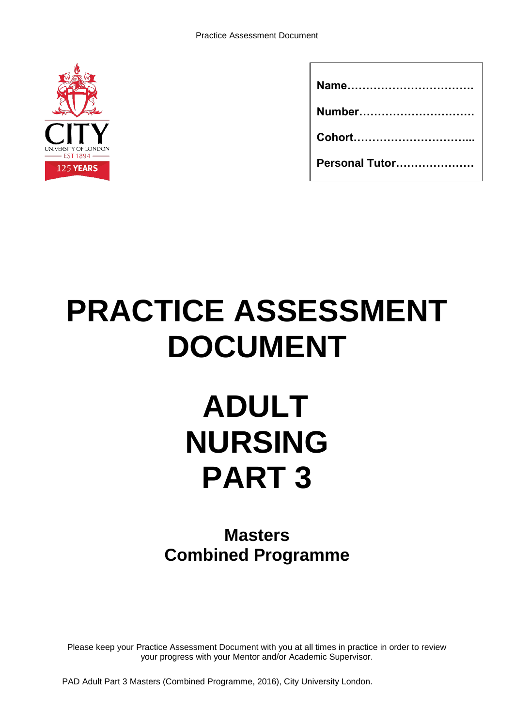

| Number         |
|----------------|
|                |
| Personal Tutor |

# **PRACTICE ASSESSMENT DOCUMENT**

# **ADULT NURSING PART 3**

# **Masters Combined Programme**

Please keep your Practice Assessment Document with you at all times in practice in order to review your progress with your Mentor and/or Academic Supervisor.

PAD Adult Part 3 Masters (Combined Programme, 2016), City University London.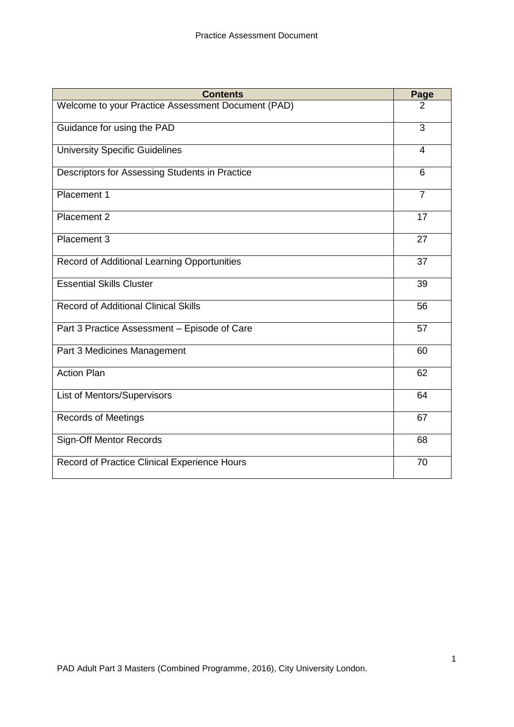| <b>Contents</b>                                    | Page           |
|----------------------------------------------------|----------------|
| Welcome to your Practice Assessment Document (PAD) | 2              |
| Guidance for using the PAD                         | 3              |
| <b>University Specific Guidelines</b>              | 4              |
| Descriptors for Assessing Students in Practice     | 6              |
| Placement 1                                        | $\overline{7}$ |
| Placement 2                                        | 17             |
| Placement 3                                        | 27             |
| Record of Additional Learning Opportunities        | 37             |
| <b>Essential Skills Cluster</b>                    | 39             |
| <b>Record of Additional Clinical Skills</b>        | 56             |
| Part 3 Practice Assessment - Episode of Care       | 57             |
| Part 3 Medicines Management                        | 60             |
| <b>Action Plan</b>                                 | 62             |
| List of Mentors/Supervisors                        | 64             |
| <b>Records of Meetings</b>                         | 67             |
| <b>Sign-Off Mentor Records</b>                     | 68             |
| Record of Practice Clinical Experience Hours       | 70             |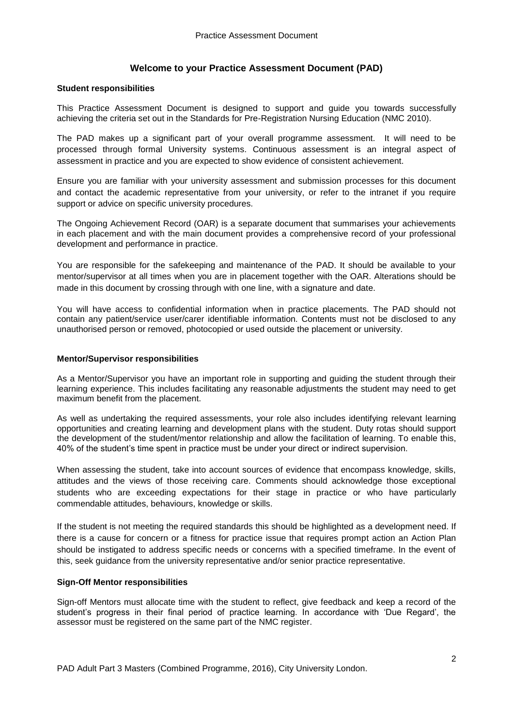#### **Welcome to your Practice Assessment Document (PAD)**

#### **Student responsibilities**

This Practice Assessment Document is designed to support and guide you towards successfully achieving the criteria set out in the Standards for Pre-Registration Nursing Education (NMC 2010).

The PAD makes up a significant part of your overall programme assessment. It will need to be processed through formal University systems. Continuous assessment is an integral aspect of assessment in practice and you are expected to show evidence of consistent achievement.

Ensure you are familiar with your university assessment and submission processes for this document and contact the academic representative from your university, or refer to the intranet if you require support or advice on specific university procedures.

The Ongoing Achievement Record (OAR) is a separate document that summarises your achievements in each placement and with the main document provides a comprehensive record of your professional development and performance in practice.

You are responsible for the safekeeping and maintenance of the PAD. It should be available to your mentor/supervisor at all times when you are in placement together with the OAR. Alterations should be made in this document by crossing through with one line, with a signature and date.

You will have access to confidential information when in practice placements. The PAD should not contain any patient/service user/carer identifiable information. Contents must not be disclosed to any unauthorised person or removed, photocopied or used outside the placement or university.

#### **Mentor/Supervisor responsibilities**

As a Mentor/Supervisor you have an important role in supporting and guiding the student through their learning experience. This includes facilitating any reasonable adjustments the student may need to get maximum benefit from the placement.

As well as undertaking the required assessments, your role also includes identifying relevant learning opportunities and creating learning and development plans with the student. Duty rotas should support the development of the student/mentor relationship and allow the facilitation of learning. To enable this, 40% of the student's time spent in practice must be under your direct or indirect supervision.

When assessing the student, take into account sources of evidence that encompass knowledge, skills, attitudes and the views of those receiving care. Comments should acknowledge those exceptional students who are exceeding expectations for their stage in practice or who have particularly commendable attitudes, behaviours, knowledge or skills.

If the student is not meeting the required standards this should be highlighted as a development need. If there is a cause for concern or a fitness for practice issue that requires prompt action an Action Plan should be instigated to address specific needs or concerns with a specified timeframe. In the event of this, seek guidance from the university representative and/or senior practice representative.

#### **Sign-Off Mentor responsibilities**

Sign-off Mentors must allocate time with the student to reflect, give feedback and keep a record of the student's progress in their final period of practice learning. In accordance with 'Due Regard', the assessor must be registered on the same part of the NMC register.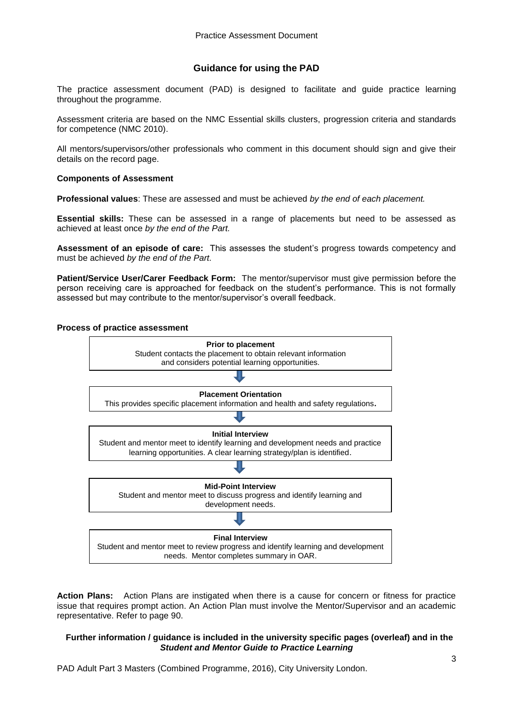#### **Guidance for using the PAD**

The practice assessment document (PAD) is designed to facilitate and guide practice learning throughout the programme.

Assessment criteria are based on the NMC Essential skills clusters, progression criteria and standards for competence (NMC 2010).

All mentors/supervisors/other professionals who comment in this document should sign and give their details on the record page.

#### **Components of Assessment**

**Professional values**: These are assessed and must be achieved *by the end of each placement.*

**Essential skills:** These can be assessed in a range of placements but need to be assessed as achieved at least once *by the end of the Part.*

**Assessment of an episode of care:** This assesses the student's progress towards competency and must be achieved *by the end of the Part.*

**Patient/Service User/Carer Feedback Form:** The mentor/supervisor must give permission before the person receiving care is approached for feedback on the student's performance. This is not formally assessed but may contribute to the mentor/supervisor's overall feedback.

# **Process of practice assessment Prior to placement** Student contacts the placement to obtain relevant information and considers potential learning opportunities. **Final Interview** Student and mentor meet to review progress and identify learning and development needs. Mentor completes summary in OAR. **Initial Interview** Student and mentor meet to identify learning and development needs and practice learning opportunities. A clear learning strategy/plan is identified. **Mid-Point Interview** Student and mentor meet to discuss progress and identify learning and development needs. **Placement Orientation** This provides specific placement information and health and safety regulations**.**

**Action Plans:** Action Plans are instigated when there is a cause for concern or fitness for practice issue that requires prompt action. An Action Plan must involve the Mentor/Supervisor and an academic representative. Refer to page 90.

#### **Further information / guidance is included in the university specific pages (overleaf) and in the** *Student and Mentor Guide to Practice Learning*

PAD Adult Part 3 Masters (Combined Programme, 2016), City University London.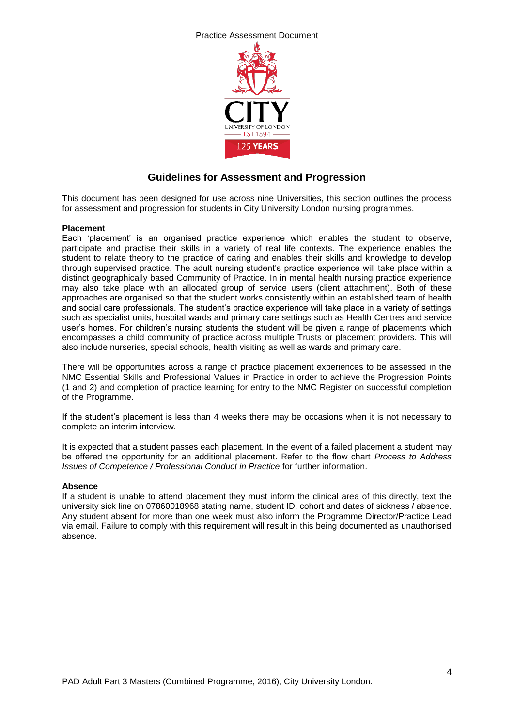

# **Guidelines for Assessment and Progression**

This document has been designed for use across nine Universities, this section outlines the process for assessment and progression for students in City University London nursing programmes.

#### **Placement**

Each 'placement' is an organised practice experience which enables the student to observe, participate and practise their skills in a variety of real life contexts. The experience enables the student to relate theory to the practice of caring and enables their skills and knowledge to develop through supervised practice. The adult nursing student's practice experience will take place within a distinct geographically based Community of Practice. In in mental health nursing practice experience may also take place with an allocated group of service users (client attachment). Both of these approaches are organised so that the student works consistently within an established team of health and social care professionals. The student's practice experience will take place in a variety of settings such as specialist units, hospital wards and primary care settings such as Health Centres and service user's homes. For children's nursing students the student will be given a range of placements which encompasses a child community of practice across multiple Trusts or placement providers. This will also include nurseries, special schools, health visiting as well as wards and primary care.

There will be opportunities across a range of practice placement experiences to be assessed in the NMC Essential Skills and Professional Values in Practice in order to achieve the Progression Points (1 and 2) and completion of practice learning for entry to the NMC Register on successful completion of the Programme.

If the student's placement is less than 4 weeks there may be occasions when it is not necessary to complete an interim interview.

It is expected that a student passes each placement. In the event of a failed placement a student may be offered the opportunity for an additional placement. Refer to the flow chart *Process to Address Issues of Competence / Professional Conduct in Practice* for further information.

#### **Absence**

If a student is unable to attend placement they must inform the clinical area of this directly, text the university sick line on 07860018968 stating name, student ID, cohort and dates of sickness / absence. Any student absent for more than one week must also inform the Programme Director/Practice Lead via email. Failure to comply with this requirement will result in this being documented as unauthorised absence.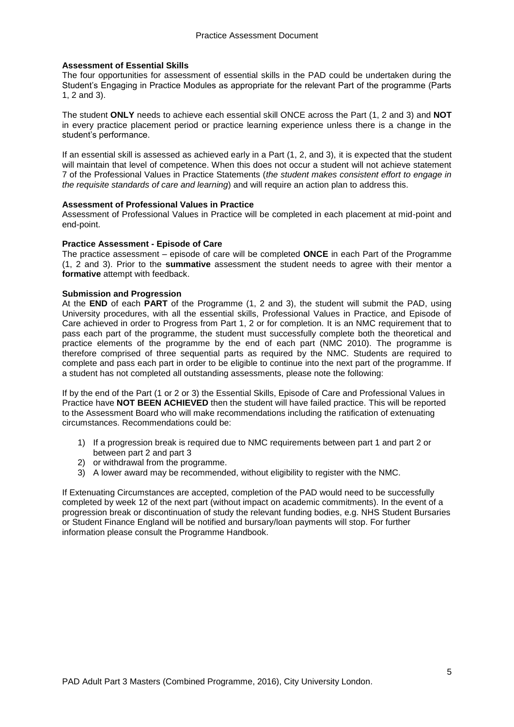#### **Assessment of Essential Skills**

The four opportunities for assessment of essential skills in the PAD could be undertaken during the Student's Engaging in Practice Modules as appropriate for the relevant Part of the programme (Parts 1, 2 and 3).

The student **ONLY** needs to achieve each essential skill ONCE across the Part (1, 2 and 3) and **NOT** in every practice placement period or practice learning experience unless there is a change in the student's performance.

If an essential skill is assessed as achieved early in a Part (1, 2, and 3), it is expected that the student will maintain that level of competence. When this does not occur a student will not achieve statement 7 of the Professional Values in Practice Statements (*the student makes consistent effort to engage in the requisite standards of care and learning*) and will require an action plan to address this.

#### **Assessment of Professional Values in Practice**

Assessment of Professional Values in Practice will be completed in each placement at mid-point and end-point.

#### **Practice Assessment - Episode of Care**

The practice assessment – episode of care will be completed **ONCE** in each Part of the Programme (1, 2 and 3). Prior to the **summative** assessment the student needs to agree with their mentor a **formative** attempt with feedback.

#### **Submission and Progression**

At the **END** of each **PART** of the Programme (1, 2 and 3), the student will submit the PAD, using University procedures, with all the essential skills, Professional Values in Practice, and Episode of Care achieved in order to Progress from Part 1, 2 or for completion. It is an NMC requirement that to pass each part of the programme, the student must successfully complete both the theoretical and practice elements of the programme by the end of each part (NMC 2010). The programme is therefore comprised of three sequential parts as required by the NMC. Students are required to complete and pass each part in order to be eligible to continue into the next part of the programme. If a student has not completed all outstanding assessments, please note the following:

If by the end of the Part (1 or 2 or 3) the Essential Skills, Episode of Care and Professional Values in Practice have **NOT BEEN ACHIEVED** then the student will have failed practice. This will be reported to the Assessment Board who will make recommendations including the ratification of extenuating circumstances. Recommendations could be:

- 1) If a progression break is required due to NMC requirements between part 1 and part 2 or between part 2 and part 3
- 2) or withdrawal from the programme.
- 3) A lower award may be recommended, without eligibility to register with the NMC.

If Extenuating Circumstances are accepted, completion of the PAD would need to be successfully completed by week 12 of the next part (without impact on academic commitments). In the event of a progression break or discontinuation of study the relevant funding bodies, e.g. NHS Student Bursaries or Student Finance England will be notified and bursary/loan payments will stop. For further information please consult the Programme Handbook.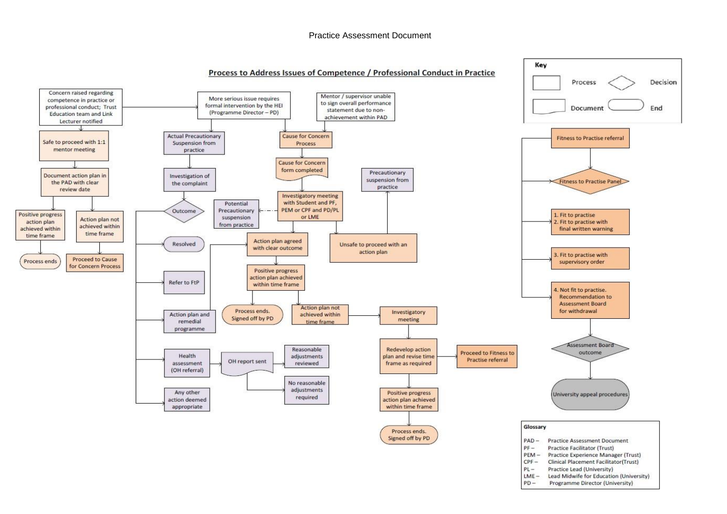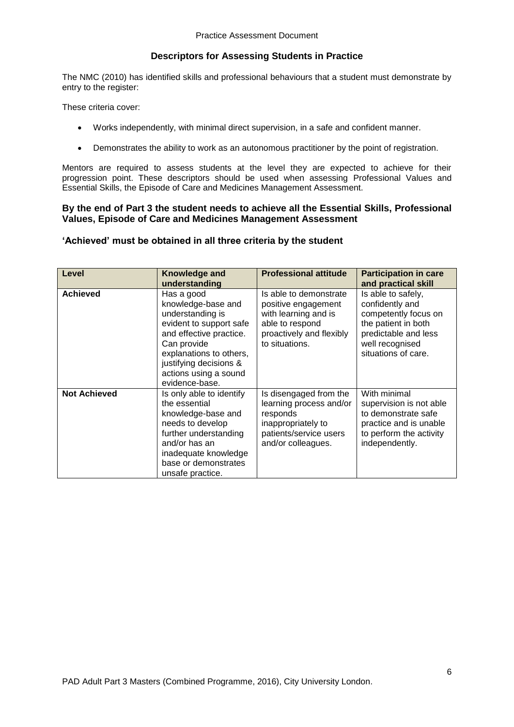## **Descriptors for Assessing Students in Practice**

The NMC (2010) has identified skills and professional behaviours that a student must demonstrate by entry to the register:

These criteria cover:

- Works independently, with minimal direct supervision, in a safe and confident manner.
- Demonstrates the ability to work as an autonomous practitioner by the point of registration.

Mentors are required to assess students at the level they are expected to achieve for their progression point. These descriptors should be used when assessing Professional Values and Essential Skills, the Episode of Care and Medicines Management Assessment.

#### **By the end of Part 3 the student needs to achieve all the Essential Skills, Professional Values, Episode of Care and Medicines Management Assessment**

#### **'Achieved' must be obtained in all three criteria by the student**

| Level               | <b>Knowledge and</b><br>understanding                                                                                                                                                                                     | <b>Professional attitude</b>                                                                                                           | <b>Participation in care</b><br>and practical skill                                                                                                    |
|---------------------|---------------------------------------------------------------------------------------------------------------------------------------------------------------------------------------------------------------------------|----------------------------------------------------------------------------------------------------------------------------------------|--------------------------------------------------------------------------------------------------------------------------------------------------------|
| <b>Achieved</b>     | Has a good<br>knowledge-base and<br>understanding is<br>evident to support safe<br>and effective practice.<br>Can provide<br>explanations to others,<br>justifying decisions &<br>actions using a sound<br>evidence-base. | Is able to demonstrate<br>positive engagement<br>with learning and is<br>able to respond<br>proactively and flexibly<br>to situations. | Is able to safely,<br>confidently and<br>competently focus on<br>the patient in both<br>predictable and less<br>well recognised<br>situations of care. |
| <b>Not Achieved</b> | Is only able to identify<br>the essential<br>knowledge-base and<br>needs to develop<br>further understanding<br>and/or has an<br>inadequate knowledge<br>base or demonstrates<br>unsafe practice.                         | Is disengaged from the<br>learning process and/or<br>responds<br>inappropriately to<br>patients/service users<br>and/or colleagues.    | With minimal<br>supervision is not able<br>to demonstrate safe<br>practice and is unable<br>to perform the activity<br>independently.                  |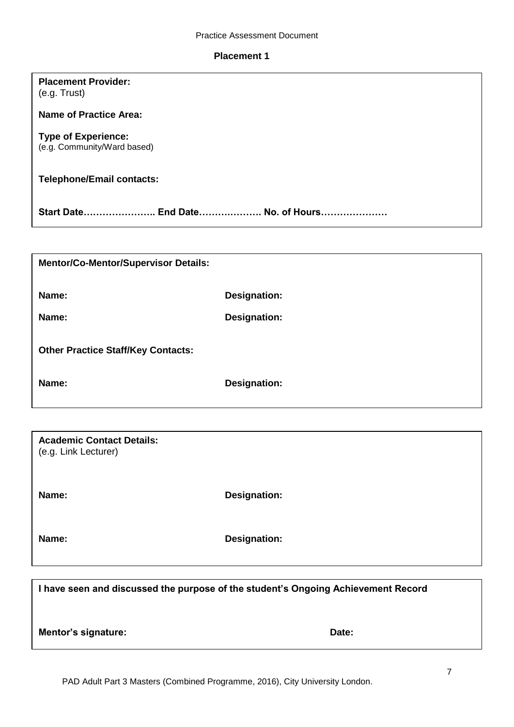#### **Placement 1**

# **Placement Provider:** (e.g. Trust) **Name of Practice Area: Type of Experience:** (e.g. Community/Ward based)

# **Telephone/Email contacts:**

**Start Date………………….. End Date……….………. No. of Hours…………………**

| <b>Mentor/Co-Mentor/Supervisor Details:</b> |              |  |
|---------------------------------------------|--------------|--|
| Name:                                       | Designation: |  |
| Name:                                       | Designation: |  |
| <b>Other Practice Staff/Key Contacts:</b>   |              |  |
| Name:                                       | Designation: |  |

| <b>Academic Contact Details:</b><br>(e.g. Link Lecturer) |                     |
|----------------------------------------------------------|---------------------|
| Name:                                                    | <b>Designation:</b> |
| Name:                                                    | <b>Designation:</b> |

| I have seen and discussed the purpose of the student's Ongoing Achievement Record |       |
|-----------------------------------------------------------------------------------|-------|
| Mentor's signature:                                                               | Date: |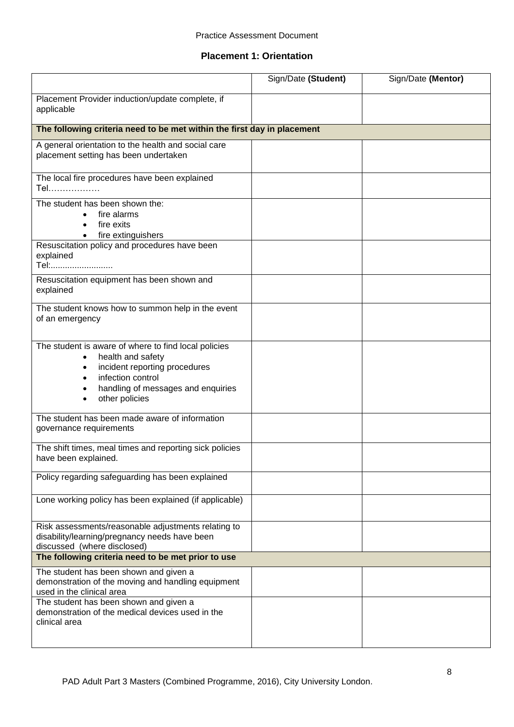## **Placement 1: Orientation**

|                                                                                                                                                                                         | Sign/Date (Student) | Sign/Date (Mentor) |
|-----------------------------------------------------------------------------------------------------------------------------------------------------------------------------------------|---------------------|--------------------|
| Placement Provider induction/update complete, if<br>applicable                                                                                                                          |                     |                    |
| The following criteria need to be met within the first day in placement                                                                                                                 |                     |                    |
| A general orientation to the health and social care<br>placement setting has been undertaken                                                                                            |                     |                    |
| The local fire procedures have been explained<br>Tel                                                                                                                                    |                     |                    |
| The student has been shown the:<br>fire alarms<br>fire exits<br>fire extinguishers                                                                                                      |                     |                    |
| Resuscitation policy and procedures have been<br>explained<br>Tel:                                                                                                                      |                     |                    |
| Resuscitation equipment has been shown and<br>explained                                                                                                                                 |                     |                    |
| The student knows how to summon help in the event<br>of an emergency                                                                                                                    |                     |                    |
| The student is aware of where to find local policies<br>health and safety<br>incident reporting procedures<br>infection control<br>handling of messages and enquiries<br>other policies |                     |                    |
| The student has been made aware of information<br>governance requirements                                                                                                               |                     |                    |
| The shift times, meal times and reporting sick policies<br>have been explained.                                                                                                         |                     |                    |
| Policy regarding safeguarding has been explained                                                                                                                                        |                     |                    |
| Lone working policy has been explained (if applicable)                                                                                                                                  |                     |                    |
| Risk assessments/reasonable adjustments relating to<br>disability/learning/pregnancy needs have been<br>discussed (where disclosed)                                                     |                     |                    |
| The following criteria need to be met prior to use                                                                                                                                      |                     |                    |
| The student has been shown and given a<br>demonstration of the moving and handling equipment<br>used in the clinical area                                                               |                     |                    |
| The student has been shown and given a<br>demonstration of the medical devices used in the<br>clinical area                                                                             |                     |                    |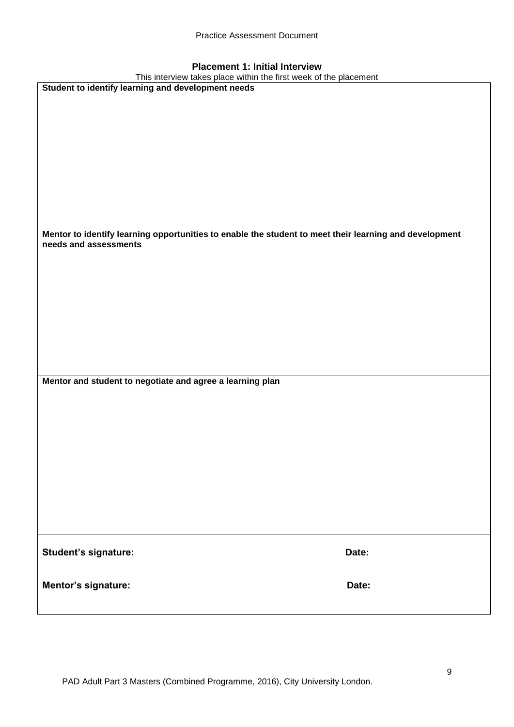| <b>Placement 1: Initial Interview</b> |  |  |  |
|---------------------------------------|--|--|--|
|---------------------------------------|--|--|--|

| LIGACINGUL I. INIUGI INGI VIEW<br>This interview takes place within the first week of the placement    |       |
|--------------------------------------------------------------------------------------------------------|-------|
| Student to identify learning and development needs                                                     |       |
|                                                                                                        |       |
|                                                                                                        |       |
|                                                                                                        |       |
|                                                                                                        |       |
|                                                                                                        |       |
|                                                                                                        |       |
|                                                                                                        |       |
|                                                                                                        |       |
|                                                                                                        |       |
|                                                                                                        |       |
|                                                                                                        |       |
|                                                                                                        |       |
|                                                                                                        |       |
|                                                                                                        |       |
|                                                                                                        |       |
| Mentor to identify learning opportunities to enable the student to meet their learning and development |       |
| needs and assessments                                                                                  |       |
|                                                                                                        |       |
|                                                                                                        |       |
|                                                                                                        |       |
|                                                                                                        |       |
|                                                                                                        |       |
|                                                                                                        |       |
|                                                                                                        |       |
|                                                                                                        |       |
|                                                                                                        |       |
|                                                                                                        |       |
|                                                                                                        |       |
|                                                                                                        |       |
|                                                                                                        |       |
| Mentor and student to negotiate and agree a learning plan                                              |       |
|                                                                                                        |       |
|                                                                                                        |       |
|                                                                                                        |       |
|                                                                                                        |       |
|                                                                                                        |       |
|                                                                                                        |       |
|                                                                                                        |       |
|                                                                                                        |       |
|                                                                                                        |       |
|                                                                                                        |       |
|                                                                                                        |       |
|                                                                                                        |       |
|                                                                                                        |       |
|                                                                                                        |       |
|                                                                                                        |       |
|                                                                                                        |       |
|                                                                                                        |       |
| Student's signature:                                                                                   | Date: |
|                                                                                                        |       |
|                                                                                                        |       |
| Mentor's signature:                                                                                    | Date: |
|                                                                                                        |       |
|                                                                                                        |       |
|                                                                                                        |       |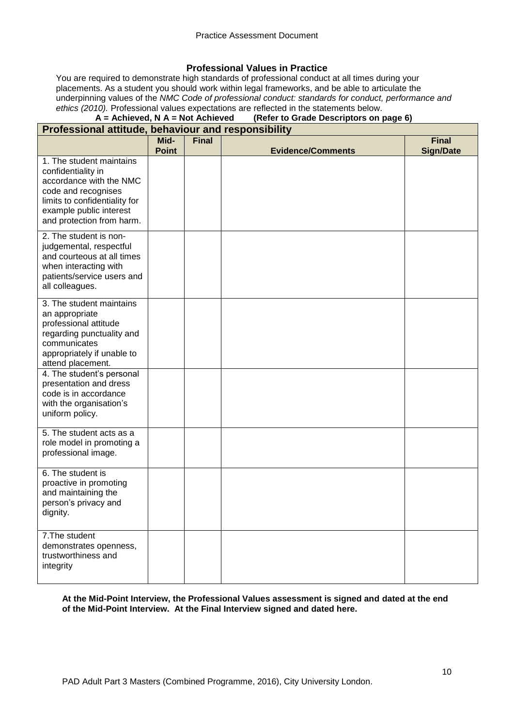#### **Professional Values in Practice**

You are required to demonstrate high standards of professional conduct at all times during your placements. As a student you should work within legal frameworks, and be able to articulate the underpinning values of the *NMC Code of professional conduct: standards for conduct, performance and ethics (2010).* Professional values expectations are reflected in the statements below.<br>**A** = **Achieved, N** A = Not Achieved (Refer to Grade Descriptors on

# **(Refer to Grade Descriptors on page 6)**

#### **Professional attitude, behaviour and responsibility Mid-Point Final Evidence/Comments Final Sign/Date** 1. The student maintains confidentiality in accordance with the NMC code and recognises limits to confidentiality for example public interest and protection from harm. 2. The student is nonjudgemental, respectful and courteous at all times when interacting with patients/service users and all colleagues. 3. The student maintains an appropriate professional attitude regarding punctuality and communicates appropriately if unable to attend placement. 4. The student's personal presentation and dress code is in accordance with the organisation's uniform policy. 5. The student acts as a role model in promoting a professional image. 6. The student is proactive in promoting and maintaining the person's privacy and dignity. 7.The student demonstrates openness, trustworthiness and integrity

**At the Mid-Point Interview, the Professional Values assessment is signed and dated at the end of the Mid-Point Interview. At the Final Interview signed and dated here.**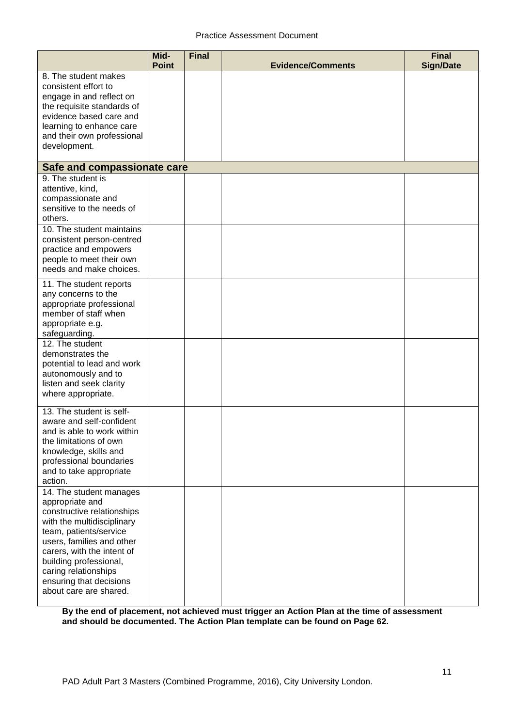|                                                                                                                                                                                                                                                                                                    | Mid-<br><b>Point</b> | <b>Final</b> | <b>Evidence/Comments</b> | <b>Final</b><br><b>Sign/Date</b> |
|----------------------------------------------------------------------------------------------------------------------------------------------------------------------------------------------------------------------------------------------------------------------------------------------------|----------------------|--------------|--------------------------|----------------------------------|
| 8. The student makes<br>consistent effort to<br>engage in and reflect on<br>the requisite standards of<br>evidence based care and<br>learning to enhance care<br>and their own professional<br>development.                                                                                        |                      |              |                          |                                  |
| Safe and compassionate care                                                                                                                                                                                                                                                                        |                      |              |                          |                                  |
| 9. The student is<br>attentive, kind,<br>compassionate and<br>sensitive to the needs of<br>others.                                                                                                                                                                                                 |                      |              |                          |                                  |
| 10. The student maintains<br>consistent person-centred<br>practice and empowers<br>people to meet their own<br>needs and make choices.                                                                                                                                                             |                      |              |                          |                                  |
| 11. The student reports<br>any concerns to the<br>appropriate professional<br>member of staff when<br>appropriate e.g.<br>safeguarding.                                                                                                                                                            |                      |              |                          |                                  |
| 12. The student<br>demonstrates the<br>potential to lead and work<br>autonomously and to<br>listen and seek clarity<br>where appropriate.                                                                                                                                                          |                      |              |                          |                                  |
| 13. The student is self-<br>aware and self-confident<br>and is able to work within<br>the limitations of own<br>knowledge, skills and<br>professional boundaries<br>and to take appropriate<br>action.                                                                                             |                      |              |                          |                                  |
| 14. The student manages<br>appropriate and<br>constructive relationships<br>with the multidisciplinary<br>team, patients/service<br>users, families and other<br>carers, with the intent of<br>building professional,<br>caring relationships<br>ensuring that decisions<br>about care are shared. |                      |              |                          |                                  |

**By the end of placement, not achieved must trigger an Action Plan at the time of assessment and should be documented. The Action Plan template can be found on Page 62.**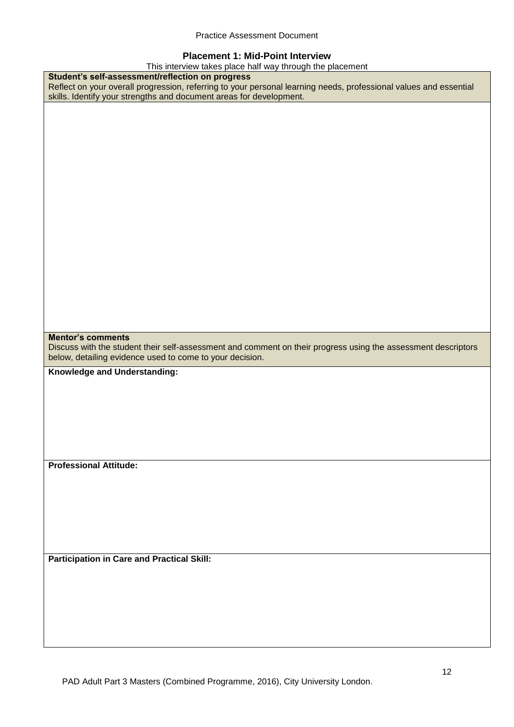#### **Placement 1: Mid-Point Interview**

| This interview takes place half way through the placement                                                         |
|-------------------------------------------------------------------------------------------------------------------|
| Student's self-assessment/reflection on progress                                                                  |
| Reflect on your overall progression, referring to your personal learning needs, professional values and essential |
| skills. Identify your strengths and document areas for development.                                               |
|                                                                                                                   |
|                                                                                                                   |
|                                                                                                                   |
|                                                                                                                   |
|                                                                                                                   |
|                                                                                                                   |
|                                                                                                                   |
|                                                                                                                   |
|                                                                                                                   |
|                                                                                                                   |
|                                                                                                                   |
|                                                                                                                   |
|                                                                                                                   |
|                                                                                                                   |
|                                                                                                                   |
|                                                                                                                   |
|                                                                                                                   |
|                                                                                                                   |
|                                                                                                                   |
|                                                                                                                   |
|                                                                                                                   |
|                                                                                                                   |
|                                                                                                                   |
| <b>Mentor's comments</b>                                                                                          |
| Discuss with the student their self-assessment and comment on their progress using the assessment descriptors     |
| below, detailing evidence used to come to your decision.                                                          |
|                                                                                                                   |
|                                                                                                                   |
| Knowledge and Understanding:                                                                                      |
|                                                                                                                   |
|                                                                                                                   |
|                                                                                                                   |
|                                                                                                                   |
|                                                                                                                   |
|                                                                                                                   |
|                                                                                                                   |
|                                                                                                                   |
| <b>Professional Attitude:</b>                                                                                     |
|                                                                                                                   |
|                                                                                                                   |
|                                                                                                                   |
|                                                                                                                   |
|                                                                                                                   |
|                                                                                                                   |
|                                                                                                                   |
|                                                                                                                   |
| <b>Participation in Care and Practical Skill:</b>                                                                 |
|                                                                                                                   |
|                                                                                                                   |
|                                                                                                                   |
|                                                                                                                   |
|                                                                                                                   |
|                                                                                                                   |
|                                                                                                                   |
|                                                                                                                   |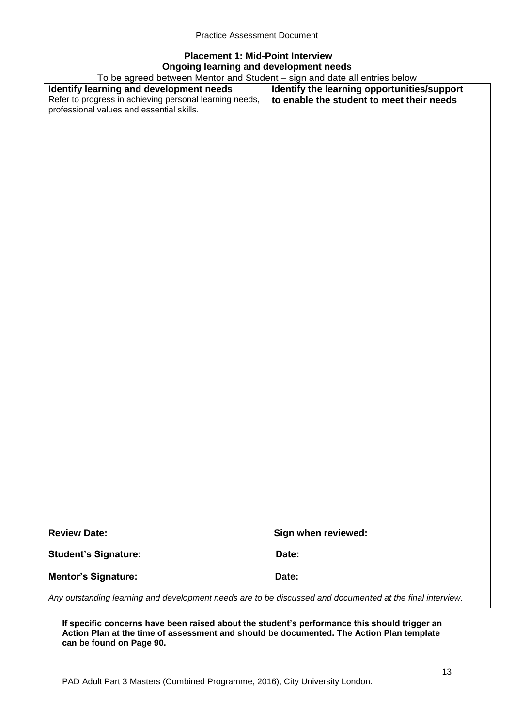# **Placement 1: Mid-Point Interview Ongoing learning and development needs**

To be agreed between Mentor and Student – sign and date all entries below

| To be agreed between Mentor and Student – sign and date all entries below                                 |                                             |  |
|-----------------------------------------------------------------------------------------------------------|---------------------------------------------|--|
| Identify learning and development needs                                                                   | Identify the learning opportunities/support |  |
| Refer to progress in achieving personal learning needs,                                                   | to enable the student to meet their needs   |  |
| professional values and essential skills.                                                                 |                                             |  |
|                                                                                                           |                                             |  |
|                                                                                                           |                                             |  |
|                                                                                                           |                                             |  |
|                                                                                                           |                                             |  |
|                                                                                                           |                                             |  |
|                                                                                                           |                                             |  |
|                                                                                                           |                                             |  |
|                                                                                                           |                                             |  |
|                                                                                                           |                                             |  |
|                                                                                                           |                                             |  |
|                                                                                                           |                                             |  |
|                                                                                                           |                                             |  |
|                                                                                                           |                                             |  |
|                                                                                                           |                                             |  |
|                                                                                                           |                                             |  |
|                                                                                                           |                                             |  |
|                                                                                                           |                                             |  |
|                                                                                                           |                                             |  |
|                                                                                                           |                                             |  |
|                                                                                                           |                                             |  |
|                                                                                                           |                                             |  |
|                                                                                                           |                                             |  |
|                                                                                                           |                                             |  |
|                                                                                                           |                                             |  |
|                                                                                                           |                                             |  |
|                                                                                                           |                                             |  |
|                                                                                                           |                                             |  |
|                                                                                                           |                                             |  |
|                                                                                                           |                                             |  |
|                                                                                                           |                                             |  |
|                                                                                                           |                                             |  |
|                                                                                                           |                                             |  |
|                                                                                                           |                                             |  |
|                                                                                                           |                                             |  |
|                                                                                                           |                                             |  |
|                                                                                                           |                                             |  |
|                                                                                                           |                                             |  |
|                                                                                                           |                                             |  |
|                                                                                                           |                                             |  |
|                                                                                                           |                                             |  |
|                                                                                                           |                                             |  |
|                                                                                                           |                                             |  |
|                                                                                                           |                                             |  |
|                                                                                                           |                                             |  |
| <b>Review Date:</b>                                                                                       | Sign when reviewed:                         |  |
|                                                                                                           |                                             |  |
| <b>Student's Signature:</b>                                                                               | Date:                                       |  |
|                                                                                                           |                                             |  |
| <b>Mentor's Signature:</b>                                                                                | Date:                                       |  |
|                                                                                                           |                                             |  |
| Any outstanding learning and development needs are to be discussed and documented at the final interview. |                                             |  |

**If specific concerns have been raised about the student's performance this should trigger an Action Plan at the time of assessment and should be documented. The Action Plan template can be found on Page 90.**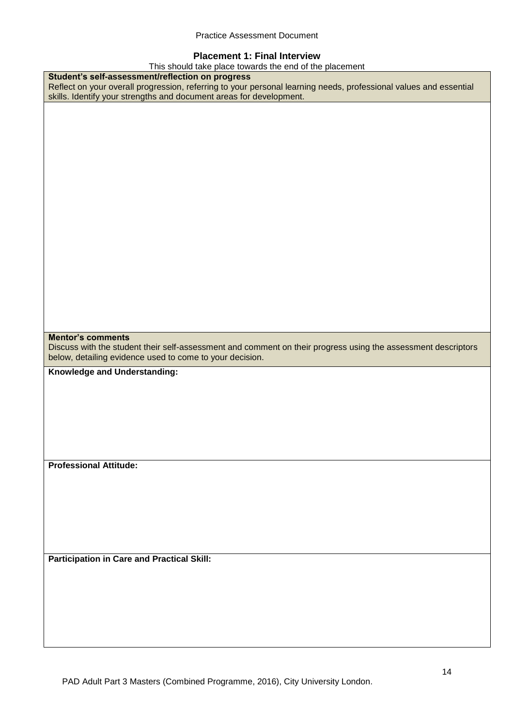#### **Placement 1: Final Interview**

This should take place towards the end of the placement

| This should take place towards the end of the placement                                                           |
|-------------------------------------------------------------------------------------------------------------------|
| Student's self-assessment/reflection on progress                                                                  |
| Reflect on your overall progression, referring to your personal learning needs, professional values and essential |
| skills. Identify your strengths and document areas for development.                                               |
|                                                                                                                   |
|                                                                                                                   |
|                                                                                                                   |
|                                                                                                                   |
|                                                                                                                   |
|                                                                                                                   |
|                                                                                                                   |
|                                                                                                                   |
|                                                                                                                   |
|                                                                                                                   |
|                                                                                                                   |
|                                                                                                                   |
|                                                                                                                   |
|                                                                                                                   |
|                                                                                                                   |
|                                                                                                                   |
|                                                                                                                   |
|                                                                                                                   |
|                                                                                                                   |
|                                                                                                                   |
|                                                                                                                   |
|                                                                                                                   |
|                                                                                                                   |
|                                                                                                                   |
|                                                                                                                   |
|                                                                                                                   |
| <b>Mentor's comments</b>                                                                                          |
|                                                                                                                   |
| Discuss with the student their self-assessment and comment on their progress using the assessment descriptors     |
|                                                                                                                   |
| below, detailing evidence used to come to your decision.                                                          |
|                                                                                                                   |
| Knowledge and Understanding:                                                                                      |
|                                                                                                                   |
|                                                                                                                   |
|                                                                                                                   |
|                                                                                                                   |
|                                                                                                                   |
|                                                                                                                   |
|                                                                                                                   |
|                                                                                                                   |
|                                                                                                                   |
| <b>Professional Attitude:</b>                                                                                     |
|                                                                                                                   |
|                                                                                                                   |
|                                                                                                                   |
|                                                                                                                   |
|                                                                                                                   |
|                                                                                                                   |
|                                                                                                                   |
|                                                                                                                   |
|                                                                                                                   |
|                                                                                                                   |
| <b>Participation in Care and Practical Skill:</b>                                                                 |
|                                                                                                                   |
|                                                                                                                   |
|                                                                                                                   |
|                                                                                                                   |
|                                                                                                                   |
|                                                                                                                   |
|                                                                                                                   |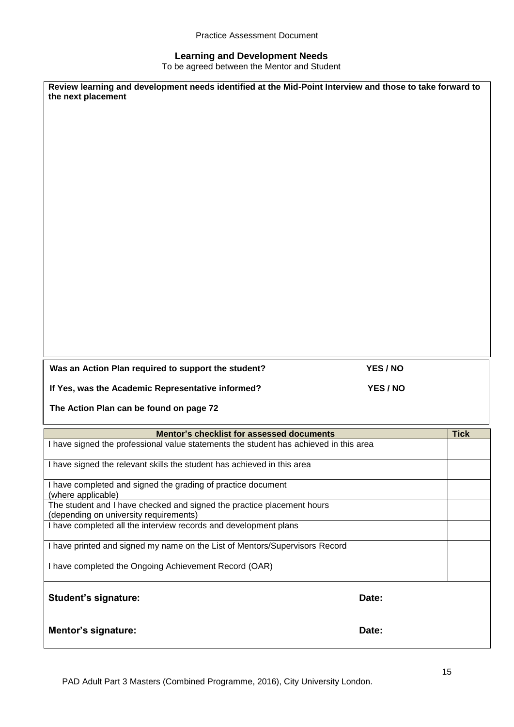#### **Learning and Development Needs**

To be agreed between the Mentor and Student

| Review learning and development needs identified at the Mid-Point Interview and those to take forward to<br>the next placement     |          |             |
|------------------------------------------------------------------------------------------------------------------------------------|----------|-------------|
|                                                                                                                                    |          |             |
|                                                                                                                                    |          |             |
|                                                                                                                                    |          |             |
|                                                                                                                                    |          |             |
|                                                                                                                                    |          |             |
|                                                                                                                                    |          |             |
|                                                                                                                                    |          |             |
| Was an Action Plan required to support the student?                                                                                | YES / NO |             |
| If Yes, was the Academic Representative informed?<br>The Action Plan can be found on page 72                                       | YES / NO |             |
|                                                                                                                                    |          |             |
| Mentor's checklist for assessed documents<br>I have signed the professional value statements the student has achieved in this area |          | <b>Tick</b> |
| I have signed the relevant skills the student has achieved in this area                                                            |          |             |
| I have completed and signed the grading of practice document                                                                       |          |             |
| (where applicable)<br>The student and I have checked and signed the practice placement hours                                       |          |             |
| (depending on university requirements)<br>I have completed all the interview records and development plans                         |          |             |
| I have printed and signed my name on the List of Mentors/Supervisors Record                                                        |          |             |
| I have completed the Ongoing Achievement Record (OAR)                                                                              |          |             |
| <b>Student's signature:</b>                                                                                                        | Date:    |             |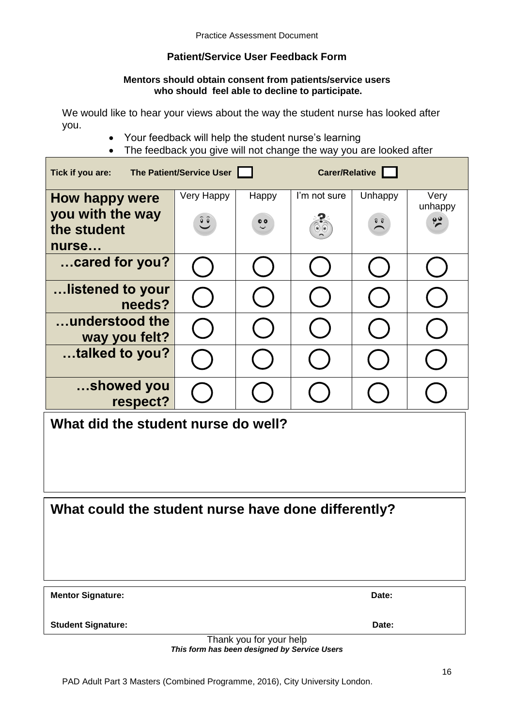# **Patient/Service User Feedback Form**

#### **Mentors should obtain consent from patients/service users who should feel able to decline to participate.**

We would like to hear your views about the way the student nurse has looked after you.

- Your feedback will help the student nurse's learning
- The feedback you give will not change the way you are looked after

| The Patient/Service User<br>Tick if you are:                      |                                        | Carer/Relative            |                                          |                             |                                  |
|-------------------------------------------------------------------|----------------------------------------|---------------------------|------------------------------------------|-----------------------------|----------------------------------|
| <b>How happy were</b><br>you with the way<br>the student<br>nurse | Very Happy<br>$\widetilde{\mathbf{C}}$ | Happy<br>$\ddot{\bullet}$ | I'm not sure<br>$\circledcirc$ ( $\circ$ | Unhappy<br>$\sum_{i=1}^{n}$ | Very<br>unhappy<br>$\frac{1}{2}$ |
| cared for you?                                                    |                                        |                           |                                          |                             |                                  |
| listened to your<br>needs?                                        |                                        |                           |                                          |                             |                                  |
| understood the<br>way you felt?                                   |                                        |                           |                                          |                             |                                  |
| talked to you?                                                    |                                        |                           |                                          |                             |                                  |
| showed you<br>respect?                                            |                                        |                           |                                          |                             |                                  |
| What did the student nurse do well?                               |                                        |                           |                                          |                             |                                  |

**What could the student nurse have done differently?**

| <b>Mentor Signature:</b> | <b>Date:</b> |
|--------------------------|--------------|
|                          |              |

**Student Signature: Date:**

Thank you for your help *This form has been designed by Service Users*

PAD Adult Part 3 Masters (Combined Programme, 2016), City University London.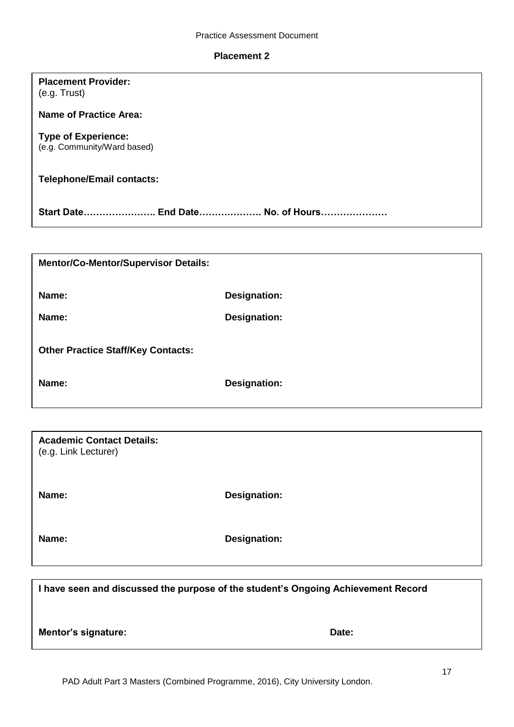#### **Placement 2**

## **Placement Provider:** (e.g. Trust)

**Name of Practice Area:**

## **Type of Experience:**

(e.g. Community/Ward based)

# **Telephone/Email contacts:**

**Start Date………………….. End Date……….………. No. of Hours…………………**

| <b>Mentor/Co-Mentor/Supervisor Details:</b> |                     |
|---------------------------------------------|---------------------|
| Name:                                       | Designation:        |
| Name:                                       | <b>Designation:</b> |
| <b>Other Practice Staff/Key Contacts:</b>   |                     |
| Name:                                       | Designation:        |

| <b>Academic Contact Details:</b><br>(e.g. Link Lecturer) |                     |
|----------------------------------------------------------|---------------------|
| Name:                                                    | <b>Designation:</b> |
| Name:                                                    | <b>Designation:</b> |

| I have seen and discussed the purpose of the student's Ongoing Achievement Record |       |
|-----------------------------------------------------------------------------------|-------|
| Mentor's signature:                                                               | Date: |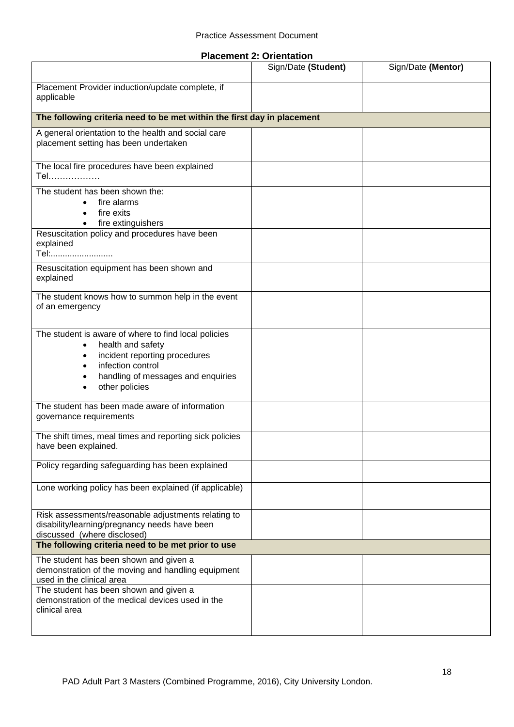|  |  | <b>Placement 2: Orientation</b> |
|--|--|---------------------------------|
|--|--|---------------------------------|

|                                                                                                                                                                                                      | Sign/Date (Student) | Sign/Date (Mentor) |
|------------------------------------------------------------------------------------------------------------------------------------------------------------------------------------------------------|---------------------|--------------------|
| Placement Provider induction/update complete, if<br>applicable                                                                                                                                       |                     |                    |
| The following criteria need to be met within the first day in placement                                                                                                                              |                     |                    |
| A general orientation to the health and social care<br>placement setting has been undertaken                                                                                                         |                     |                    |
| The local fire procedures have been explained<br>Tel                                                                                                                                                 |                     |                    |
| The student has been shown the:<br>fire alarms<br>fire exits<br>fire extinguishers                                                                                                                   |                     |                    |
| Resuscitation policy and procedures have been<br>explained<br>Tel:                                                                                                                                   |                     |                    |
| Resuscitation equipment has been shown and<br>explained                                                                                                                                              |                     |                    |
| The student knows how to summon help in the event<br>of an emergency                                                                                                                                 |                     |                    |
| The student is aware of where to find local policies<br>health and safety<br>$\bullet$<br>incident reporting procedures<br>infection control<br>handling of messages and enquiries<br>other policies |                     |                    |
| The student has been made aware of information<br>governance requirements                                                                                                                            |                     |                    |
| The shift times, meal times and reporting sick policies<br>have been explained.                                                                                                                      |                     |                    |
| Policy regarding safeguarding has been explained                                                                                                                                                     |                     |                    |
| Lone working policy has been explained (if applicable)                                                                                                                                               |                     |                    |
| Risk assessments/reasonable adjustments relating to<br>disability/learning/pregnancy needs have been<br>discussed (where disclosed)                                                                  |                     |                    |
| The following criteria need to be met prior to use                                                                                                                                                   |                     |                    |
| The student has been shown and given a<br>demonstration of the moving and handling equipment<br>used in the clinical area                                                                            |                     |                    |
| The student has been shown and given a<br>demonstration of the medical devices used in the<br>clinical area                                                                                          |                     |                    |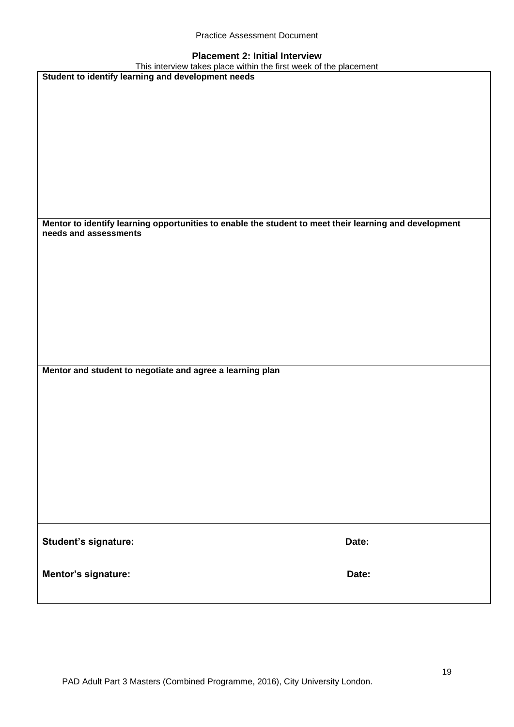| <b>Practice Assessment Document</b> |  |
|-------------------------------------|--|
|-------------------------------------|--|

# **Placement 2: Initial Interview**

| This interview takes place within the first week of the placement                                                               |       |
|---------------------------------------------------------------------------------------------------------------------------------|-------|
| Student to identify learning and development needs                                                                              |       |
|                                                                                                                                 |       |
|                                                                                                                                 |       |
|                                                                                                                                 |       |
|                                                                                                                                 |       |
|                                                                                                                                 |       |
|                                                                                                                                 |       |
|                                                                                                                                 |       |
|                                                                                                                                 |       |
|                                                                                                                                 |       |
|                                                                                                                                 |       |
|                                                                                                                                 |       |
|                                                                                                                                 |       |
|                                                                                                                                 |       |
| Mentor to identify learning opportunities to enable the student to meet their learning and development<br>needs and assessments |       |
|                                                                                                                                 |       |
|                                                                                                                                 |       |
|                                                                                                                                 |       |
|                                                                                                                                 |       |
|                                                                                                                                 |       |
|                                                                                                                                 |       |
|                                                                                                                                 |       |
|                                                                                                                                 |       |
|                                                                                                                                 |       |
|                                                                                                                                 |       |
|                                                                                                                                 |       |
| Mentor and student to negotiate and agree a learning plan                                                                       |       |
|                                                                                                                                 |       |
|                                                                                                                                 |       |
|                                                                                                                                 |       |
|                                                                                                                                 |       |
|                                                                                                                                 |       |
|                                                                                                                                 |       |
|                                                                                                                                 |       |
|                                                                                                                                 |       |
|                                                                                                                                 |       |
|                                                                                                                                 |       |
|                                                                                                                                 |       |
|                                                                                                                                 |       |
|                                                                                                                                 |       |
|                                                                                                                                 |       |
|                                                                                                                                 |       |
| Student's signature:                                                                                                            | Date: |
|                                                                                                                                 |       |
|                                                                                                                                 |       |
|                                                                                                                                 | Date: |
| Mentor's signature:                                                                                                             |       |
|                                                                                                                                 |       |
|                                                                                                                                 |       |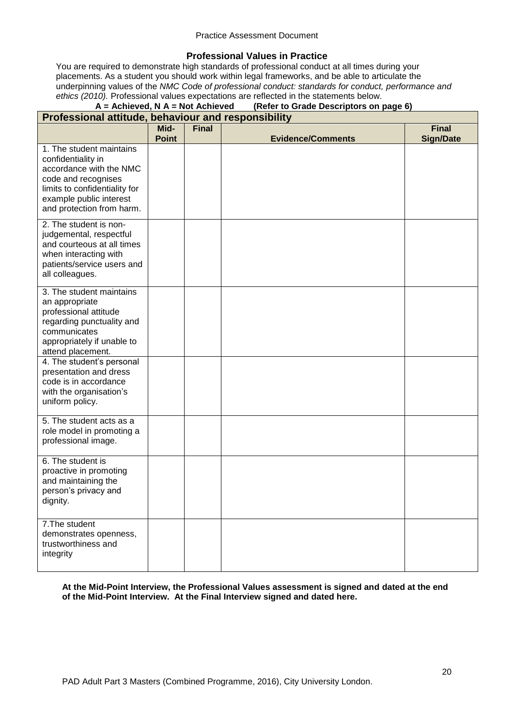#### **Professional Values in Practice**

You are required to demonstrate high standards of professional conduct at all times during your placements. As a student you should work within legal frameworks, and be able to articulate the underpinning values of the *NMC Code of professional conduct: standards for conduct, performance and ethics (2010).* Professional values expectations are reflected in the statements below.

## **A = Achieved, N A = Not Achieved (Refer to Grade Descriptors on page 6)**

| Professional attitude, behaviour and responsibility |              |              |                          |                  |
|-----------------------------------------------------|--------------|--------------|--------------------------|------------------|
|                                                     | Mid-         | <b>Final</b> |                          | <b>Final</b>     |
| 1. The student maintains                            | <b>Point</b> |              | <b>Evidence/Comments</b> | <b>Sign/Date</b> |
| confidentiality in                                  |              |              |                          |                  |
| accordance with the NMC                             |              |              |                          |                  |
| code and recognises                                 |              |              |                          |                  |
| limits to confidentiality for                       |              |              |                          |                  |
| example public interest                             |              |              |                          |                  |
| and protection from harm.                           |              |              |                          |                  |
| 2. The student is non-                              |              |              |                          |                  |
| judgemental, respectful                             |              |              |                          |                  |
| and courteous at all times                          |              |              |                          |                  |
| when interacting with<br>patients/service users and |              |              |                          |                  |
| all colleagues.                                     |              |              |                          |                  |
|                                                     |              |              |                          |                  |
| 3. The student maintains<br>an appropriate          |              |              |                          |                  |
| professional attitude                               |              |              |                          |                  |
| regarding punctuality and                           |              |              |                          |                  |
| communicates                                        |              |              |                          |                  |
| appropriately if unable to                          |              |              |                          |                  |
| attend placement.<br>4. The student's personal      |              |              |                          |                  |
| presentation and dress                              |              |              |                          |                  |
| code is in accordance                               |              |              |                          |                  |
| with the organisation's                             |              |              |                          |                  |
| uniform policy.                                     |              |              |                          |                  |
| 5. The student acts as a                            |              |              |                          |                  |
| role model in promoting a                           |              |              |                          |                  |
| professional image.                                 |              |              |                          |                  |
| 6. The student is                                   |              |              |                          |                  |
| proactive in promoting                              |              |              |                          |                  |
| and maintaining the                                 |              |              |                          |                  |
| person's privacy and                                |              |              |                          |                  |
| dignity.                                            |              |              |                          |                  |
| 7. The student                                      |              |              |                          |                  |
| demonstrates openness,                              |              |              |                          |                  |
| trustworthiness and                                 |              |              |                          |                  |
| integrity                                           |              |              |                          |                  |
|                                                     |              |              |                          |                  |

**At the Mid-Point Interview, the Professional Values assessment is signed and dated at the end of the Mid-Point Interview. At the Final Interview signed and dated here.**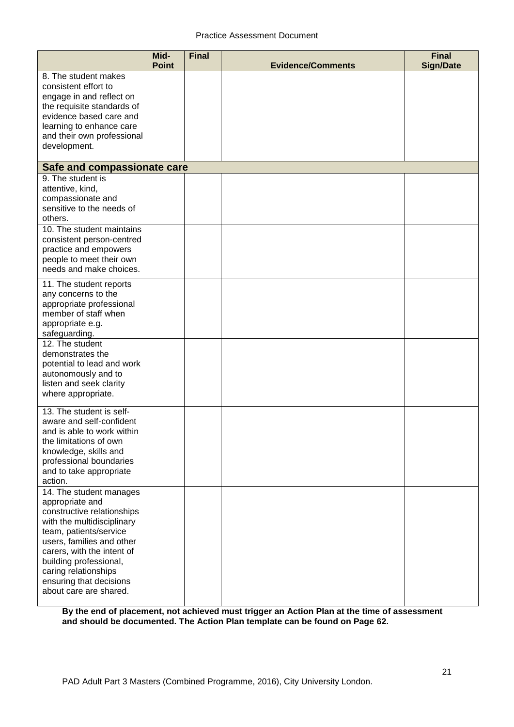|                                                                                                                                                                                                                                                                                                    | Mid-<br><b>Point</b> | <b>Final</b> | <b>Evidence/Comments</b> | <b>Final</b><br><b>Sign/Date</b> |
|----------------------------------------------------------------------------------------------------------------------------------------------------------------------------------------------------------------------------------------------------------------------------------------------------|----------------------|--------------|--------------------------|----------------------------------|
| 8. The student makes<br>consistent effort to<br>engage in and reflect on<br>the requisite standards of<br>evidence based care and<br>learning to enhance care<br>and their own professional<br>development.                                                                                        |                      |              |                          |                                  |
| Safe and compassionate care                                                                                                                                                                                                                                                                        |                      |              |                          |                                  |
| 9. The student is<br>attentive, kind,<br>compassionate and<br>sensitive to the needs of<br>others.                                                                                                                                                                                                 |                      |              |                          |                                  |
| 10. The student maintains<br>consistent person-centred<br>practice and empowers<br>people to meet their own<br>needs and make choices.                                                                                                                                                             |                      |              |                          |                                  |
| 11. The student reports<br>any concerns to the<br>appropriate professional<br>member of staff when<br>appropriate e.g.<br>safeguarding.                                                                                                                                                            |                      |              |                          |                                  |
| 12. The student<br>demonstrates the<br>potential to lead and work<br>autonomously and to<br>listen and seek clarity<br>where appropriate.                                                                                                                                                          |                      |              |                          |                                  |
| 13. The student is self-<br>aware and self-confident<br>and is able to work within<br>the limitations of own<br>knowledge, skills and<br>professional boundaries<br>and to take appropriate<br>action.                                                                                             |                      |              |                          |                                  |
| 14. The student manages<br>appropriate and<br>constructive relationships<br>with the multidisciplinary<br>team, patients/service<br>users, families and other<br>carers, with the intent of<br>building professional,<br>caring relationships<br>ensuring that decisions<br>about care are shared. |                      |              |                          |                                  |

**By the end of placement, not achieved must trigger an Action Plan at the time of assessment and should be documented. The Action Plan template can be found on Page 62.**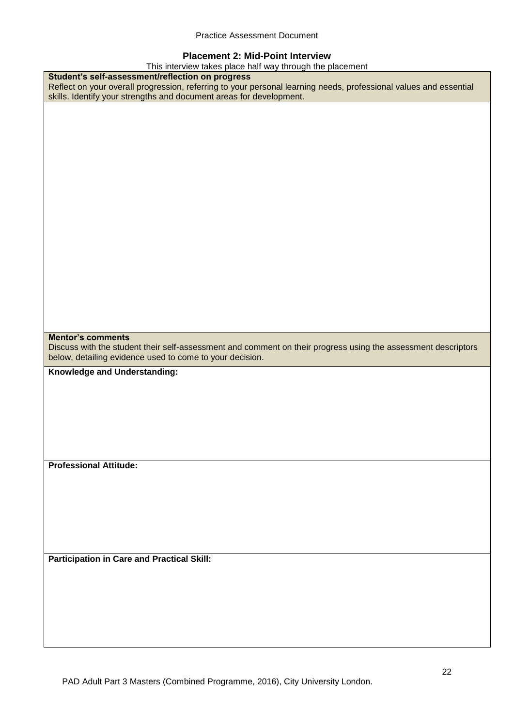#### **Placement 2: Mid-Point Interview**

| This interview takes place half way through the placement                                                         |  |  |
|-------------------------------------------------------------------------------------------------------------------|--|--|
| Student's self-assessment/reflection on progress                                                                  |  |  |
| Reflect on your overall progression, referring to your personal learning needs, professional values and essential |  |  |
| skills. Identify your strengths and document areas for development.                                               |  |  |
|                                                                                                                   |  |  |
|                                                                                                                   |  |  |
|                                                                                                                   |  |  |
|                                                                                                                   |  |  |
|                                                                                                                   |  |  |
|                                                                                                                   |  |  |
|                                                                                                                   |  |  |
|                                                                                                                   |  |  |
|                                                                                                                   |  |  |
|                                                                                                                   |  |  |
|                                                                                                                   |  |  |
|                                                                                                                   |  |  |
|                                                                                                                   |  |  |
|                                                                                                                   |  |  |
|                                                                                                                   |  |  |
|                                                                                                                   |  |  |
|                                                                                                                   |  |  |
|                                                                                                                   |  |  |
|                                                                                                                   |  |  |
|                                                                                                                   |  |  |
|                                                                                                                   |  |  |
|                                                                                                                   |  |  |
| <b>Mentor's comments</b>                                                                                          |  |  |
| Discuss with the student their self-assessment and comment on their progress using the assessment descriptors     |  |  |
|                                                                                                                   |  |  |
| below, detailing evidence used to come to your decision.                                                          |  |  |
|                                                                                                                   |  |  |
| Knowledge and Understanding:                                                                                      |  |  |
|                                                                                                                   |  |  |
|                                                                                                                   |  |  |
|                                                                                                                   |  |  |
|                                                                                                                   |  |  |
|                                                                                                                   |  |  |
|                                                                                                                   |  |  |
|                                                                                                                   |  |  |
|                                                                                                                   |  |  |
| <b>Professional Attitude:</b>                                                                                     |  |  |
|                                                                                                                   |  |  |
|                                                                                                                   |  |  |
|                                                                                                                   |  |  |
|                                                                                                                   |  |  |
|                                                                                                                   |  |  |
|                                                                                                                   |  |  |
|                                                                                                                   |  |  |
|                                                                                                                   |  |  |
| <b>Participation in Care and Practical Skill:</b>                                                                 |  |  |
|                                                                                                                   |  |  |
|                                                                                                                   |  |  |
|                                                                                                                   |  |  |
|                                                                                                                   |  |  |
|                                                                                                                   |  |  |
|                                                                                                                   |  |  |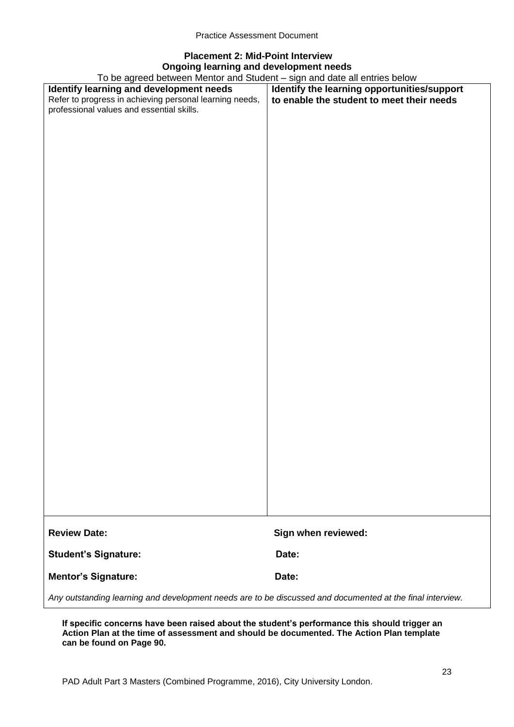# **Placement 2: Mid-Point Interview Ongoing learning and development needs**

To be agreed between Mentor and Student – sign and date all entries below

| To be agreed between Mentor and Student – sign and date all entries below                                 |                                             |  |
|-----------------------------------------------------------------------------------------------------------|---------------------------------------------|--|
| Identify learning and development needs                                                                   | Identify the learning opportunities/support |  |
| Refer to progress in achieving personal learning needs,                                                   | to enable the student to meet their needs   |  |
| professional values and essential skills.                                                                 |                                             |  |
|                                                                                                           |                                             |  |
|                                                                                                           |                                             |  |
|                                                                                                           |                                             |  |
|                                                                                                           |                                             |  |
|                                                                                                           |                                             |  |
|                                                                                                           |                                             |  |
|                                                                                                           |                                             |  |
|                                                                                                           |                                             |  |
|                                                                                                           |                                             |  |
|                                                                                                           |                                             |  |
|                                                                                                           |                                             |  |
|                                                                                                           |                                             |  |
|                                                                                                           |                                             |  |
|                                                                                                           |                                             |  |
|                                                                                                           |                                             |  |
|                                                                                                           |                                             |  |
|                                                                                                           |                                             |  |
|                                                                                                           |                                             |  |
|                                                                                                           |                                             |  |
|                                                                                                           |                                             |  |
|                                                                                                           |                                             |  |
|                                                                                                           |                                             |  |
|                                                                                                           |                                             |  |
|                                                                                                           |                                             |  |
|                                                                                                           |                                             |  |
|                                                                                                           |                                             |  |
|                                                                                                           |                                             |  |
|                                                                                                           |                                             |  |
|                                                                                                           |                                             |  |
|                                                                                                           |                                             |  |
|                                                                                                           |                                             |  |
|                                                                                                           |                                             |  |
|                                                                                                           |                                             |  |
|                                                                                                           |                                             |  |
|                                                                                                           |                                             |  |
|                                                                                                           |                                             |  |
|                                                                                                           |                                             |  |
|                                                                                                           |                                             |  |
|                                                                                                           |                                             |  |
|                                                                                                           |                                             |  |
|                                                                                                           |                                             |  |
|                                                                                                           |                                             |  |
|                                                                                                           |                                             |  |
| <b>Review Date:</b>                                                                                       |                                             |  |
|                                                                                                           | Sign when reviewed:                         |  |
|                                                                                                           |                                             |  |
| <b>Student's Signature:</b>                                                                               | Date:                                       |  |
|                                                                                                           |                                             |  |
| <b>Mentor's Signature:</b>                                                                                | Date:                                       |  |
|                                                                                                           |                                             |  |
| Any outstanding learning and development needs are to be discussed and documented at the final interview. |                                             |  |

**If specific concerns have been raised about the student's performance this should trigger an Action Plan at the time of assessment and should be documented. The Action Plan template can be found on Page 90.**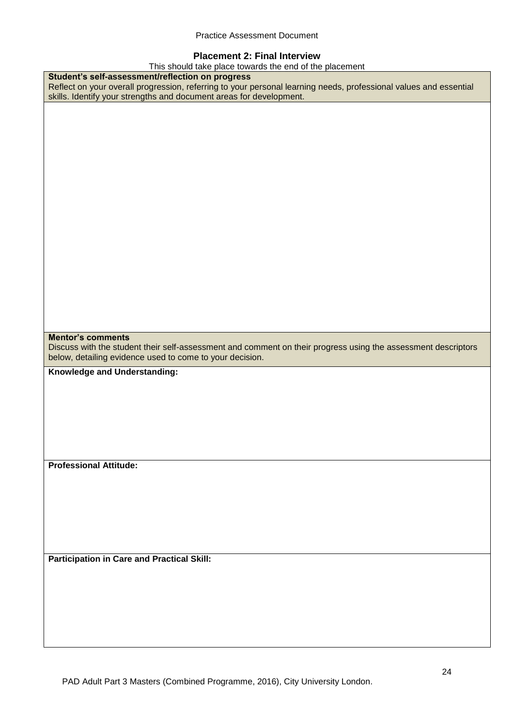#### **Placement 2: Final Interview**

This should take place towards the end of the placement

| This should take place towards the end of the placement                                                           |
|-------------------------------------------------------------------------------------------------------------------|
| Student's self-assessment/reflection on progress                                                                  |
| Reflect on your overall progression, referring to your personal learning needs, professional values and essential |
| skills. Identify your strengths and document areas for development.                                               |
|                                                                                                                   |
|                                                                                                                   |
|                                                                                                                   |
|                                                                                                                   |
|                                                                                                                   |
|                                                                                                                   |
|                                                                                                                   |
|                                                                                                                   |
|                                                                                                                   |
|                                                                                                                   |
|                                                                                                                   |
|                                                                                                                   |
|                                                                                                                   |
|                                                                                                                   |
|                                                                                                                   |
|                                                                                                                   |
|                                                                                                                   |
|                                                                                                                   |
|                                                                                                                   |
|                                                                                                                   |
|                                                                                                                   |
|                                                                                                                   |
|                                                                                                                   |
|                                                                                                                   |
| <b>Mentor's comments</b>                                                                                          |
| Discuss with the student their self-assessment and comment on their progress using the assessment descriptors     |
|                                                                                                                   |
|                                                                                                                   |
| below, detailing evidence used to come to your decision.                                                          |
| Knowledge and Understanding:                                                                                      |
|                                                                                                                   |
|                                                                                                                   |
|                                                                                                                   |
|                                                                                                                   |
|                                                                                                                   |
|                                                                                                                   |
|                                                                                                                   |
|                                                                                                                   |
|                                                                                                                   |
| <b>Professional Attitude:</b>                                                                                     |
|                                                                                                                   |
|                                                                                                                   |
|                                                                                                                   |
|                                                                                                                   |
|                                                                                                                   |
|                                                                                                                   |
|                                                                                                                   |
|                                                                                                                   |
|                                                                                                                   |
| <b>Participation in Care and Practical Skill:</b>                                                                 |
|                                                                                                                   |
|                                                                                                                   |
|                                                                                                                   |
|                                                                                                                   |
|                                                                                                                   |
|                                                                                                                   |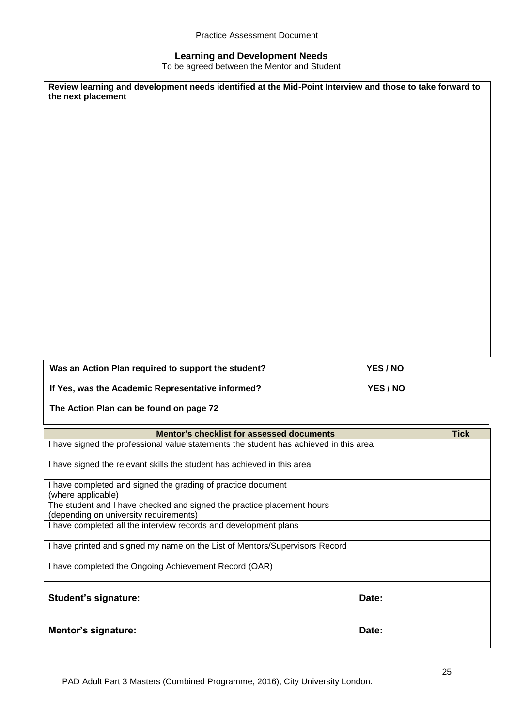#### **Learning and Development Needs**

To be agreed between the Mentor and Student

| the next placement                                                                                         | Review learning and development needs identified at the Mid-Point Interview and those to take forward to |             |
|------------------------------------------------------------------------------------------------------------|----------------------------------------------------------------------------------------------------------|-------------|
|                                                                                                            |                                                                                                          |             |
|                                                                                                            |                                                                                                          |             |
| Was an Action Plan required to support the student?                                                        | YES / NO                                                                                                 |             |
|                                                                                                            |                                                                                                          |             |
| If Yes, was the Academic Representative informed?                                                          | YES / NO                                                                                                 |             |
| The Action Plan can be found on page 72                                                                    |                                                                                                          |             |
| Mentor's checklist for assessed documents                                                                  |                                                                                                          | <b>Tick</b> |
| I have signed the professional value statements the student has achieved in this area                      |                                                                                                          |             |
| I have signed the relevant skills the student has achieved in this area                                    |                                                                                                          |             |
| I have completed and signed the grading of practice document                                               |                                                                                                          |             |
| (where applicable)<br>The student and I have checked and signed the practice placement hours               |                                                                                                          |             |
| (depending on university requirements)<br>I have completed all the interview records and development plans |                                                                                                          |             |
| I have printed and signed my name on the List of Mentors/Supervisors Record                                |                                                                                                          |             |
| I have completed the Ongoing Achievement Record (OAR)                                                      |                                                                                                          |             |
| <b>Student's signature:</b>                                                                                | Date:                                                                                                    |             |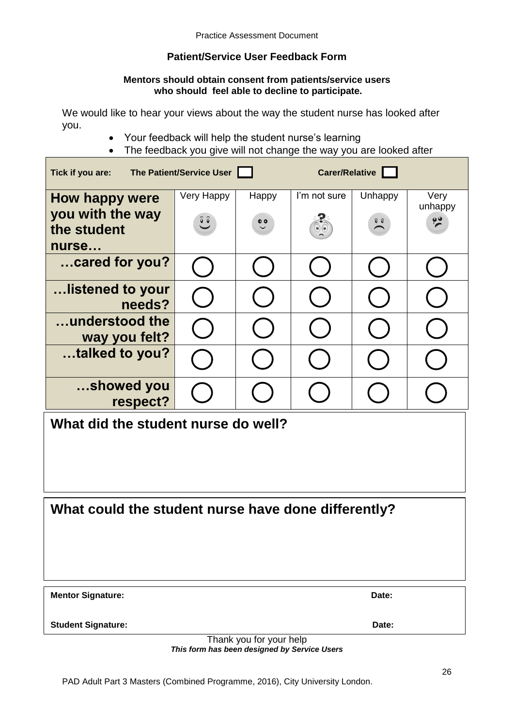# **Patient/Service User Feedback Form**

#### **Mentors should obtain consent from patients/service users who should feel able to decline to participate.**

We would like to hear your views about the way the student nurse has looked after you.

- Your feedback will help the student nurse's learning
- The feedback you give will not change the way you are looked after

| Tick if you are:                    | The Patient/Service User |                  | Carer/Relative |                  |                      |
|-------------------------------------|--------------------------|------------------|----------------|------------------|----------------------|
| How happy were                      | Very Happy               | Happy            | I'm not sure   | Unhappy          | Very<br>unhappy      |
| you with the way<br>the student     | $\hat{c}$                | $\ddot{\bullet}$ |                | $\sum_{i=1}^{n}$ | $\tilde{\mathbf{z}}$ |
| nurse                               |                          |                  |                |                  |                      |
| cared for you?                      |                          |                  |                |                  |                      |
| listened to your<br>needs?          |                          |                  |                |                  |                      |
| understood the<br>way you felt?     |                          |                  |                |                  |                      |
| talked to you?                      |                          |                  |                |                  |                      |
| showed you<br>respect?              |                          |                  |                |                  |                      |
| What did the student nurse do well? |                          |                  |                |                  |                      |

# **What could the student nurse have done differently?**

| <b>Mentor Signature:</b> | Date: |
|--------------------------|-------|
|                          |       |

**Student Signature: Date:**

Thank you for your help *This form has been designed by Service Users*

PAD Adult Part 3 Masters (Combined Programme, 2016), City University London.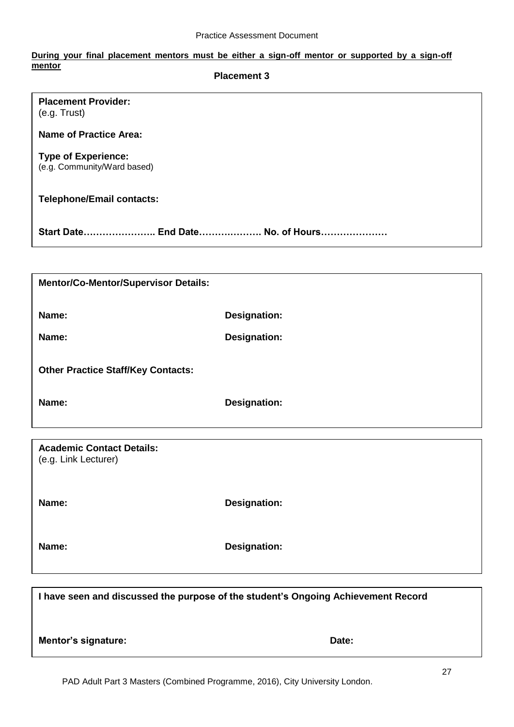#### **During your final placement mentors must be either a sign-off mentor or supported by a sign-off mentor Placement 3**

| <b>Placement Provider:</b><br>(e.g. Trust)                |                     |  |
|-----------------------------------------------------------|---------------------|--|
| <b>Name of Practice Area:</b>                             |                     |  |
| <b>Type of Experience:</b><br>(e.g. Community/Ward based) |                     |  |
| <b>Telephone/Email contacts:</b>                          |                     |  |
| Start Date End Date No. of Hours                          |                     |  |
|                                                           |                     |  |
| <b>Mentor/Co-Mentor/Supervisor Details:</b>               |                     |  |
| Name:                                                     | <b>Designation:</b> |  |
| Name:                                                     | Designation:        |  |
| <b>Other Practice Staff/Key Contacts:</b>                 |                     |  |
| Name:                                                     | <b>Designation:</b> |  |
|                                                           |                     |  |

**Academic Contact Details:** (e.g. Link Lecturer)

**Name: Designation:**

**Name: Designation:** 

**I have seen and discussed the purpose of the student's Ongoing Achievement Record**

**Mentor's signature:** Date: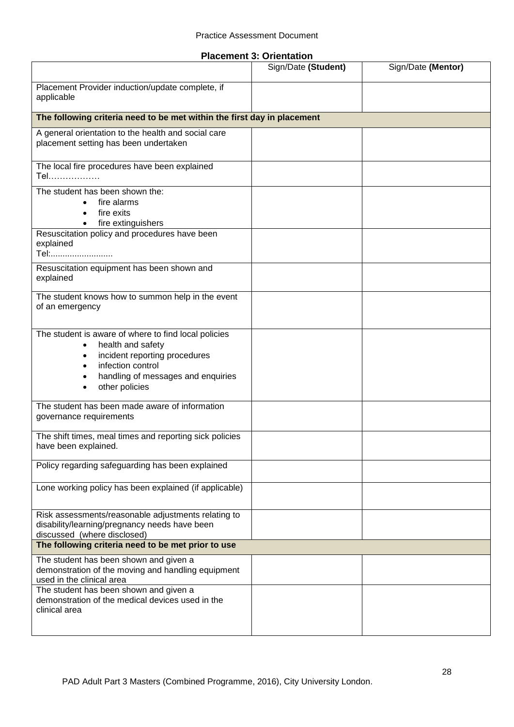|  |  | <b>Placement 3: Orientation</b> |
|--|--|---------------------------------|
|--|--|---------------------------------|

|                                                                                                                                                                                         | Sign/Date (Student) | Sign/Date (Mentor) |
|-----------------------------------------------------------------------------------------------------------------------------------------------------------------------------------------|---------------------|--------------------|
| Placement Provider induction/update complete, if<br>applicable                                                                                                                          |                     |                    |
| The following criteria need to be met within the first day in placement                                                                                                                 |                     |                    |
| A general orientation to the health and social care<br>placement setting has been undertaken                                                                                            |                     |                    |
| The local fire procedures have been explained<br>Tel                                                                                                                                    |                     |                    |
| The student has been shown the:<br>fire alarms<br>fire exits<br>fire extinguishers<br>$\bullet$                                                                                         |                     |                    |
| Resuscitation policy and procedures have been<br>explained<br>Tel:                                                                                                                      |                     |                    |
| Resuscitation equipment has been shown and<br>explained                                                                                                                                 |                     |                    |
| The student knows how to summon help in the event<br>of an emergency                                                                                                                    |                     |                    |
| The student is aware of where to find local policies<br>health and safety<br>incident reporting procedures<br>infection control<br>handling of messages and enquiries<br>other policies |                     |                    |
| The student has been made aware of information<br>governance requirements                                                                                                               |                     |                    |
| The shift times, meal times and reporting sick policies<br>have been explained.                                                                                                         |                     |                    |
| Policy regarding safeguarding has been explained                                                                                                                                        |                     |                    |
| Lone working policy has been explained (if applicable)                                                                                                                                  |                     |                    |
| Risk assessments/reasonable adjustments relating to<br>disability/learning/pregnancy needs have been<br>discussed (where disclosed)                                                     |                     |                    |
| The following criteria need to be met prior to use                                                                                                                                      |                     |                    |
| The student has been shown and given a<br>demonstration of the moving and handling equipment<br>used in the clinical area                                                               |                     |                    |
| The student has been shown and given a<br>demonstration of the medical devices used in the<br>clinical area                                                                             |                     |                    |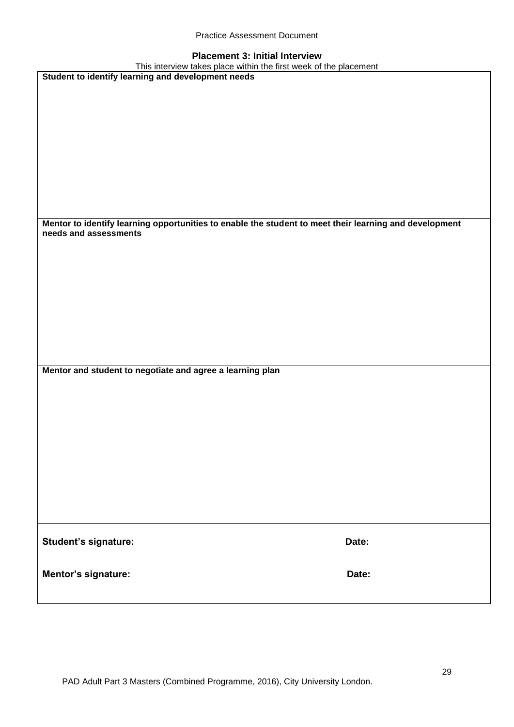| <b>Practice Assessment Document</b> |  |
|-------------------------------------|--|
|-------------------------------------|--|

#### **Placement 3: Initial Interview**

| This interview takes place within the first week of the placement                                                               |       |
|---------------------------------------------------------------------------------------------------------------------------------|-------|
| Student to identify learning and development needs                                                                              |       |
|                                                                                                                                 |       |
|                                                                                                                                 |       |
|                                                                                                                                 |       |
|                                                                                                                                 |       |
|                                                                                                                                 |       |
|                                                                                                                                 |       |
|                                                                                                                                 |       |
|                                                                                                                                 |       |
|                                                                                                                                 |       |
|                                                                                                                                 |       |
|                                                                                                                                 |       |
|                                                                                                                                 |       |
|                                                                                                                                 |       |
|                                                                                                                                 |       |
| Mentor to identify learning opportunities to enable the student to meet their learning and development<br>needs and assessments |       |
|                                                                                                                                 |       |
|                                                                                                                                 |       |
|                                                                                                                                 |       |
|                                                                                                                                 |       |
|                                                                                                                                 |       |
|                                                                                                                                 |       |
|                                                                                                                                 |       |
|                                                                                                                                 |       |
|                                                                                                                                 |       |
|                                                                                                                                 |       |
|                                                                                                                                 |       |
|                                                                                                                                 |       |
|                                                                                                                                 |       |
| Mentor and student to negotiate and agree a learning plan                                                                       |       |
|                                                                                                                                 |       |
|                                                                                                                                 |       |
|                                                                                                                                 |       |
|                                                                                                                                 |       |
|                                                                                                                                 |       |
|                                                                                                                                 |       |
|                                                                                                                                 |       |
|                                                                                                                                 |       |
|                                                                                                                                 |       |
|                                                                                                                                 |       |
|                                                                                                                                 |       |
|                                                                                                                                 |       |
|                                                                                                                                 |       |
|                                                                                                                                 |       |
|                                                                                                                                 |       |
|                                                                                                                                 |       |
| Student's signature:                                                                                                            | Date: |
|                                                                                                                                 |       |
|                                                                                                                                 |       |
|                                                                                                                                 | Date: |
| Mentor's signature:                                                                                                             |       |
|                                                                                                                                 |       |
|                                                                                                                                 |       |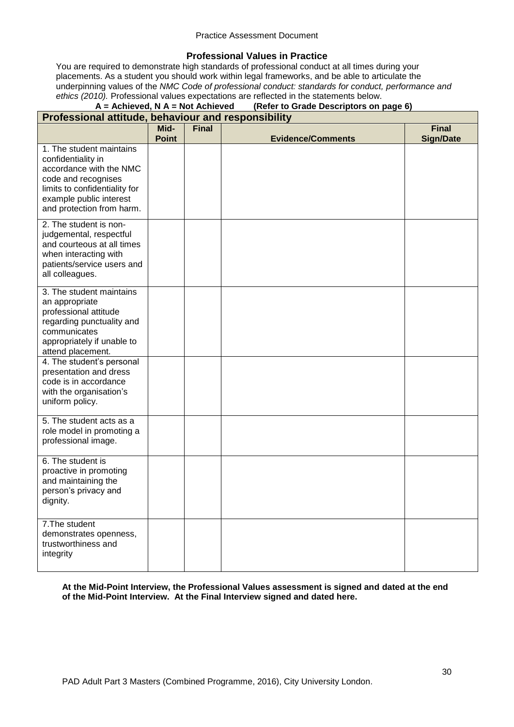#### **Professional Values in Practice**

You are required to demonstrate high standards of professional conduct at all times during your placements. As a student you should work within legal frameworks, and be able to articulate the underpinning values of the *NMC Code of professional conduct: standards for conduct, performance and ethics (2010).* Professional values expectations are reflected in the statements below.

# **A = Achieved, N A = Not Achieved (Refer to Grade Descriptors on page 6)**

| Professional attitude, behaviour and responsibility                                                                                                                                       |                      |              |                          |                                  |
|-------------------------------------------------------------------------------------------------------------------------------------------------------------------------------------------|----------------------|--------------|--------------------------|----------------------------------|
|                                                                                                                                                                                           | Mid-<br><b>Point</b> | <b>Final</b> | <b>Evidence/Comments</b> | <b>Final</b><br><b>Sign/Date</b> |
| 1. The student maintains<br>confidentiality in<br>accordance with the NMC<br>code and recognises<br>limits to confidentiality for<br>example public interest<br>and protection from harm. |                      |              |                          |                                  |
| 2. The student is non-<br>judgemental, respectful<br>and courteous at all times<br>when interacting with<br>patients/service users and<br>all colleagues.                                 |                      |              |                          |                                  |
| 3. The student maintains<br>an appropriate<br>professional attitude<br>regarding punctuality and<br>communicates<br>appropriately if unable to<br>attend placement.                       |                      |              |                          |                                  |
| 4. The student's personal<br>presentation and dress<br>code is in accordance<br>with the organisation's<br>uniform policy.                                                                |                      |              |                          |                                  |
| 5. The student acts as a<br>role model in promoting a<br>professional image.                                                                                                              |                      |              |                          |                                  |
| 6. The student is<br>proactive in promoting<br>and maintaining the<br>person's privacy and<br>dignity.                                                                                    |                      |              |                          |                                  |
| 7. The student<br>demonstrates openness,<br>trustworthiness and<br>integrity                                                                                                              |                      |              |                          |                                  |

**At the Mid-Point Interview, the Professional Values assessment is signed and dated at the end of the Mid-Point Interview. At the Final Interview signed and dated here.**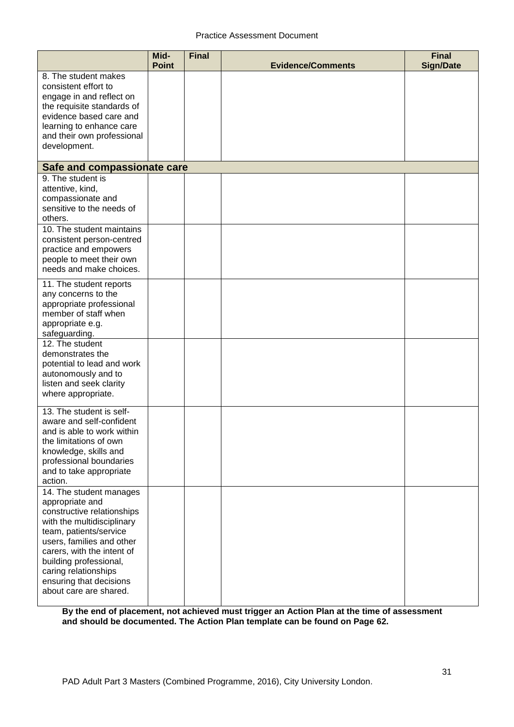|                                                                                                                                                                                                                                                                                                    | Mid-<br><b>Point</b> | <b>Final</b> | <b>Evidence/Comments</b> | <b>Final</b><br><b>Sign/Date</b> |
|----------------------------------------------------------------------------------------------------------------------------------------------------------------------------------------------------------------------------------------------------------------------------------------------------|----------------------|--------------|--------------------------|----------------------------------|
| 8. The student makes<br>consistent effort to<br>engage in and reflect on<br>the requisite standards of<br>evidence based care and<br>learning to enhance care<br>and their own professional<br>development.                                                                                        |                      |              |                          |                                  |
| Safe and compassionate care                                                                                                                                                                                                                                                                        |                      |              |                          |                                  |
| 9. The student is<br>attentive, kind,<br>compassionate and<br>sensitive to the needs of<br>others.                                                                                                                                                                                                 |                      |              |                          |                                  |
| 10. The student maintains<br>consistent person-centred<br>practice and empowers<br>people to meet their own<br>needs and make choices.                                                                                                                                                             |                      |              |                          |                                  |
| 11. The student reports<br>any concerns to the<br>appropriate professional<br>member of staff when<br>appropriate e.g.<br>safeguarding.                                                                                                                                                            |                      |              |                          |                                  |
| 12. The student<br>demonstrates the<br>potential to lead and work<br>autonomously and to<br>listen and seek clarity<br>where appropriate.                                                                                                                                                          |                      |              |                          |                                  |
| 13. The student is self-<br>aware and self-confident<br>and is able to work within<br>the limitations of own<br>knowledge, skills and<br>professional boundaries<br>and to take appropriate<br>action.                                                                                             |                      |              |                          |                                  |
| 14. The student manages<br>appropriate and<br>constructive relationships<br>with the multidisciplinary<br>team, patients/service<br>users, families and other<br>carers, with the intent of<br>building professional,<br>caring relationships<br>ensuring that decisions<br>about care are shared. |                      |              |                          |                                  |

**By the end of placement, not achieved must trigger an Action Plan at the time of assessment and should be documented. The Action Plan template can be found on Page 62.**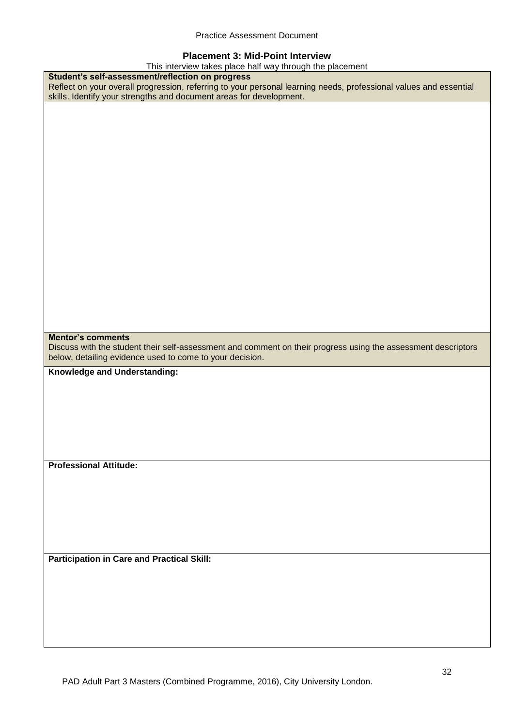#### **Placement 3: Mid-Point Interview**

| This interview takes place half way through the placement                                                         |
|-------------------------------------------------------------------------------------------------------------------|
| Student's self-assessment/reflection on progress                                                                  |
| Reflect on your overall progression, referring to your personal learning needs, professional values and essential |
| skills. Identify your strengths and document areas for development.                                               |
|                                                                                                                   |
|                                                                                                                   |
|                                                                                                                   |
|                                                                                                                   |
|                                                                                                                   |
|                                                                                                                   |
|                                                                                                                   |
|                                                                                                                   |
|                                                                                                                   |
|                                                                                                                   |
|                                                                                                                   |
|                                                                                                                   |
|                                                                                                                   |
|                                                                                                                   |
|                                                                                                                   |
|                                                                                                                   |
|                                                                                                                   |
|                                                                                                                   |
|                                                                                                                   |
|                                                                                                                   |
|                                                                                                                   |
| <b>Mentor's comments</b>                                                                                          |
| Discuss with the student their self-assessment and comment on their progress using the assessment descriptors     |
|                                                                                                                   |
|                                                                                                                   |
| below, detailing evidence used to come to your decision.                                                          |
| Knowledge and Understanding:                                                                                      |
|                                                                                                                   |
|                                                                                                                   |
|                                                                                                                   |
|                                                                                                                   |
|                                                                                                                   |
|                                                                                                                   |
|                                                                                                                   |
|                                                                                                                   |
| <b>Professional Attitude:</b>                                                                                     |
|                                                                                                                   |
|                                                                                                                   |
|                                                                                                                   |
|                                                                                                                   |
|                                                                                                                   |
|                                                                                                                   |
|                                                                                                                   |
|                                                                                                                   |
| <b>Participation in Care and Practical Skill:</b>                                                                 |
|                                                                                                                   |
|                                                                                                                   |
|                                                                                                                   |
|                                                                                                                   |
|                                                                                                                   |
|                                                                                                                   |
|                                                                                                                   |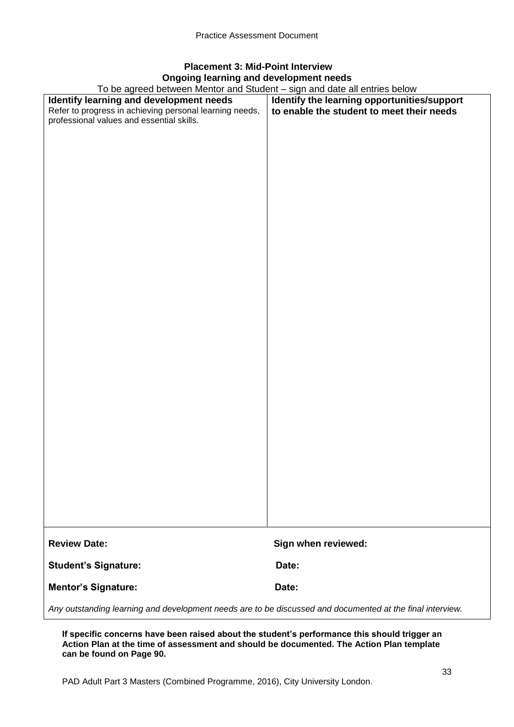# **Placement 3: Mid-Point Interview Ongoing learning and development needs**

To be agreed between Mentor and Student – sign and date all entries below

| <u>10 be agreed between Mentor and Student – sign and date all entries below</u>                          |                                             |
|-----------------------------------------------------------------------------------------------------------|---------------------------------------------|
| Identify learning and development needs                                                                   | Identify the learning opportunities/support |
| Refer to progress in achieving personal learning needs,                                                   | to enable the student to meet their needs   |
| professional values and essential skills.                                                                 |                                             |
|                                                                                                           |                                             |
|                                                                                                           |                                             |
|                                                                                                           |                                             |
|                                                                                                           |                                             |
|                                                                                                           |                                             |
|                                                                                                           |                                             |
|                                                                                                           |                                             |
|                                                                                                           |                                             |
|                                                                                                           |                                             |
|                                                                                                           |                                             |
|                                                                                                           |                                             |
|                                                                                                           |                                             |
|                                                                                                           |                                             |
|                                                                                                           |                                             |
|                                                                                                           |                                             |
|                                                                                                           |                                             |
|                                                                                                           |                                             |
|                                                                                                           |                                             |
|                                                                                                           |                                             |
|                                                                                                           |                                             |
|                                                                                                           |                                             |
|                                                                                                           |                                             |
|                                                                                                           |                                             |
|                                                                                                           |                                             |
|                                                                                                           |                                             |
|                                                                                                           |                                             |
|                                                                                                           |                                             |
|                                                                                                           |                                             |
|                                                                                                           |                                             |
|                                                                                                           |                                             |
|                                                                                                           |                                             |
|                                                                                                           |                                             |
|                                                                                                           |                                             |
|                                                                                                           |                                             |
|                                                                                                           |                                             |
|                                                                                                           |                                             |
|                                                                                                           |                                             |
|                                                                                                           |                                             |
|                                                                                                           |                                             |
|                                                                                                           |                                             |
|                                                                                                           |                                             |
|                                                                                                           |                                             |
|                                                                                                           |                                             |
|                                                                                                           |                                             |
|                                                                                                           |                                             |
|                                                                                                           |                                             |
|                                                                                                           |                                             |
| <b>Review Date:</b>                                                                                       | Sign when reviewed:                         |
|                                                                                                           |                                             |
|                                                                                                           |                                             |
| <b>Student's Signature:</b>                                                                               | Date:                                       |
|                                                                                                           |                                             |
| <b>Mentor's Signature:</b>                                                                                | Date:                                       |
|                                                                                                           |                                             |
|                                                                                                           |                                             |
| Any outstanding learning and development needs are to be discussed and documented at the final interview. |                                             |

**If specific concerns have been raised about the student's performance this should trigger an Action Plan at the time of assessment and should be documented. The Action Plan template can be found on Page 90.**

PAD Adult Part 3 Masters (Combined Programme, 2016), City University London.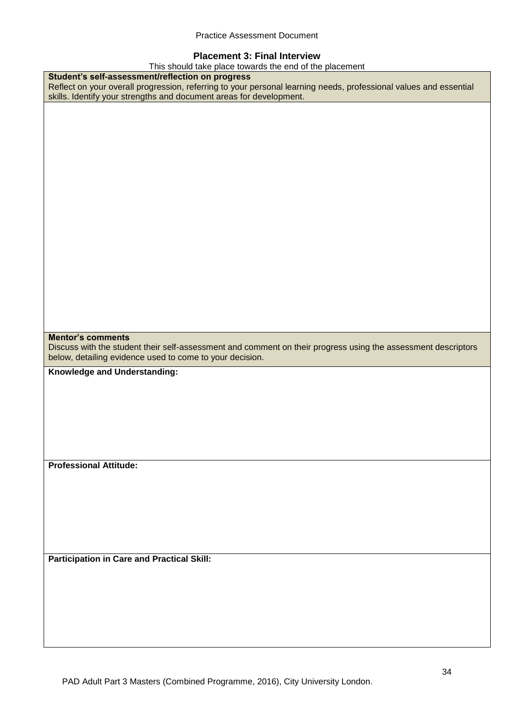#### **Placement 3: Final Interview**

This should take place towards the end of the placement

| This should take place towards the end of the placement                                                           |
|-------------------------------------------------------------------------------------------------------------------|
| Student's self-assessment/reflection on progress                                                                  |
| Reflect on your overall progression, referring to your personal learning needs, professional values and essential |
| skills. Identify your strengths and document areas for development.                                               |
|                                                                                                                   |
|                                                                                                                   |
|                                                                                                                   |
|                                                                                                                   |
|                                                                                                                   |
|                                                                                                                   |
|                                                                                                                   |
|                                                                                                                   |
|                                                                                                                   |
|                                                                                                                   |
|                                                                                                                   |
|                                                                                                                   |
|                                                                                                                   |
|                                                                                                                   |
|                                                                                                                   |
|                                                                                                                   |
|                                                                                                                   |
|                                                                                                                   |
|                                                                                                                   |
|                                                                                                                   |
|                                                                                                                   |
|                                                                                                                   |
|                                                                                                                   |
| <b>Mentor's comments</b>                                                                                          |
|                                                                                                                   |
| Discuss with the student their self-assessment and comment on their progress using the assessment descriptors     |
|                                                                                                                   |
| below, detailing evidence used to come to your decision.                                                          |
|                                                                                                                   |
| Knowledge and Understanding:                                                                                      |
|                                                                                                                   |
|                                                                                                                   |
|                                                                                                                   |
|                                                                                                                   |
|                                                                                                                   |
|                                                                                                                   |
|                                                                                                                   |
|                                                                                                                   |
| <b>Professional Attitude:</b>                                                                                     |
|                                                                                                                   |
|                                                                                                                   |
|                                                                                                                   |
|                                                                                                                   |
|                                                                                                                   |
|                                                                                                                   |
|                                                                                                                   |
|                                                                                                                   |
|                                                                                                                   |
| <b>Participation in Care and Practical Skill:</b>                                                                 |
|                                                                                                                   |
|                                                                                                                   |
|                                                                                                                   |
|                                                                                                                   |
|                                                                                                                   |
|                                                                                                                   |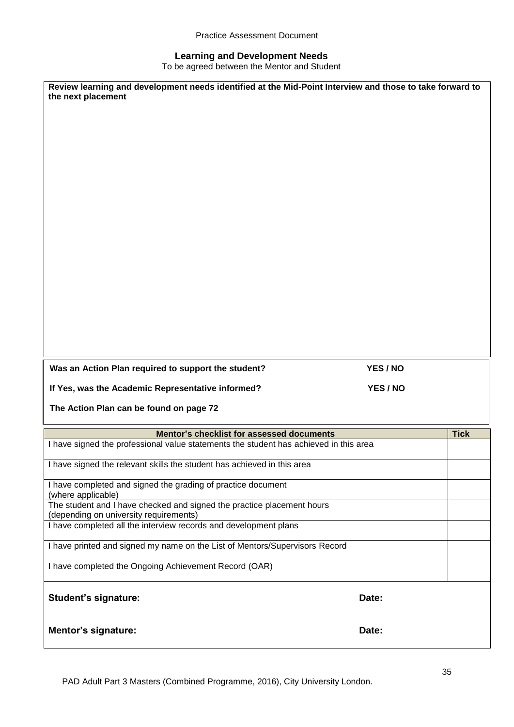Practice Assessment Document

#### **Learning and Development Needs**

To be agreed between the Mentor and Student

| Review learning and development needs identified at the Mid-Point Interview and those to take forward to<br>the next placement |          |             |
|--------------------------------------------------------------------------------------------------------------------------------|----------|-------------|
|                                                                                                                                |          |             |
|                                                                                                                                |          |             |
|                                                                                                                                |          |             |
|                                                                                                                                |          |             |
|                                                                                                                                |          |             |
|                                                                                                                                |          |             |
|                                                                                                                                |          |             |
|                                                                                                                                |          |             |
|                                                                                                                                |          |             |
|                                                                                                                                |          |             |
|                                                                                                                                |          |             |
|                                                                                                                                |          |             |
|                                                                                                                                |          |             |
|                                                                                                                                |          |             |
|                                                                                                                                |          |             |
| Was an Action Plan required to support the student?                                                                            |          |             |
|                                                                                                                                | YES / NO |             |
| If Yes, was the Academic Representative informed?                                                                              | YES / NO |             |
| The Action Plan can be found on page 72                                                                                        |          |             |
| Mentor's checklist for assessed documents                                                                                      |          | <b>Tick</b> |
| I have signed the professional value statements the student has achieved in this area                                          |          |             |
| I have signed the relevant skills the student has achieved in this area                                                        |          |             |
| I have completed and signed the grading of practice document                                                                   |          |             |
| (where applicable)<br>The student and I have checked and signed the practice placement hours                                   |          |             |
| (depending on university requirements)<br>I have completed all the interview records and development plans                     |          |             |
| I have printed and signed my name on the List of Mentors/Supervisors Record                                                    |          |             |
| I have completed the Ongoing Achievement Record (OAR)                                                                          |          |             |
|                                                                                                                                |          |             |
| <b>Student's signature:</b>                                                                                                    | Date:    |             |
| <b>Mentor's signature:</b>                                                                                                     | Date:    |             |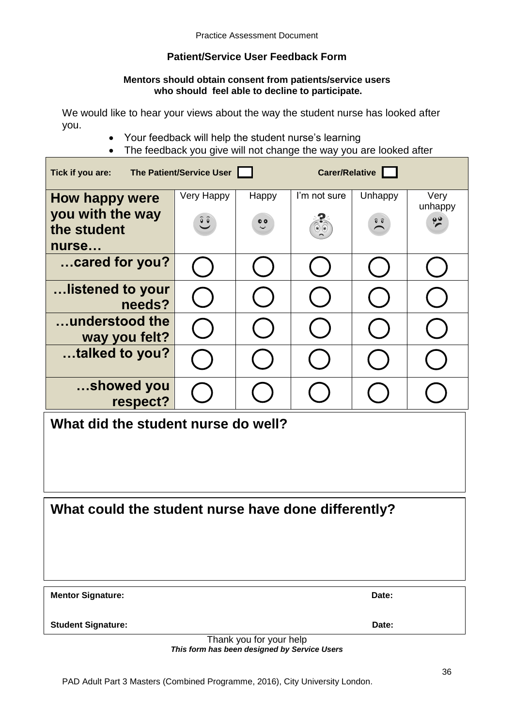# **Patient/Service User Feedback Form**

#### **Mentors should obtain consent from patients/service users who should feel able to decline to participate.**

We would like to hear your views about the way the student nurse has looked after you.

- Your feedback will help the student nurse's learning
- The feedback you give will not change the way you are looked after

| Carer/Relative<br>Tick if you are:<br>The Patient/Service User |                                        |                           |                                          |                                        |                                  |  |  |  |
|----------------------------------------------------------------|----------------------------------------|---------------------------|------------------------------------------|----------------------------------------|----------------------------------|--|--|--|
| How happy were<br>you with the way<br>the student<br>nurse     | Very Happy<br>$\widetilde{\mathbf{C}}$ | Happy<br>$\ddot{\bullet}$ | I'm not sure<br>$\circledcirc$ ( $\circ$ | Unhappy<br>$\widehat{v}$ $\widehat{v}$ | Very<br>unhappy<br>$\frac{1}{2}$ |  |  |  |
| cared for you?                                                 |                                        |                           |                                          |                                        |                                  |  |  |  |
| listened to your<br>needs?                                     |                                        |                           |                                          |                                        |                                  |  |  |  |
| understood the<br>way you felt?                                |                                        |                           |                                          |                                        |                                  |  |  |  |
| talked to you?                                                 |                                        |                           |                                          |                                        |                                  |  |  |  |
| showed you<br>respect?                                         |                                        |                           |                                          |                                        |                                  |  |  |  |
| What did the student nurse do well?                            |                                        |                           |                                          |                                        |                                  |  |  |  |

# **What could the student nurse have done differently?**

| <b>Mentor Signature:</b> | Date: |
|--------------------------|-------|
|                          |       |

**Student Signature:** Date:

Thank you for your help *This form has been designed by Service Users*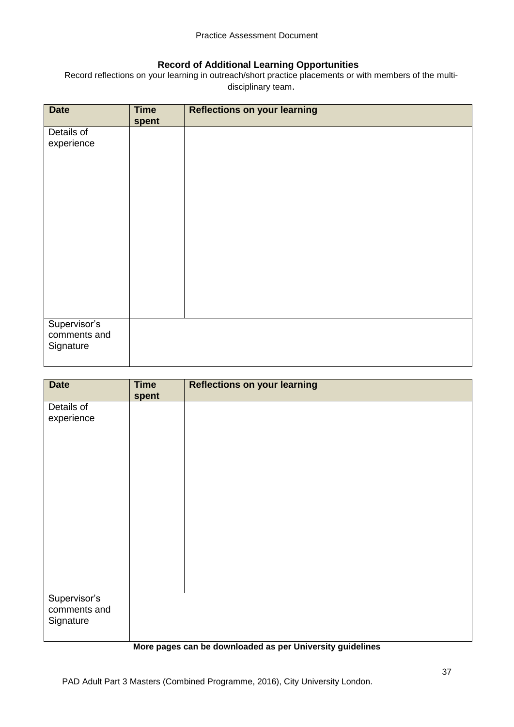### **Record of Additional Learning Opportunities**

Record reflections on your learning in outreach/short practice placements or with members of the multidisciplinary team.

| <b>Date</b>                  | <b>Time</b><br>spent | <b>Reflections on your learning</b> |
|------------------------------|----------------------|-------------------------------------|
| Details of                   |                      |                                     |
| experience                   |                      |                                     |
|                              |                      |                                     |
|                              |                      |                                     |
|                              |                      |                                     |
|                              |                      |                                     |
|                              |                      |                                     |
|                              |                      |                                     |
|                              |                      |                                     |
|                              |                      |                                     |
|                              |                      |                                     |
|                              |                      |                                     |
| Supervisor's<br>comments and |                      |                                     |
| Signature                    |                      |                                     |
|                              |                      |                                     |

| <b>Date</b>                               | <b>Time</b><br>spent | <b>Reflections on your learning</b> |
|-------------------------------------------|----------------------|-------------------------------------|
| Details of<br>experience                  |                      |                                     |
| Supervisor's<br>comments and<br>Signature |                      |                                     |

#### **More pages can be downloaded as per University guidelines**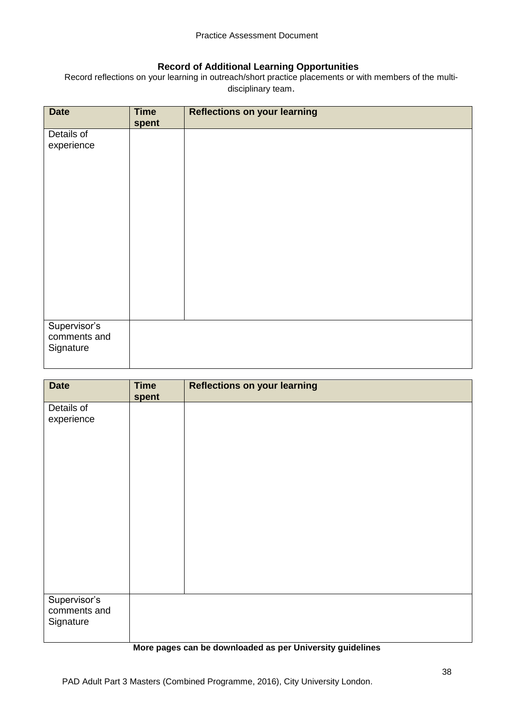#### **Record of Additional Learning Opportunities**

Record reflections on your learning in outreach/short practice placements or with members of the multidisciplinary team.

| <b>Date</b>                               | <b>Time</b><br>spent | <b>Reflections on your learning</b> |
|-------------------------------------------|----------------------|-------------------------------------|
| Details of<br>experience                  |                      |                                     |
| Supervisor's<br>comments and<br>Signature |                      |                                     |

| <b>Reflections on your learning</b> |
|-------------------------------------|
|                                     |
|                                     |
|                                     |
|                                     |
|                                     |
|                                     |
|                                     |
|                                     |
|                                     |
|                                     |
|                                     |
|                                     |
|                                     |
|                                     |
|                                     |
|                                     |
|                                     |
|                                     |
|                                     |
|                                     |
|                                     |
|                                     |

#### **More pages can be downloaded as per University guidelines**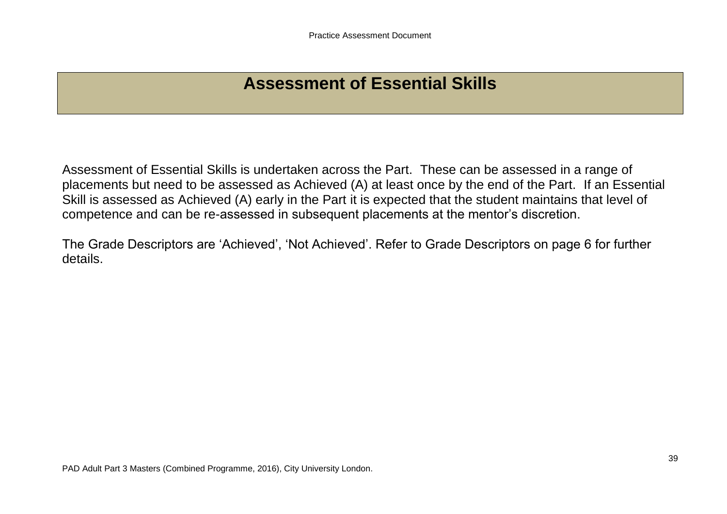# **Assessment of Essential Skills**

Assessment of Essential Skills is undertaken across the Part. These can be assessed in a range of placements but need to be assessed as Achieved (A) at least once by the end of the Part. If an Essential Skill is assessed as Achieved (A) early in the Part it is expected that the student maintains that level of competence and can be re-assessed in subsequent placements at the mentor's discretion.

The Grade Descriptors are 'Achieved', 'Not Achieved'. Refer to Grade Descriptors on page 6 for further details.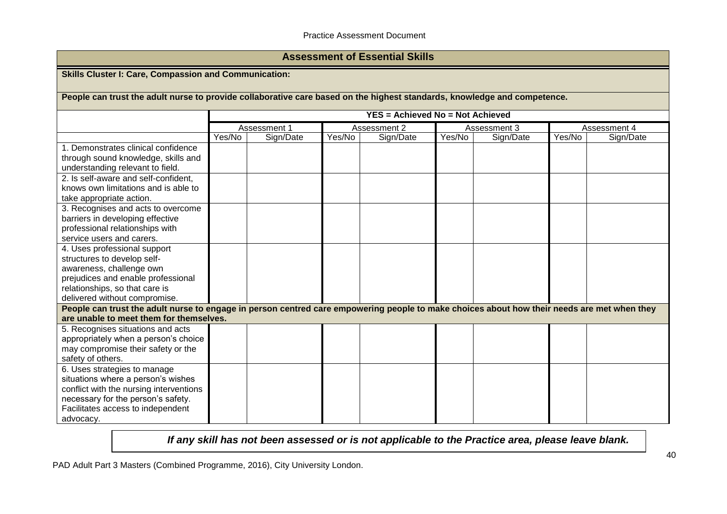#### Practice Assessment Document

# **Assessment of Essential Skills**

**Skills Cluster I: Care, Compassion and Communication:**

**People can trust the adult nurse to provide collaborative care based on the highest standards, knowledge and competence.**

|                                                                                                                                             | YES = Achieved No = Not Achieved |              |        |              |              |           |        |              |
|---------------------------------------------------------------------------------------------------------------------------------------------|----------------------------------|--------------|--------|--------------|--------------|-----------|--------|--------------|
|                                                                                                                                             |                                  | Assessment 1 |        | Assessment 2 | Assessment 3 |           |        | Assessment 4 |
|                                                                                                                                             | Yes/No                           | Sign/Date    | Yes/No | Sign/Date    | Yes/No       | Sign/Date | Yes/No | Sign/Date    |
| 1. Demonstrates clinical confidence                                                                                                         |                                  |              |        |              |              |           |        |              |
| through sound knowledge, skills and                                                                                                         |                                  |              |        |              |              |           |        |              |
| understanding relevant to field.                                                                                                            |                                  |              |        |              |              |           |        |              |
| 2. Is self-aware and self-confident,                                                                                                        |                                  |              |        |              |              |           |        |              |
| knows own limitations and is able to                                                                                                        |                                  |              |        |              |              |           |        |              |
| take appropriate action.                                                                                                                    |                                  |              |        |              |              |           |        |              |
| 3. Recognises and acts to overcome                                                                                                          |                                  |              |        |              |              |           |        |              |
| barriers in developing effective                                                                                                            |                                  |              |        |              |              |           |        |              |
| professional relationships with                                                                                                             |                                  |              |        |              |              |           |        |              |
| service users and carers.                                                                                                                   |                                  |              |        |              |              |           |        |              |
| 4. Uses professional support                                                                                                                |                                  |              |        |              |              |           |        |              |
| structures to develop self-                                                                                                                 |                                  |              |        |              |              |           |        |              |
| awareness, challenge own                                                                                                                    |                                  |              |        |              |              |           |        |              |
| prejudices and enable professional                                                                                                          |                                  |              |        |              |              |           |        |              |
| relationships, so that care is                                                                                                              |                                  |              |        |              |              |           |        |              |
| delivered without compromise.                                                                                                               |                                  |              |        |              |              |           |        |              |
| People can trust the adult nurse to engage in person centred care empowering people to make choices about how their needs are met when they |                                  |              |        |              |              |           |        |              |
| are unable to meet them for themselves.                                                                                                     |                                  |              |        |              |              |           |        |              |
| 5. Recognises situations and acts                                                                                                           |                                  |              |        |              |              |           |        |              |
| appropriately when a person's choice                                                                                                        |                                  |              |        |              |              |           |        |              |
| may compromise their safety or the                                                                                                          |                                  |              |        |              |              |           |        |              |
| safety of others.                                                                                                                           |                                  |              |        |              |              |           |        |              |
| 6. Uses strategies to manage                                                                                                                |                                  |              |        |              |              |           |        |              |
| situations where a person's wishes                                                                                                          |                                  |              |        |              |              |           |        |              |
| conflict with the nursing interventions                                                                                                     |                                  |              |        |              |              |           |        |              |
| necessary for the person's safety.                                                                                                          |                                  |              |        |              |              |           |        |              |
| Facilitates access to independent                                                                                                           |                                  |              |        |              |              |           |        |              |
| advocacy.                                                                                                                                   |                                  |              |        |              |              |           |        |              |

*If any skill has not been assessed or is not applicable to the Practice area, please leave blank.*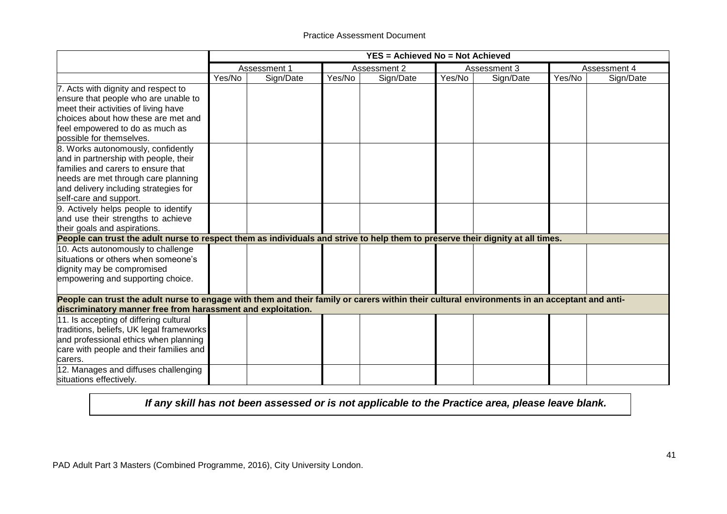|                                                                                                                                              | YES = Achieved No = Not Achieved |              |        |              |              |           |              |           |
|----------------------------------------------------------------------------------------------------------------------------------------------|----------------------------------|--------------|--------|--------------|--------------|-----------|--------------|-----------|
|                                                                                                                                              |                                  | Assessment 1 |        | Assessment 2 | Assessment 3 |           | Assessment 4 |           |
|                                                                                                                                              | Yes/No                           | Sign/Date    | Yes/No | Sign/Date    | Yes/No       | Sign/Date | Yes/No       | Sign/Date |
| 7. Acts with dignity and respect to                                                                                                          |                                  |              |        |              |              |           |              |           |
| ensure that people who are unable to                                                                                                         |                                  |              |        |              |              |           |              |           |
| meet their activities of living have                                                                                                         |                                  |              |        |              |              |           |              |           |
| choices about how these are met and                                                                                                          |                                  |              |        |              |              |           |              |           |
| feel empowered to do as much as                                                                                                              |                                  |              |        |              |              |           |              |           |
| possible for themselves.                                                                                                                     |                                  |              |        |              |              |           |              |           |
| 8. Works autonomously, confidently                                                                                                           |                                  |              |        |              |              |           |              |           |
| and in partnership with people, their                                                                                                        |                                  |              |        |              |              |           |              |           |
| families and carers to ensure that                                                                                                           |                                  |              |        |              |              |           |              |           |
| needs are met through care planning                                                                                                          |                                  |              |        |              |              |           |              |           |
| and delivery including strategies for                                                                                                        |                                  |              |        |              |              |           |              |           |
| self-care and support.                                                                                                                       |                                  |              |        |              |              |           |              |           |
| 9. Actively helps people to identify                                                                                                         |                                  |              |        |              |              |           |              |           |
| and use their strengths to achieve                                                                                                           |                                  |              |        |              |              |           |              |           |
| their goals and aspirations.                                                                                                                 |                                  |              |        |              |              |           |              |           |
| People can trust the adult nurse to respect them as individuals and strive to help them to preserve their dignity at all times.              |                                  |              |        |              |              |           |              |           |
| 10. Acts autonomously to challenge                                                                                                           |                                  |              |        |              |              |           |              |           |
| situations or others when someone's                                                                                                          |                                  |              |        |              |              |           |              |           |
| dignity may be compromised                                                                                                                   |                                  |              |        |              |              |           |              |           |
| empowering and supporting choice.                                                                                                            |                                  |              |        |              |              |           |              |           |
|                                                                                                                                              |                                  |              |        |              |              |           |              |           |
| People can trust the adult nurse to engage with them and their family or carers within their cultural environments in an acceptant and anti- |                                  |              |        |              |              |           |              |           |
| discriminatory manner free from harassment and exploitation.                                                                                 |                                  |              |        |              |              |           |              |           |
| 11. Is accepting of differing cultural                                                                                                       |                                  |              |        |              |              |           |              |           |
| traditions, beliefs, UK legal frameworks                                                                                                     |                                  |              |        |              |              |           |              |           |
| and professional ethics when planning                                                                                                        |                                  |              |        |              |              |           |              |           |
| care with people and their families and                                                                                                      |                                  |              |        |              |              |           |              |           |
| carers.                                                                                                                                      |                                  |              |        |              |              |           |              |           |
| 12. Manages and diffuses challenging                                                                                                         |                                  |              |        |              |              |           |              |           |
| situations effectively.                                                                                                                      |                                  |              |        |              |              |           |              |           |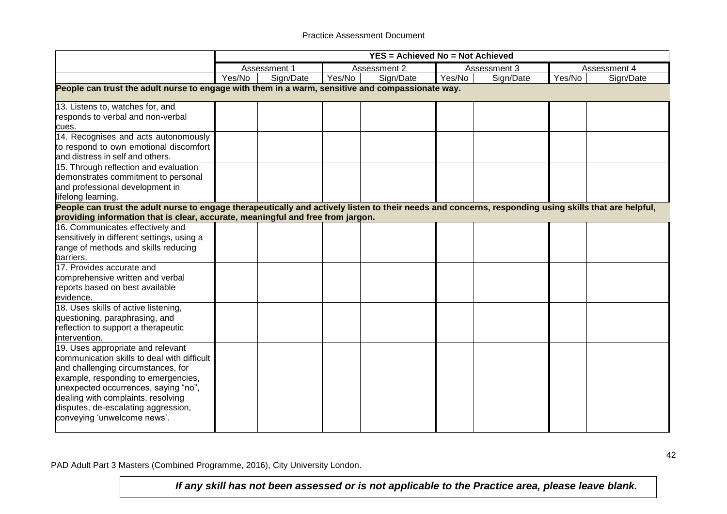|                                                                                                                                                                                                                                                                                                                   |                                                                                                  |              |        |              | <b>YES = Achieved No = Not Achieved</b> |              |        |              |  |  |  |
|-------------------------------------------------------------------------------------------------------------------------------------------------------------------------------------------------------------------------------------------------------------------------------------------------------------------|--------------------------------------------------------------------------------------------------|--------------|--------|--------------|-----------------------------------------|--------------|--------|--------------|--|--|--|
|                                                                                                                                                                                                                                                                                                                   |                                                                                                  | Assessment 1 |        | Assessment 2 |                                         | Assessment 3 |        | Assessment 4 |  |  |  |
|                                                                                                                                                                                                                                                                                                                   | Yes/No                                                                                           | Sign/Date    | Yes/No | Sign/Date    | Yes/No                                  | Sign/Date    | Yes/No | Sign/Date    |  |  |  |
|                                                                                                                                                                                                                                                                                                                   | People can trust the adult nurse to engage with them in a warm, sensitive and compassionate way. |              |        |              |                                         |              |        |              |  |  |  |
| 13. Listens to, watches for, and<br>responds to verbal and non-verbal<br>cues.                                                                                                                                                                                                                                    |                                                                                                  |              |        |              |                                         |              |        |              |  |  |  |
| 14. Recognises and acts autonomously<br>to respond to own emotional discomfort<br>and distress in self and others.                                                                                                                                                                                                |                                                                                                  |              |        |              |                                         |              |        |              |  |  |  |
| 15. Through reflection and evaluation<br>demonstrates commitment to personal<br>and professional development in<br>lifelong learning.                                                                                                                                                                             |                                                                                                  |              |        |              |                                         |              |        |              |  |  |  |
| People can trust the adult nurse to engage therapeutically and actively listen to their needs and concerns, responding using skills that are helpful,<br>providing information that is clear, accurate, meaningful and free from jargon.                                                                          |                                                                                                  |              |        |              |                                         |              |        |              |  |  |  |
| 16. Communicates effectively and<br>sensitively in different settings, using a<br>range of methods and skills reducing<br>barriers.                                                                                                                                                                               |                                                                                                  |              |        |              |                                         |              |        |              |  |  |  |
| 17. Provides accurate and<br>comprehensive written and verbal<br>reports based on best available<br>evidence.                                                                                                                                                                                                     |                                                                                                  |              |        |              |                                         |              |        |              |  |  |  |
| 18. Uses skills of active listening,<br>questioning, paraphrasing, and<br>reflection to support a therapeutic<br>intervention.                                                                                                                                                                                    |                                                                                                  |              |        |              |                                         |              |        |              |  |  |  |
| 19. Uses appropriate and relevant<br>communication skills to deal with difficult<br>and challenging circumstances, for<br>example, responding to emergencies,<br>unexpected occurrences, saying "no",<br>dealing with complaints, resolving<br>disputes, de-escalating aggression,<br>conveying 'unwelcome news'. |                                                                                                  |              |        |              |                                         |              |        |              |  |  |  |

PAD Adult Part 3 Masters (Combined Programme, 2016), City University London.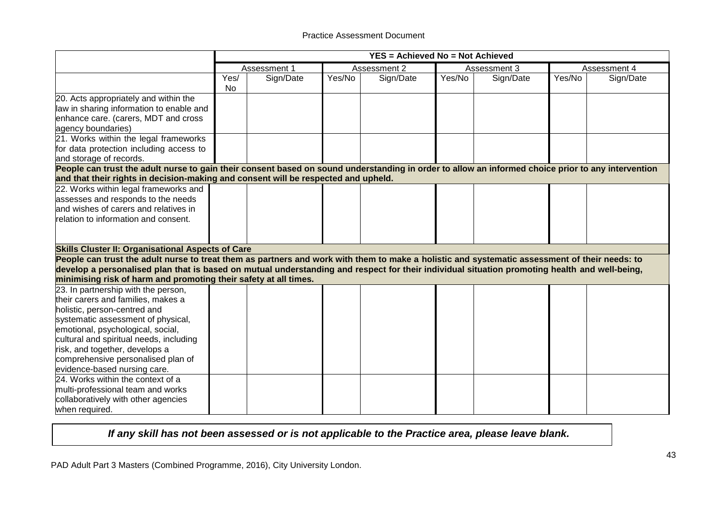|                                                                                                                                                                                                                                                                                                                                                                                                                   |                   | <b>YES = Achieved No = Not Achieved</b> |        |              |              |           |              |           |
|-------------------------------------------------------------------------------------------------------------------------------------------------------------------------------------------------------------------------------------------------------------------------------------------------------------------------------------------------------------------------------------------------------------------|-------------------|-----------------------------------------|--------|--------------|--------------|-----------|--------------|-----------|
|                                                                                                                                                                                                                                                                                                                                                                                                                   |                   | Assessment 1                            |        | Assessment 2 | Assessment 3 |           | Assessment 4 |           |
|                                                                                                                                                                                                                                                                                                                                                                                                                   | Yes/<br><b>No</b> | Sign/Date                               | Yes/No | Sign/Date    | Yes/No       | Sign/Date | Yes/No       | Sign/Date |
| 20. Acts appropriately and within the<br>law in sharing information to enable and<br>enhance care. (carers, MDT and cross<br>agency boundaries)                                                                                                                                                                                                                                                                   |                   |                                         |        |              |              |           |              |           |
| 21. Works within the legal frameworks<br>for data protection including access to<br>and storage of records.                                                                                                                                                                                                                                                                                                       |                   |                                         |        |              |              |           |              |           |
| People can trust the adult nurse to gain their consent based on sound understanding in order to allow an informed choice prior to any intervention                                                                                                                                                                                                                                                                |                   |                                         |        |              |              |           |              |           |
| and that their rights in decision-making and consent will be respected and upheld.                                                                                                                                                                                                                                                                                                                                |                   |                                         |        |              |              |           |              |           |
| 22. Works within legal frameworks and<br>assesses and responds to the needs<br>and wishes of carers and relatives in                                                                                                                                                                                                                                                                                              |                   |                                         |        |              |              |           |              |           |
| relation to information and consent.                                                                                                                                                                                                                                                                                                                                                                              |                   |                                         |        |              |              |           |              |           |
| <b>Skills Cluster II: Organisational Aspects of Care</b>                                                                                                                                                                                                                                                                                                                                                          |                   |                                         |        |              |              |           |              |           |
| People can trust the adult nurse to treat them as partners and work with them to make a holistic and systematic assessment of their needs: to<br>develop a personalised plan that is based on mutual understanding and respect for their individual situation promoting health and well-being,<br>minimising risk of harm and promoting their safety at all times.                                                |                   |                                         |        |              |              |           |              |           |
| 23. In partnership with the person,<br>their carers and families, makes a<br>holistic, person-centred and<br>systematic assessment of physical,<br>emotional, psychological, social,<br>cultural and spiritual needs, including<br>risk, and together, develops a<br>comprehensive personalised plan of<br>evidence-based nursing care.<br>24. Works within the context of a<br>multi-professional team and works |                   |                                         |        |              |              |           |              |           |
| collaboratively with other agencies<br>when required.                                                                                                                                                                                                                                                                                                                                                             |                   |                                         |        |              |              |           |              |           |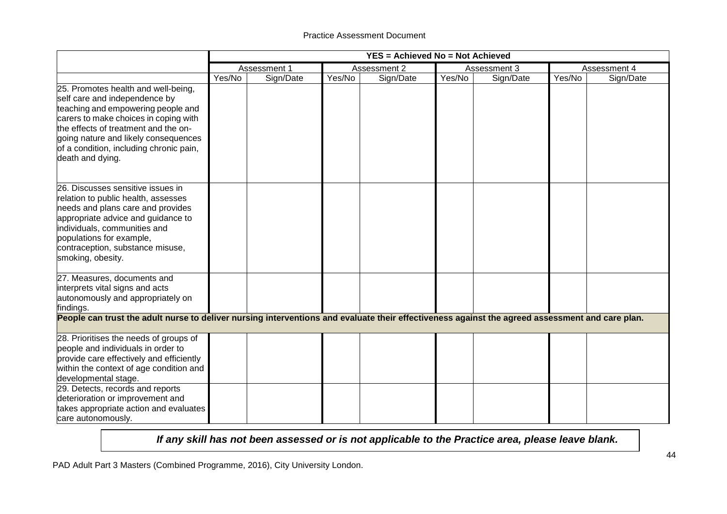|                                                                                                                                                                                                                                                                                                                                     |        |              |        | <b>YES = Achieved No = Not Achieved</b> |        |              |        |              |
|-------------------------------------------------------------------------------------------------------------------------------------------------------------------------------------------------------------------------------------------------------------------------------------------------------------------------------------|--------|--------------|--------|-----------------------------------------|--------|--------------|--------|--------------|
|                                                                                                                                                                                                                                                                                                                                     |        | Assessment 1 |        | Assessment 2                            |        | Assessment 3 |        | Assessment 4 |
|                                                                                                                                                                                                                                                                                                                                     | Yes/No | Sign/Date    | Yes/No | Sign/Date                               | Yes/No | Sign/Date    | Yes/No | Sign/Date    |
| 25. Promotes health and well-being,<br>self care and independence by<br>teaching and empowering people and<br>carers to make choices in coping with<br>the effects of treatment and the on-<br>going nature and likely consequences<br>of a condition, including chronic pain,<br>death and dying.                                  |        |              |        |                                         |        |              |        |              |
| 26. Discusses sensitive issues in<br>relation to public health, assesses<br>needs and plans care and provides<br>appropriate advice and guidance to<br>individuals, communities and<br>populations for example,<br>contraception, substance misuse,<br>smoking, obesity.                                                            |        |              |        |                                         |        |              |        |              |
| 27. Measures, documents and<br>interprets vital signs and acts<br>autonomously and appropriately on<br>findings.                                                                                                                                                                                                                    |        |              |        |                                         |        |              |        |              |
| People can trust the adult nurse to deliver nursing interventions and evaluate their effectiveness against the agreed assessment and care plan.                                                                                                                                                                                     |        |              |        |                                         |        |              |        |              |
| 28. Prioritises the needs of groups of<br>people and individuals in order to<br>provide care effectively and efficiently<br>within the context of age condition and<br>developmental stage.<br>29. Detects, records and reports<br>deterioration or improvement and<br>takes appropriate action and evaluates<br>care autonomously. |        |              |        |                                         |        |              |        |              |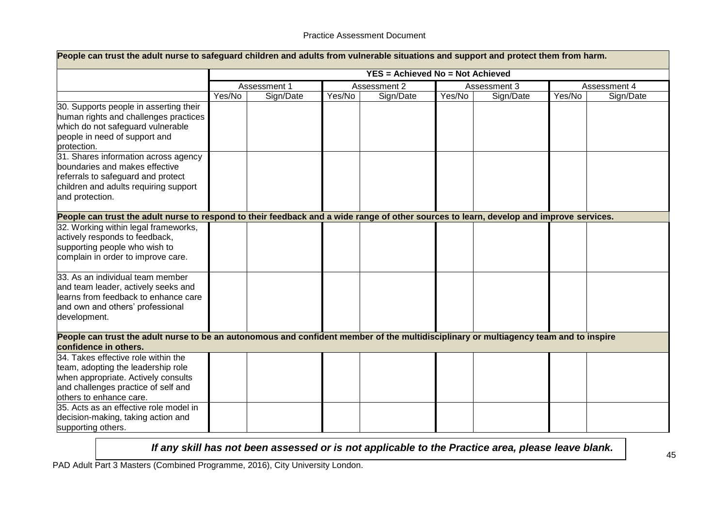| People can trust the adult nurse to safeguard children and adults from vulnerable situations and support and protect them from harm.                                               |        |              |        |                                         |        |              |        |              |
|------------------------------------------------------------------------------------------------------------------------------------------------------------------------------------|--------|--------------|--------|-----------------------------------------|--------|--------------|--------|--------------|
|                                                                                                                                                                                    |        |              |        | <b>YES = Achieved No = Not Achieved</b> |        |              |        |              |
|                                                                                                                                                                                    |        | Assessment 1 |        | Assessment 2                            |        | Assessment 3 |        | Assessment 4 |
|                                                                                                                                                                                    | Yes/No | Sign/Date    | Yes/No | Sign/Date                               | Yes/No | Sign/Date    | Yes/No | Sign/Date    |
| 30. Supports people in asserting their<br>human rights and challenges practices<br>which do not safeguard vulnerable<br>people in need of support and<br>protection.               |        |              |        |                                         |        |              |        |              |
| 31. Shares information across agency<br>boundaries and makes effective<br>referrals to safeguard and protect<br>children and adults requiring support<br>and protection.           |        |              |        |                                         |        |              |        |              |
| People can trust the adult nurse to respond to their feedback and a wide range of other sources to learn, develop and improve services.                                            |        |              |        |                                         |        |              |        |              |
| 32. Working within legal frameworks,<br>actively responds to feedback,<br>supporting people who wish to<br>complain in order to improve care.                                      |        |              |        |                                         |        |              |        |              |
| 33. As an individual team member<br>and team leader, actively seeks and<br>learns from feedback to enhance care<br>and own and others' professional<br>development.                |        |              |        |                                         |        |              |        |              |
| People can trust the adult nurse to be an autonomous and confident member of the multidisciplinary or multiagency team and to inspire<br>confidence in others.                     |        |              |        |                                         |        |              |        |              |
| 34. Takes effective role within the<br>team, adopting the leadership role<br>when appropriate. Actively consults<br>and challenges practice of self and<br>others to enhance care. |        |              |        |                                         |        |              |        |              |
| 35. Acts as an effective role model in<br>decision-making, taking action and<br>supporting others.                                                                                 |        |              |        |                                         |        |              |        |              |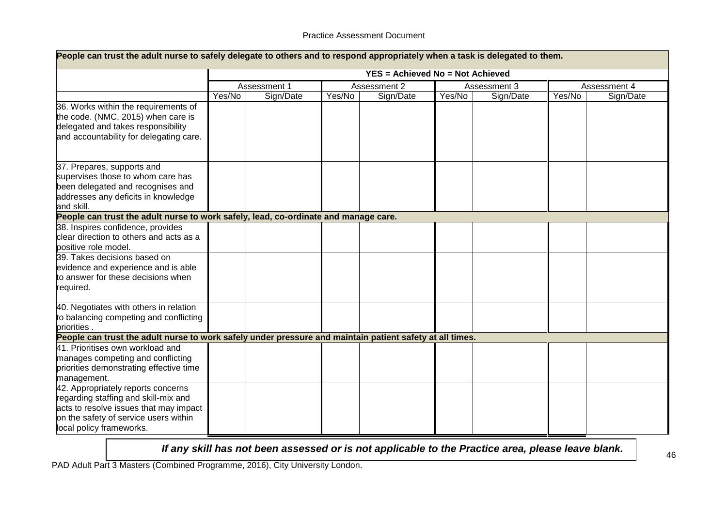| People can trust the adult nurse to safely delegate to others and to respond appropriately when a task is delegated to them.                                                              |        |              |        |                                         |        |              |        |              |
|-------------------------------------------------------------------------------------------------------------------------------------------------------------------------------------------|--------|--------------|--------|-----------------------------------------|--------|--------------|--------|--------------|
|                                                                                                                                                                                           |        |              |        | <b>YES = Achieved No = Not Achieved</b> |        |              |        |              |
|                                                                                                                                                                                           |        | Assessment 1 |        | Assessment 2                            |        | Assessment 3 |        | Assessment 4 |
|                                                                                                                                                                                           | Yes/No | Sign/Date    | Yes/No | Sign/Date                               | Yes/No | Sign/Date    | Yes/No | Sign/Date    |
| 36. Works within the requirements of<br>the code. (NMC, 2015) when care is<br>delegated and takes responsibility<br>and accountability for delegating care.                               |        |              |        |                                         |        |              |        |              |
| 37. Prepares, supports and<br>supervises those to whom care has<br>been delegated and recognises and<br>addresses any deficits in knowledge<br>and skill.                                 |        |              |        |                                         |        |              |        |              |
| People can trust the adult nurse to work safely, lead, co-ordinate and manage care.                                                                                                       |        |              |        |                                         |        |              |        |              |
| 38. Inspires confidence, provides<br>clear direction to others and acts as a<br>positive role model.                                                                                      |        |              |        |                                         |        |              |        |              |
| 39. Takes decisions based on<br>evidence and experience and is able<br>to answer for these decisions when<br>required.                                                                    |        |              |        |                                         |        |              |        |              |
| 40. Negotiates with others in relation<br>to balancing competing and conflicting<br>briorities.                                                                                           |        |              |        |                                         |        |              |        |              |
| People can trust the adult nurse to work safely under pressure and maintain patient safety at all times.                                                                                  |        |              |        |                                         |        |              |        |              |
| 41. Prioritises own workload and<br>manages competing and conflicting<br>priorities demonstrating effective time<br>management.                                                           |        |              |        |                                         |        |              |        |              |
| 42. Appropriately reports concerns<br>regarding staffing and skill-mix and<br>acts to resolve issues that may impact<br>on the safety of service users within<br>local policy frameworks. |        |              |        |                                         |        |              |        |              |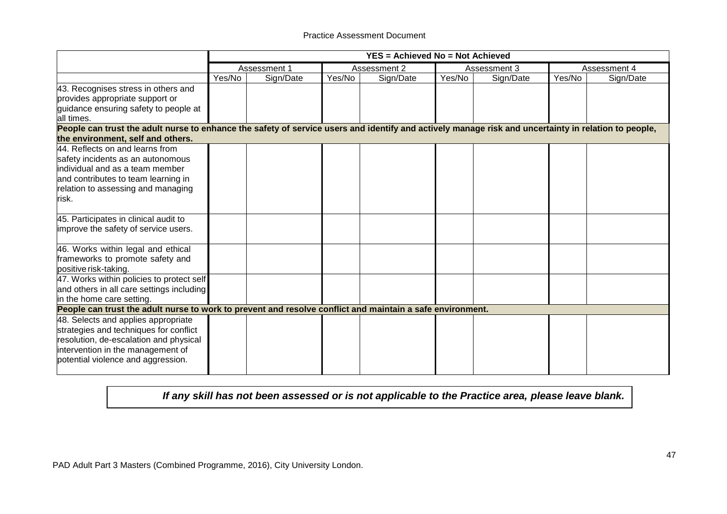|                                                                                                                                                      | <b>YES = Achieved No = Not Achieved</b> |              |        |              |        |              |        |              |
|------------------------------------------------------------------------------------------------------------------------------------------------------|-----------------------------------------|--------------|--------|--------------|--------|--------------|--------|--------------|
|                                                                                                                                                      |                                         | Assessment 1 |        | Assessment 2 |        | Assessment 3 |        | Assessment 4 |
|                                                                                                                                                      | Yes/No                                  | Sign/Date    | Yes/No | Sign/Date    | Yes/No | Sign/Date    | Yes/No | Sign/Date    |
| 43. Recognises stress in others and                                                                                                                  |                                         |              |        |              |        |              |        |              |
| provides appropriate support or                                                                                                                      |                                         |              |        |              |        |              |        |              |
| guidance ensuring safety to people at<br>all times.                                                                                                  |                                         |              |        |              |        |              |        |              |
| People can trust the adult nurse to enhance the safety of service users and identify and actively manage risk and uncertainty in relation to people, |                                         |              |        |              |        |              |        |              |
| the environment, self and others.                                                                                                                    |                                         |              |        |              |        |              |        |              |
| 44. Reflects on and learns from                                                                                                                      |                                         |              |        |              |        |              |        |              |
| safety incidents as an autonomous                                                                                                                    |                                         |              |        |              |        |              |        |              |
| lindividual and as a team member                                                                                                                     |                                         |              |        |              |        |              |        |              |
| and contributes to team learning in                                                                                                                  |                                         |              |        |              |        |              |        |              |
| relation to assessing and managing                                                                                                                   |                                         |              |        |              |        |              |        |              |
| risk.                                                                                                                                                |                                         |              |        |              |        |              |        |              |
| 45. Participates in clinical audit to                                                                                                                |                                         |              |        |              |        |              |        |              |
| improve the safety of service users.                                                                                                                 |                                         |              |        |              |        |              |        |              |
| 46. Works within legal and ethical                                                                                                                   |                                         |              |        |              |        |              |        |              |
| frameworks to promote safety and                                                                                                                     |                                         |              |        |              |        |              |        |              |
| positive risk-taking.                                                                                                                                |                                         |              |        |              |        |              |        |              |
| 47. Works within policies to protect self                                                                                                            |                                         |              |        |              |        |              |        |              |
| and others in all care settings including                                                                                                            |                                         |              |        |              |        |              |        |              |
| in the home care setting.                                                                                                                            |                                         |              |        |              |        |              |        |              |
| People can trust the adult nurse to work to prevent and resolve conflict and maintain a safe environment.                                            |                                         |              |        |              |        |              |        |              |
| 48. Selects and applies appropriate                                                                                                                  |                                         |              |        |              |        |              |        |              |
| strategies and techniques for conflict                                                                                                               |                                         |              |        |              |        |              |        |              |
| resolution, de-escalation and physical                                                                                                               |                                         |              |        |              |        |              |        |              |
| intervention in the management of                                                                                                                    |                                         |              |        |              |        |              |        |              |
| potential violence and aggression.                                                                                                                   |                                         |              |        |              |        |              |        |              |
|                                                                                                                                                      |                                         |              |        |              |        |              |        |              |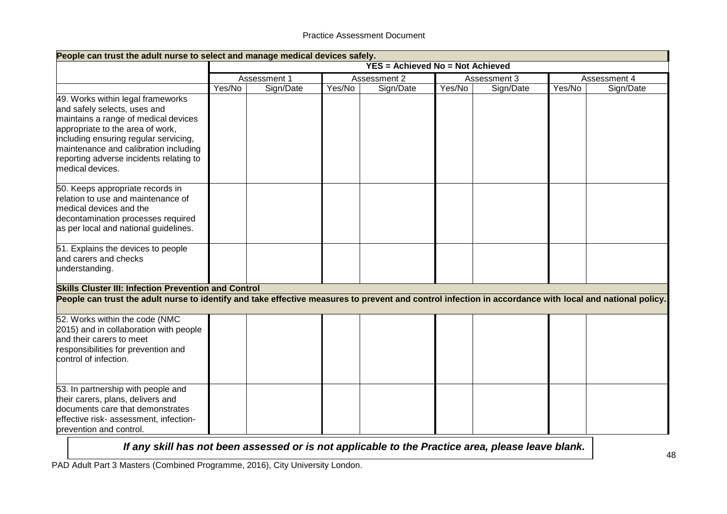| People can trust the adult nurse to select and manage medical devices safely.                                                                                                                                                                                                                  |        |              |        |                                         |        |              |        |              |
|------------------------------------------------------------------------------------------------------------------------------------------------------------------------------------------------------------------------------------------------------------------------------------------------|--------|--------------|--------|-----------------------------------------|--------|--------------|--------|--------------|
|                                                                                                                                                                                                                                                                                                |        |              |        | <b>YES = Achieved No = Not Achieved</b> |        |              |        |              |
|                                                                                                                                                                                                                                                                                                |        | Assessment 1 |        | Assessment 2                            |        | Assessment 3 |        | Assessment 4 |
|                                                                                                                                                                                                                                                                                                | Yes/No | Sign/Date    | Yes/No | Sign/Date                               | Yes/No | Sign/Date    | Yes/No | Sign/Date    |
| 49. Works within legal frameworks<br>and safely selects, uses and<br>maintains a range of medical devices<br>appropriate to the area of work,<br>including ensuring regular servicing,<br>maintenance and calibration including<br>reporting adverse incidents relating to<br>medical devices. |        |              |        |                                         |        |              |        |              |
| 50. Keeps appropriate records in<br>relation to use and maintenance of<br>medical devices and the<br>decontamination processes required<br>as per local and national guidelines.                                                                                                               |        |              |        |                                         |        |              |        |              |
| 51. Explains the devices to people<br>and carers and checks<br>understanding.                                                                                                                                                                                                                  |        |              |        |                                         |        |              |        |              |
| <b>Skills Cluster III: Infection Prevention and Control</b>                                                                                                                                                                                                                                    |        |              |        |                                         |        |              |        |              |
| People can trust the adult nurse to identify and take effective measures to prevent and control infection in accordance with local and national policy.                                                                                                                                        |        |              |        |                                         |        |              |        |              |
| 52. Works within the code (NMC<br>2015) and in collaboration with people<br>and their carers to meet<br>responsibilities for prevention and<br>control of infection.                                                                                                                           |        |              |        |                                         |        |              |        |              |
| 53. In partnership with people and<br>their carers, plans, delivers and<br>documents care that demonstrates<br>effective risk- assessment, infection-<br>prevention and control.                                                                                                               |        |              |        |                                         |        |              |        |              |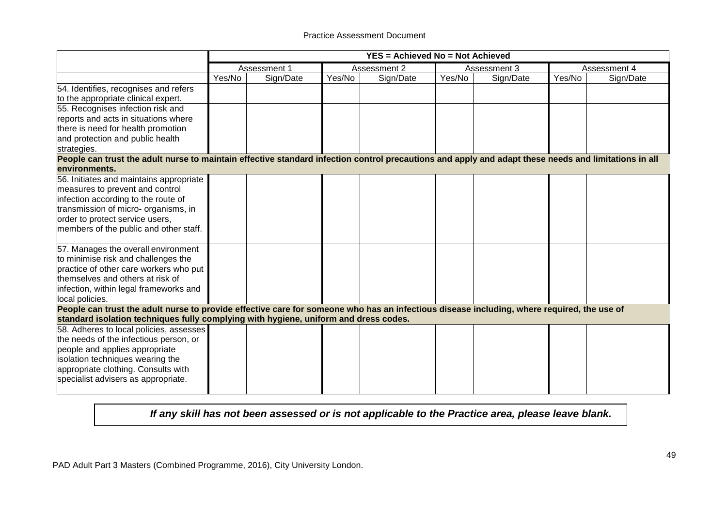|                                                                                                                                                      | YES = Achieved No = Not Achieved |              |        |              |        |              |        |              |
|------------------------------------------------------------------------------------------------------------------------------------------------------|----------------------------------|--------------|--------|--------------|--------|--------------|--------|--------------|
|                                                                                                                                                      |                                  | Assessment 1 |        | Assessment 2 |        | Assessment 3 |        | Assessment 4 |
|                                                                                                                                                      | Yes/No                           | Sign/Date    | Yes/No | Sign/Date    | Yes/No | Sign/Date    | Yes/No | Sign/Date    |
| 54. Identifies, recognises and refers                                                                                                                |                                  |              |        |              |        |              |        |              |
| to the appropriate clinical expert.                                                                                                                  |                                  |              |        |              |        |              |        |              |
| 55. Recognises infection risk and                                                                                                                    |                                  |              |        |              |        |              |        |              |
| reports and acts in situations where                                                                                                                 |                                  |              |        |              |        |              |        |              |
| there is need for health promotion                                                                                                                   |                                  |              |        |              |        |              |        |              |
| and protection and public health                                                                                                                     |                                  |              |        |              |        |              |        |              |
| strategies.                                                                                                                                          |                                  |              |        |              |        |              |        |              |
| People can trust the adult nurse to maintain effective standard infection control precautions and apply and adapt these needs and limitations in all |                                  |              |        |              |        |              |        |              |
| environments.                                                                                                                                        |                                  |              |        |              |        |              |        |              |
| 56. Initiates and maintains appropriate                                                                                                              |                                  |              |        |              |        |              |        |              |
| measures to prevent and control                                                                                                                      |                                  |              |        |              |        |              |        |              |
| infection according to the route of                                                                                                                  |                                  |              |        |              |        |              |        |              |
| transmission of micro- organisms, in                                                                                                                 |                                  |              |        |              |        |              |        |              |
| order to protect service users,                                                                                                                      |                                  |              |        |              |        |              |        |              |
| members of the public and other staff.                                                                                                               |                                  |              |        |              |        |              |        |              |
| 57. Manages the overall environment                                                                                                                  |                                  |              |        |              |        |              |        |              |
| to minimise risk and challenges the                                                                                                                  |                                  |              |        |              |        |              |        |              |
| practice of other care workers who put                                                                                                               |                                  |              |        |              |        |              |        |              |
| themselves and others at risk of                                                                                                                     |                                  |              |        |              |        |              |        |              |
| infection, within legal frameworks and                                                                                                               |                                  |              |        |              |        |              |        |              |
| local policies.                                                                                                                                      |                                  |              |        |              |        |              |        |              |
| People can trust the adult nurse to provide effective care for someone who has an infectious disease including, where required, the use of           |                                  |              |        |              |        |              |        |              |
| standard isolation techniques fully complying with hygiene, uniform and dress codes.                                                                 |                                  |              |        |              |        |              |        |              |
| 58. Adheres to local policies, assesses                                                                                                              |                                  |              |        |              |        |              |        |              |
| the needs of the infectious person, or                                                                                                               |                                  |              |        |              |        |              |        |              |
| people and applies appropriate                                                                                                                       |                                  |              |        |              |        |              |        |              |
| isolation techniques wearing the                                                                                                                     |                                  |              |        |              |        |              |        |              |
| appropriate clothing. Consults with                                                                                                                  |                                  |              |        |              |        |              |        |              |
| specialist advisers as appropriate.                                                                                                                  |                                  |              |        |              |        |              |        |              |
|                                                                                                                                                      |                                  |              |        |              |        |              |        |              |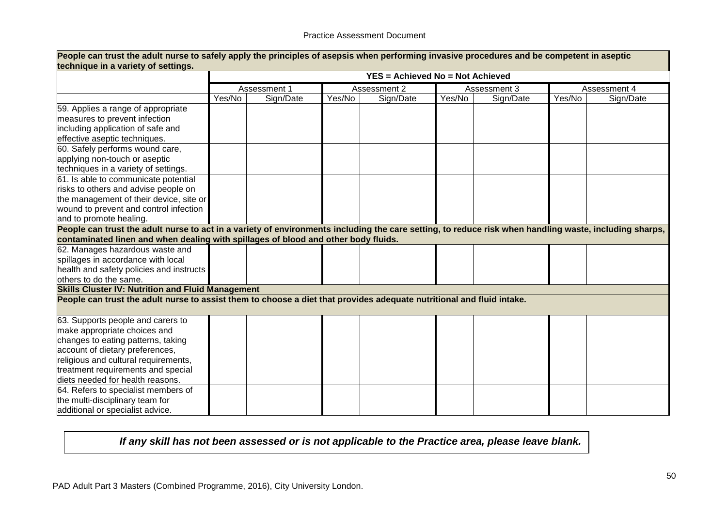| technique in a variety of settings.                                                                                                                    | People can trust the adult nurse to safely apply the principles of asepsis when performing invasive procedures and be competent in aseptic |              |        |                                         |        |              |        |              |
|--------------------------------------------------------------------------------------------------------------------------------------------------------|--------------------------------------------------------------------------------------------------------------------------------------------|--------------|--------|-----------------------------------------|--------|--------------|--------|--------------|
|                                                                                                                                                        |                                                                                                                                            |              |        | <b>YES = Achieved No = Not Achieved</b> |        |              |        |              |
|                                                                                                                                                        |                                                                                                                                            | Assessment 1 |        | Assessment 2                            |        | Assessment 3 |        | Assessment 4 |
|                                                                                                                                                        | Yes/No                                                                                                                                     | Sign/Date    | Yes/No | Sign/Date                               | Yes/No | Sign/Date    | Yes/No | Sign/Date    |
| 59. Applies a range of appropriate                                                                                                                     |                                                                                                                                            |              |        |                                         |        |              |        |              |
| measures to prevent infection                                                                                                                          |                                                                                                                                            |              |        |                                         |        |              |        |              |
| including application of safe and                                                                                                                      |                                                                                                                                            |              |        |                                         |        |              |        |              |
| effective aseptic techniques.                                                                                                                          |                                                                                                                                            |              |        |                                         |        |              |        |              |
| 60. Safely performs wound care,                                                                                                                        |                                                                                                                                            |              |        |                                         |        |              |        |              |
| applying non-touch or aseptic                                                                                                                          |                                                                                                                                            |              |        |                                         |        |              |        |              |
| techniques in a variety of settings.                                                                                                                   |                                                                                                                                            |              |        |                                         |        |              |        |              |
| 61. Is able to communicate potential                                                                                                                   |                                                                                                                                            |              |        |                                         |        |              |        |              |
| risks to others and advise people on                                                                                                                   |                                                                                                                                            |              |        |                                         |        |              |        |              |
| the management of their device, site or                                                                                                                |                                                                                                                                            |              |        |                                         |        |              |        |              |
| wound to prevent and control infection                                                                                                                 |                                                                                                                                            |              |        |                                         |        |              |        |              |
| and to promote healing.                                                                                                                                |                                                                                                                                            |              |        |                                         |        |              |        |              |
| People can trust the adult nurse to act in a variety of environments including the care setting, to reduce risk when handling waste, including sharps, |                                                                                                                                            |              |        |                                         |        |              |        |              |
| contaminated linen and when dealing with spillages of blood and other body fluids.                                                                     |                                                                                                                                            |              |        |                                         |        |              |        |              |
| 62. Manages hazardous waste and                                                                                                                        |                                                                                                                                            |              |        |                                         |        |              |        |              |
| spillages in accordance with local                                                                                                                     |                                                                                                                                            |              |        |                                         |        |              |        |              |
| health and safety policies and instructs                                                                                                               |                                                                                                                                            |              |        |                                         |        |              |        |              |
| others to do the same.                                                                                                                                 |                                                                                                                                            |              |        |                                         |        |              |        |              |
| <b>Skills Cluster IV: Nutrition and Fluid Management</b>                                                                                               |                                                                                                                                            |              |        |                                         |        |              |        |              |
| People can trust the adult nurse to assist them to choose a diet that provides adequate nutritional and fluid intake.                                  |                                                                                                                                            |              |        |                                         |        |              |        |              |
| 63. Supports people and carers to                                                                                                                      |                                                                                                                                            |              |        |                                         |        |              |        |              |
| make appropriate choices and                                                                                                                           |                                                                                                                                            |              |        |                                         |        |              |        |              |
| changes to eating patterns, taking                                                                                                                     |                                                                                                                                            |              |        |                                         |        |              |        |              |
| account of dietary preferences,                                                                                                                        |                                                                                                                                            |              |        |                                         |        |              |        |              |
| religious and cultural requirements,                                                                                                                   |                                                                                                                                            |              |        |                                         |        |              |        |              |
| treatment requirements and special                                                                                                                     |                                                                                                                                            |              |        |                                         |        |              |        |              |
| diets needed for health reasons.                                                                                                                       |                                                                                                                                            |              |        |                                         |        |              |        |              |
| 64. Refers to specialist members of                                                                                                                    |                                                                                                                                            |              |        |                                         |        |              |        |              |
| the multi-disciplinary team for                                                                                                                        |                                                                                                                                            |              |        |                                         |        |              |        |              |
| additional or specialist advice.                                                                                                                       |                                                                                                                                            |              |        |                                         |        |              |        |              |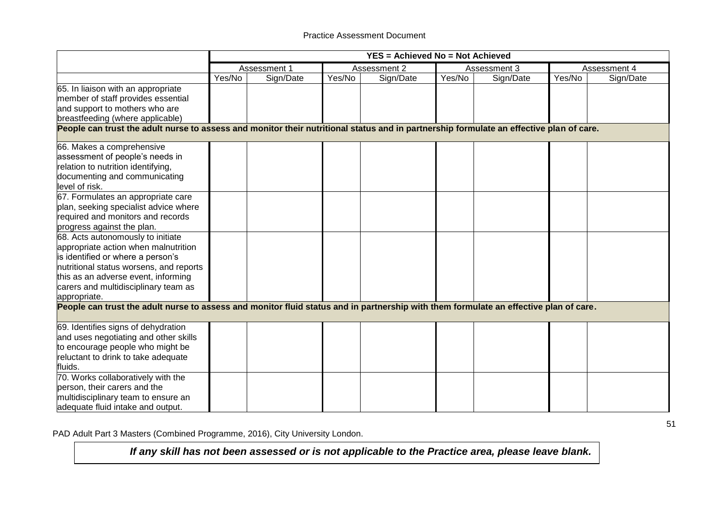|                                                                                                                                         |        | YES = Achieved No = Not Achieved |        |              |        |              |        |              |  |
|-----------------------------------------------------------------------------------------------------------------------------------------|--------|----------------------------------|--------|--------------|--------|--------------|--------|--------------|--|
|                                                                                                                                         |        | Assessment 1                     |        | Assessment 2 |        | Assessment 3 |        | Assessment 4 |  |
|                                                                                                                                         | Yes/No | Sign/Date                        | Yes/No | Sign/Date    | Yes/No | Sign/Date    | Yes/No | Sign/Date    |  |
| 65. In liaison with an appropriate                                                                                                      |        |                                  |        |              |        |              |        |              |  |
| member of staff provides essential                                                                                                      |        |                                  |        |              |        |              |        |              |  |
| and support to mothers who are                                                                                                          |        |                                  |        |              |        |              |        |              |  |
| breastfeeding (where applicable)                                                                                                        |        |                                  |        |              |        |              |        |              |  |
| People can trust the adult nurse to assess and monitor their nutritional status and in partnership formulate an effective plan of care. |        |                                  |        |              |        |              |        |              |  |
| 66. Makes a comprehensive                                                                                                               |        |                                  |        |              |        |              |        |              |  |
| assessment of people's needs in                                                                                                         |        |                                  |        |              |        |              |        |              |  |
| relation to nutrition identifying,                                                                                                      |        |                                  |        |              |        |              |        |              |  |
| documenting and communicating                                                                                                           |        |                                  |        |              |        |              |        |              |  |
| level of risk.                                                                                                                          |        |                                  |        |              |        |              |        |              |  |
| 67. Formulates an appropriate care                                                                                                      |        |                                  |        |              |        |              |        |              |  |
| plan, seeking specialist advice where                                                                                                   |        |                                  |        |              |        |              |        |              |  |
| required and monitors and records                                                                                                       |        |                                  |        |              |        |              |        |              |  |
| progress against the plan.                                                                                                              |        |                                  |        |              |        |              |        |              |  |
| 68. Acts autonomously to initiate                                                                                                       |        |                                  |        |              |        |              |        |              |  |
| appropriate action when malnutrition                                                                                                    |        |                                  |        |              |        |              |        |              |  |
| is identified or where a person's                                                                                                       |        |                                  |        |              |        |              |        |              |  |
| nutritional status worsens, and reports                                                                                                 |        |                                  |        |              |        |              |        |              |  |
| this as an adverse event, informing                                                                                                     |        |                                  |        |              |        |              |        |              |  |
| carers and multidisciplinary team as                                                                                                    |        |                                  |        |              |        |              |        |              |  |
| appropriate.                                                                                                                            |        |                                  |        |              |        |              |        |              |  |
| People can trust the adult nurse to assess and monitor fluid status and in partnership with them formulate an effective plan of care.   |        |                                  |        |              |        |              |        |              |  |
| 69. Identifies signs of dehydration                                                                                                     |        |                                  |        |              |        |              |        |              |  |
| and uses negotiating and other skills                                                                                                   |        |                                  |        |              |        |              |        |              |  |
| to encourage people who might be                                                                                                        |        |                                  |        |              |        |              |        |              |  |
| reluctant to drink to take adequate                                                                                                     |        |                                  |        |              |        |              |        |              |  |
| fluids.                                                                                                                                 |        |                                  |        |              |        |              |        |              |  |
| 70. Works collaboratively with the                                                                                                      |        |                                  |        |              |        |              |        |              |  |
| person, their carers and the                                                                                                            |        |                                  |        |              |        |              |        |              |  |
| multidisciplinary team to ensure an                                                                                                     |        |                                  |        |              |        |              |        |              |  |
| adequate fluid intake and output.                                                                                                       |        |                                  |        |              |        |              |        |              |  |

PAD Adult Part 3 Masters (Combined Programme, 2016), City University London.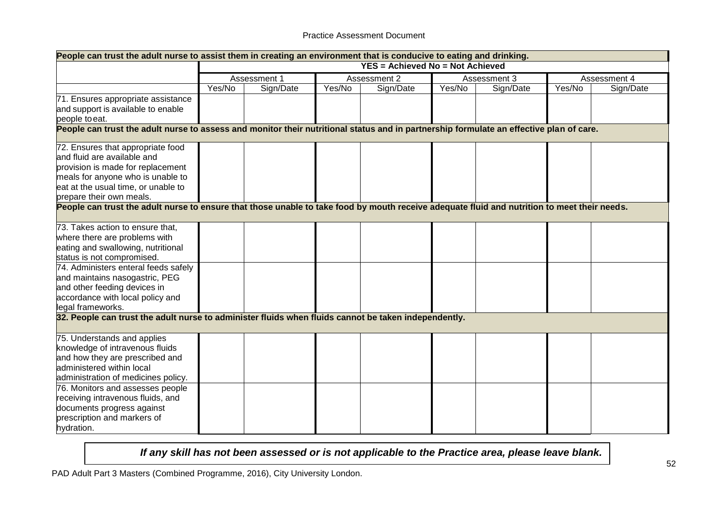#### Practice Assessment Document

| <b>YES = Achieved No = Not Achieved</b><br>Assessment 1<br>Assessment 2<br>Assessment 4<br>Assessment 3<br>Yes/No<br>Sign/Date<br>Yes/No<br>Sign/Date<br>Yes/No<br>Sign/Date<br>Yes/No<br>Sign/Date<br>People can trust the adult nurse to assess and monitor their nutritional status and in partnership formulate an effective plan of care.<br>72. Ensures that appropriate food<br>and fluid are available and<br>provision is made for replacement<br>meals for anyone who is unable to<br>eat at the usual time, or unable to<br>prepare their own meals.<br>People can trust the adult nurse to ensure that those unable to take food by mouth receive adequate fluid and nutrition to meet their needs.<br>73. Takes action to ensure that,<br>where there are problems with<br>eating and swallowing, nutritional<br>status is not compromised.<br>74. Administers enteral feeds safely<br>and maintains nasogastric, PEG<br>and other feeding devices in<br>accordance with local policy and<br>legal frameworks.<br>32. People can trust the adult nurse to administer fluids when fluids cannot be taken independently.<br>75. Understands and applies<br>knowledge of intravenous fluids<br>and how they are prescribed and<br>administered within local<br>administration of medicines policy.<br>76. Monitors and assesses people<br>receiving intravenous fluids, and<br>documents progress against<br>prescription and markers of | People can trust the adult nurse to assist them in creating an environment that is conducive to eating and drinking. |  |  |  |  |  |  |  |  |  |
|----------------------------------------------------------------------------------------------------------------------------------------------------------------------------------------------------------------------------------------------------------------------------------------------------------------------------------------------------------------------------------------------------------------------------------------------------------------------------------------------------------------------------------------------------------------------------------------------------------------------------------------------------------------------------------------------------------------------------------------------------------------------------------------------------------------------------------------------------------------------------------------------------------------------------------------------------------------------------------------------------------------------------------------------------------------------------------------------------------------------------------------------------------------------------------------------------------------------------------------------------------------------------------------------------------------------------------------------------------------------------------------------------------------------------------------------------|----------------------------------------------------------------------------------------------------------------------|--|--|--|--|--|--|--|--|--|
|                                                                                                                                                                                                                                                                                                                                                                                                                                                                                                                                                                                                                                                                                                                                                                                                                                                                                                                                                                                                                                                                                                                                                                                                                                                                                                                                                                                                                                                    |                                                                                                                      |  |  |  |  |  |  |  |  |  |
|                                                                                                                                                                                                                                                                                                                                                                                                                                                                                                                                                                                                                                                                                                                                                                                                                                                                                                                                                                                                                                                                                                                                                                                                                                                                                                                                                                                                                                                    |                                                                                                                      |  |  |  |  |  |  |  |  |  |
|                                                                                                                                                                                                                                                                                                                                                                                                                                                                                                                                                                                                                                                                                                                                                                                                                                                                                                                                                                                                                                                                                                                                                                                                                                                                                                                                                                                                                                                    |                                                                                                                      |  |  |  |  |  |  |  |  |  |
|                                                                                                                                                                                                                                                                                                                                                                                                                                                                                                                                                                                                                                                                                                                                                                                                                                                                                                                                                                                                                                                                                                                                                                                                                                                                                                                                                                                                                                                    | 71. Ensures appropriate assistance                                                                                   |  |  |  |  |  |  |  |  |  |
|                                                                                                                                                                                                                                                                                                                                                                                                                                                                                                                                                                                                                                                                                                                                                                                                                                                                                                                                                                                                                                                                                                                                                                                                                                                                                                                                                                                                                                                    | and support is available to enable                                                                                   |  |  |  |  |  |  |  |  |  |
|                                                                                                                                                                                                                                                                                                                                                                                                                                                                                                                                                                                                                                                                                                                                                                                                                                                                                                                                                                                                                                                                                                                                                                                                                                                                                                                                                                                                                                                    | people to eat.                                                                                                       |  |  |  |  |  |  |  |  |  |
|                                                                                                                                                                                                                                                                                                                                                                                                                                                                                                                                                                                                                                                                                                                                                                                                                                                                                                                                                                                                                                                                                                                                                                                                                                                                                                                                                                                                                                                    |                                                                                                                      |  |  |  |  |  |  |  |  |  |
|                                                                                                                                                                                                                                                                                                                                                                                                                                                                                                                                                                                                                                                                                                                                                                                                                                                                                                                                                                                                                                                                                                                                                                                                                                                                                                                                                                                                                                                    |                                                                                                                      |  |  |  |  |  |  |  |  |  |
|                                                                                                                                                                                                                                                                                                                                                                                                                                                                                                                                                                                                                                                                                                                                                                                                                                                                                                                                                                                                                                                                                                                                                                                                                                                                                                                                                                                                                                                    |                                                                                                                      |  |  |  |  |  |  |  |  |  |
|                                                                                                                                                                                                                                                                                                                                                                                                                                                                                                                                                                                                                                                                                                                                                                                                                                                                                                                                                                                                                                                                                                                                                                                                                                                                                                                                                                                                                                                    |                                                                                                                      |  |  |  |  |  |  |  |  |  |
|                                                                                                                                                                                                                                                                                                                                                                                                                                                                                                                                                                                                                                                                                                                                                                                                                                                                                                                                                                                                                                                                                                                                                                                                                                                                                                                                                                                                                                                    |                                                                                                                      |  |  |  |  |  |  |  |  |  |
|                                                                                                                                                                                                                                                                                                                                                                                                                                                                                                                                                                                                                                                                                                                                                                                                                                                                                                                                                                                                                                                                                                                                                                                                                                                                                                                                                                                                                                                    |                                                                                                                      |  |  |  |  |  |  |  |  |  |
|                                                                                                                                                                                                                                                                                                                                                                                                                                                                                                                                                                                                                                                                                                                                                                                                                                                                                                                                                                                                                                                                                                                                                                                                                                                                                                                                                                                                                                                    |                                                                                                                      |  |  |  |  |  |  |  |  |  |
|                                                                                                                                                                                                                                                                                                                                                                                                                                                                                                                                                                                                                                                                                                                                                                                                                                                                                                                                                                                                                                                                                                                                                                                                                                                                                                                                                                                                                                                    |                                                                                                                      |  |  |  |  |  |  |  |  |  |
|                                                                                                                                                                                                                                                                                                                                                                                                                                                                                                                                                                                                                                                                                                                                                                                                                                                                                                                                                                                                                                                                                                                                                                                                                                                                                                                                                                                                                                                    |                                                                                                                      |  |  |  |  |  |  |  |  |  |
|                                                                                                                                                                                                                                                                                                                                                                                                                                                                                                                                                                                                                                                                                                                                                                                                                                                                                                                                                                                                                                                                                                                                                                                                                                                                                                                                                                                                                                                    |                                                                                                                      |  |  |  |  |  |  |  |  |  |
|                                                                                                                                                                                                                                                                                                                                                                                                                                                                                                                                                                                                                                                                                                                                                                                                                                                                                                                                                                                                                                                                                                                                                                                                                                                                                                                                                                                                                                                    |                                                                                                                      |  |  |  |  |  |  |  |  |  |
|                                                                                                                                                                                                                                                                                                                                                                                                                                                                                                                                                                                                                                                                                                                                                                                                                                                                                                                                                                                                                                                                                                                                                                                                                                                                                                                                                                                                                                                    |                                                                                                                      |  |  |  |  |  |  |  |  |  |
|                                                                                                                                                                                                                                                                                                                                                                                                                                                                                                                                                                                                                                                                                                                                                                                                                                                                                                                                                                                                                                                                                                                                                                                                                                                                                                                                                                                                                                                    |                                                                                                                      |  |  |  |  |  |  |  |  |  |
|                                                                                                                                                                                                                                                                                                                                                                                                                                                                                                                                                                                                                                                                                                                                                                                                                                                                                                                                                                                                                                                                                                                                                                                                                                                                                                                                                                                                                                                    |                                                                                                                      |  |  |  |  |  |  |  |  |  |
|                                                                                                                                                                                                                                                                                                                                                                                                                                                                                                                                                                                                                                                                                                                                                                                                                                                                                                                                                                                                                                                                                                                                                                                                                                                                                                                                                                                                                                                    |                                                                                                                      |  |  |  |  |  |  |  |  |  |
|                                                                                                                                                                                                                                                                                                                                                                                                                                                                                                                                                                                                                                                                                                                                                                                                                                                                                                                                                                                                                                                                                                                                                                                                                                                                                                                                                                                                                                                    |                                                                                                                      |  |  |  |  |  |  |  |  |  |
|                                                                                                                                                                                                                                                                                                                                                                                                                                                                                                                                                                                                                                                                                                                                                                                                                                                                                                                                                                                                                                                                                                                                                                                                                                                                                                                                                                                                                                                    |                                                                                                                      |  |  |  |  |  |  |  |  |  |
|                                                                                                                                                                                                                                                                                                                                                                                                                                                                                                                                                                                                                                                                                                                                                                                                                                                                                                                                                                                                                                                                                                                                                                                                                                                                                                                                                                                                                                                    |                                                                                                                      |  |  |  |  |  |  |  |  |  |
|                                                                                                                                                                                                                                                                                                                                                                                                                                                                                                                                                                                                                                                                                                                                                                                                                                                                                                                                                                                                                                                                                                                                                                                                                                                                                                                                                                                                                                                    |                                                                                                                      |  |  |  |  |  |  |  |  |  |
|                                                                                                                                                                                                                                                                                                                                                                                                                                                                                                                                                                                                                                                                                                                                                                                                                                                                                                                                                                                                                                                                                                                                                                                                                                                                                                                                                                                                                                                    |                                                                                                                      |  |  |  |  |  |  |  |  |  |
|                                                                                                                                                                                                                                                                                                                                                                                                                                                                                                                                                                                                                                                                                                                                                                                                                                                                                                                                                                                                                                                                                                                                                                                                                                                                                                                                                                                                                                                    |                                                                                                                      |  |  |  |  |  |  |  |  |  |
|                                                                                                                                                                                                                                                                                                                                                                                                                                                                                                                                                                                                                                                                                                                                                                                                                                                                                                                                                                                                                                                                                                                                                                                                                                                                                                                                                                                                                                                    |                                                                                                                      |  |  |  |  |  |  |  |  |  |
|                                                                                                                                                                                                                                                                                                                                                                                                                                                                                                                                                                                                                                                                                                                                                                                                                                                                                                                                                                                                                                                                                                                                                                                                                                                                                                                                                                                                                                                    |                                                                                                                      |  |  |  |  |  |  |  |  |  |
|                                                                                                                                                                                                                                                                                                                                                                                                                                                                                                                                                                                                                                                                                                                                                                                                                                                                                                                                                                                                                                                                                                                                                                                                                                                                                                                                                                                                                                                    |                                                                                                                      |  |  |  |  |  |  |  |  |  |
|                                                                                                                                                                                                                                                                                                                                                                                                                                                                                                                                                                                                                                                                                                                                                                                                                                                                                                                                                                                                                                                                                                                                                                                                                                                                                                                                                                                                                                                    |                                                                                                                      |  |  |  |  |  |  |  |  |  |
|                                                                                                                                                                                                                                                                                                                                                                                                                                                                                                                                                                                                                                                                                                                                                                                                                                                                                                                                                                                                                                                                                                                                                                                                                                                                                                                                                                                                                                                    |                                                                                                                      |  |  |  |  |  |  |  |  |  |
|                                                                                                                                                                                                                                                                                                                                                                                                                                                                                                                                                                                                                                                                                                                                                                                                                                                                                                                                                                                                                                                                                                                                                                                                                                                                                                                                                                                                                                                    |                                                                                                                      |  |  |  |  |  |  |  |  |  |
|                                                                                                                                                                                                                                                                                                                                                                                                                                                                                                                                                                                                                                                                                                                                                                                                                                                                                                                                                                                                                                                                                                                                                                                                                                                                                                                                                                                                                                                    |                                                                                                                      |  |  |  |  |  |  |  |  |  |
|                                                                                                                                                                                                                                                                                                                                                                                                                                                                                                                                                                                                                                                                                                                                                                                                                                                                                                                                                                                                                                                                                                                                                                                                                                                                                                                                                                                                                                                    |                                                                                                                      |  |  |  |  |  |  |  |  |  |
|                                                                                                                                                                                                                                                                                                                                                                                                                                                                                                                                                                                                                                                                                                                                                                                                                                                                                                                                                                                                                                                                                                                                                                                                                                                                                                                                                                                                                                                    | hydration.                                                                                                           |  |  |  |  |  |  |  |  |  |

*If any skill has not been assessed or is not applicable to the Practice area, please leave blank.*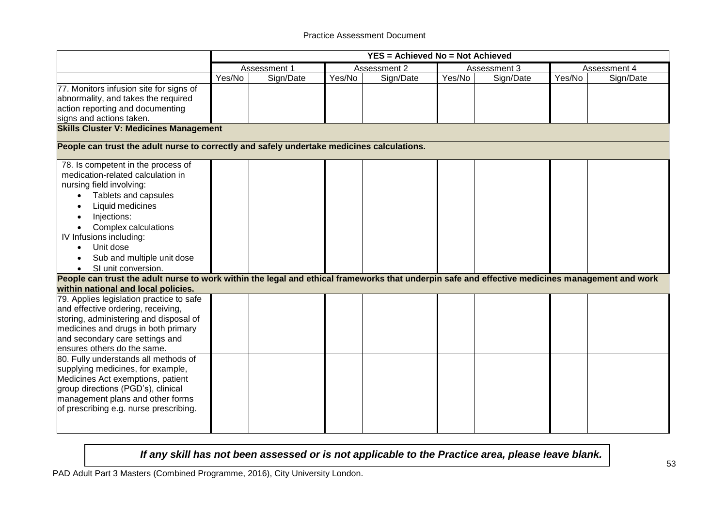|                                                                                                                                                                                                                                                                                                                                                                                                                                                                                                                |        |              |        | <b>YES = Achieved No = Not Achieved</b> |        |              |        |              |
|----------------------------------------------------------------------------------------------------------------------------------------------------------------------------------------------------------------------------------------------------------------------------------------------------------------------------------------------------------------------------------------------------------------------------------------------------------------------------------------------------------------|--------|--------------|--------|-----------------------------------------|--------|--------------|--------|--------------|
|                                                                                                                                                                                                                                                                                                                                                                                                                                                                                                                |        | Assessment 1 |        | Assessment 2                            |        | Assessment 3 |        | Assessment 4 |
|                                                                                                                                                                                                                                                                                                                                                                                                                                                                                                                | Yes/No | Sign/Date    | Yes/No | Sign/Date                               | Yes/No | Sign/Date    | Yes/No | Sign/Date    |
| 77. Monitors infusion site for signs of<br>abnormality, and takes the required<br>action reporting and documenting<br>signs and actions taken.                                                                                                                                                                                                                                                                                                                                                                 |        |              |        |                                         |        |              |        |              |
| <b>Skills Cluster V: Medicines Management</b>                                                                                                                                                                                                                                                                                                                                                                                                                                                                  |        |              |        |                                         |        |              |        |              |
| People can trust the adult nurse to correctly and safely undertake medicines calculations.                                                                                                                                                                                                                                                                                                                                                                                                                     |        |              |        |                                         |        |              |        |              |
| 78. Is competent in the process of<br>medication-related calculation in<br>nursing field involving:<br>Tablets and capsules<br>Liquid medicines<br>Injections:<br>Complex calculations<br>IV Infusions including:<br>Unit dose<br>$\bullet$<br>Sub and multiple unit dose<br>SI unit conversion.<br>People can trust the adult nurse to work within the legal and ethical frameworks that underpin safe and effective medicines management and work                                                            |        |              |        |                                         |        |              |        |              |
| within national and local policies.<br>79. Applies legislation practice to safe<br>and effective ordering, receiving,<br>storing, administering and disposal of<br>medicines and drugs in both primary<br>and secondary care settings and<br>ensures others do the same.<br>80. Fully understands all methods of<br>supplying medicines, for example,<br>Medicines Act exemptions, patient<br>group directions (PGD's), clinical<br>management plans and other forms<br>of prescribing e.g. nurse prescribing. |        |              |        |                                         |        |              |        |              |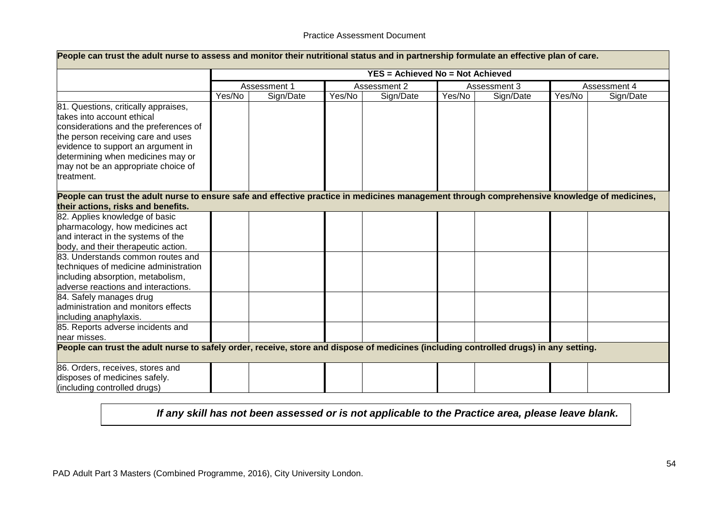| People can trust the adult nurse to assess and monitor their nutritional status and in partnership formulate an effective plan of care.                                                                                                                                                                                                                                                                                                                                                                                                                                                             |        |              |        |                                         |        |              |        |              |
|-----------------------------------------------------------------------------------------------------------------------------------------------------------------------------------------------------------------------------------------------------------------------------------------------------------------------------------------------------------------------------------------------------------------------------------------------------------------------------------------------------------------------------------------------------------------------------------------------------|--------|--------------|--------|-----------------------------------------|--------|--------------|--------|--------------|
|                                                                                                                                                                                                                                                                                                                                                                                                                                                                                                                                                                                                     |        |              |        | <b>YES = Achieved No = Not Achieved</b> |        |              |        |              |
|                                                                                                                                                                                                                                                                                                                                                                                                                                                                                                                                                                                                     |        | Assessment 1 |        | Assessment 2                            |        | Assessment 3 |        | Assessment 4 |
|                                                                                                                                                                                                                                                                                                                                                                                                                                                                                                                                                                                                     | Yes/No | Sign/Date    | Yes/No | Sign/Date                               | Yes/No | Sign/Date    | Yes/No | Sign/Date    |
| 81. Questions, critically appraises,<br>takes into account ethical<br>considerations and the preferences of<br>the person receiving care and uses<br>evidence to support an argument in<br>determining when medicines may or<br>may not be an appropriate choice of<br>treatment.                                                                                                                                                                                                                                                                                                                   |        |              |        |                                         |        |              |        |              |
| People can trust the adult nurse to ensure safe and effective practice in medicines management through comprehensive knowledge of medicines,<br>their actions, risks and benefits.                                                                                                                                                                                                                                                                                                                                                                                                                  |        |              |        |                                         |        |              |        |              |
| 82. Applies knowledge of basic<br>pharmacology, how medicines act<br>and interact in the systems of the<br>body, and their therapeutic action.<br>83. Understands common routes and<br>techniques of medicine administration<br>including absorption, metabolism,<br>adverse reactions and interactions.<br>84. Safely manages drug<br>administration and monitors effects<br>including anaphylaxis.<br>85. Reports adverse incidents and<br>near misses.<br>People can trust the adult nurse to safely order, receive, store and dispose of medicines (including controlled drugs) in any setting. |        |              |        |                                         |        |              |        |              |
| 86. Orders, receives, stores and<br>disposes of medicines safely.<br>(including controlled drugs)                                                                                                                                                                                                                                                                                                                                                                                                                                                                                                   |        |              |        |                                         |        |              |        |              |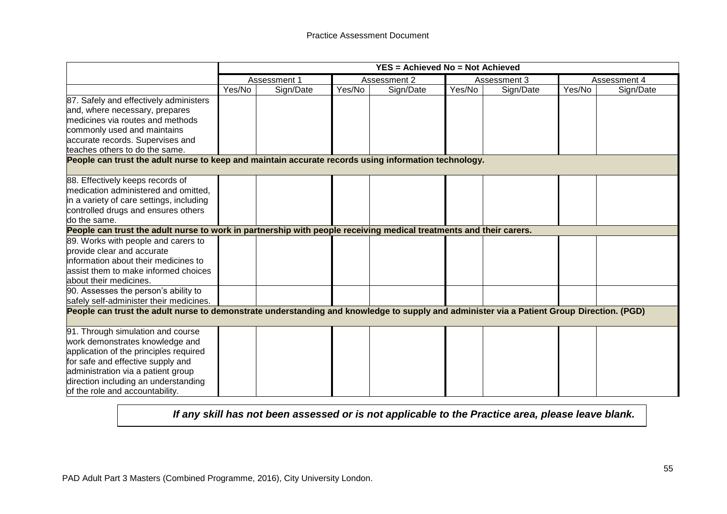|                                                                                                                                           |        | <b>YES = Achieved No = Not Achieved</b> |        |              |        |              |        |              |
|-------------------------------------------------------------------------------------------------------------------------------------------|--------|-----------------------------------------|--------|--------------|--------|--------------|--------|--------------|
|                                                                                                                                           |        | Assessment 1                            |        | Assessment 2 |        | Assessment 3 |        | Assessment 4 |
|                                                                                                                                           | Yes/No | Sign/Date                               | Yes/No | Sign/Date    | Yes/No | Sign/Date    | Yes/No | Sign/Date    |
| 87. Safely and effectively administers                                                                                                    |        |                                         |        |              |        |              |        |              |
| and, where necessary, prepares                                                                                                            |        |                                         |        |              |        |              |        |              |
| medicines via routes and methods                                                                                                          |        |                                         |        |              |        |              |        |              |
| commonly used and maintains                                                                                                               |        |                                         |        |              |        |              |        |              |
| accurate records. Supervises and                                                                                                          |        |                                         |        |              |        |              |        |              |
| teaches others to do the same.                                                                                                            |        |                                         |        |              |        |              |        |              |
| People can trust the adult nurse to keep and maintain accurate records using information technology.                                      |        |                                         |        |              |        |              |        |              |
|                                                                                                                                           |        |                                         |        |              |        |              |        |              |
| 88. Effectively keeps records of                                                                                                          |        |                                         |        |              |        |              |        |              |
| medication administered and omitted,                                                                                                      |        |                                         |        |              |        |              |        |              |
| in a variety of care settings, including                                                                                                  |        |                                         |        |              |        |              |        |              |
| controlled drugs and ensures others                                                                                                       |        |                                         |        |              |        |              |        |              |
| do the same.                                                                                                                              |        |                                         |        |              |        |              |        |              |
| People can trust the adult nurse to work in partnership with people receiving medical treatments and their carers.                        |        |                                         |        |              |        |              |        |              |
| 89. Works with people and carers to                                                                                                       |        |                                         |        |              |        |              |        |              |
| provide clear and accurate                                                                                                                |        |                                         |        |              |        |              |        |              |
| information about their medicines to                                                                                                      |        |                                         |        |              |        |              |        |              |
| assist them to make informed choices                                                                                                      |        |                                         |        |              |        |              |        |              |
| about their medicines.                                                                                                                    |        |                                         |        |              |        |              |        |              |
| 90. Assesses the person's ability to                                                                                                      |        |                                         |        |              |        |              |        |              |
| safely self-administer their medicines.                                                                                                   |        |                                         |        |              |        |              |        |              |
| People can trust the adult nurse to demonstrate understanding and knowledge to supply and administer via a Patient Group Direction. (PGD) |        |                                         |        |              |        |              |        |              |
|                                                                                                                                           |        |                                         |        |              |        |              |        |              |
| 91. Through simulation and course                                                                                                         |        |                                         |        |              |        |              |        |              |
| work demonstrates knowledge and                                                                                                           |        |                                         |        |              |        |              |        |              |
| application of the principles required                                                                                                    |        |                                         |        |              |        |              |        |              |
| for safe and effective supply and                                                                                                         |        |                                         |        |              |        |              |        |              |
| administration via a patient group                                                                                                        |        |                                         |        |              |        |              |        |              |
| direction including an understanding                                                                                                      |        |                                         |        |              |        |              |        |              |
| of the role and accountability.                                                                                                           |        |                                         |        |              |        |              |        |              |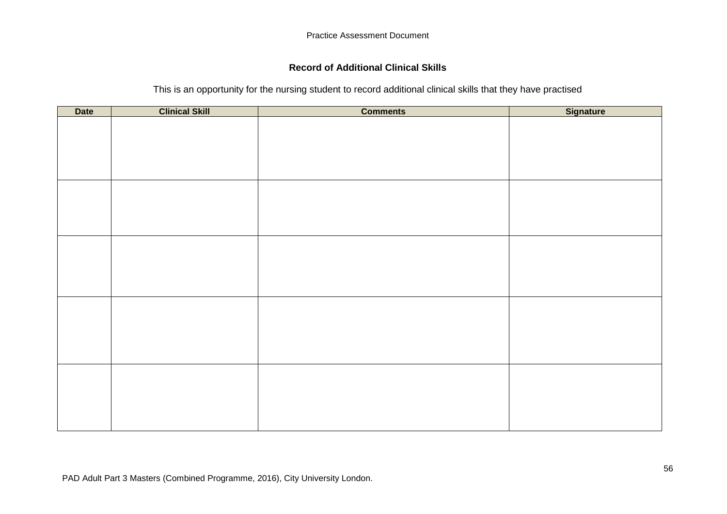# **Record of Additional Clinical Skills**

This is an opportunity for the nursing student to record additional clinical skills that they have practised

| <b>Date</b> | <b>Clinical Skill</b> | <b>Comments</b> | <b>Signature</b> |
|-------------|-----------------------|-----------------|------------------|
|             |                       |                 |                  |
|             |                       |                 |                  |
|             |                       |                 |                  |
|             |                       |                 |                  |
|             |                       |                 |                  |
|             |                       |                 |                  |
|             |                       |                 |                  |
|             |                       |                 |                  |
|             |                       |                 |                  |
|             |                       |                 |                  |
|             |                       |                 |                  |
|             |                       |                 |                  |
|             |                       |                 |                  |
|             |                       |                 |                  |
|             |                       |                 |                  |
|             |                       |                 |                  |
|             |                       |                 |                  |
|             |                       |                 |                  |
|             |                       |                 |                  |
|             |                       |                 |                  |
|             |                       |                 |                  |
|             |                       |                 |                  |
|             |                       |                 |                  |
|             |                       |                 |                  |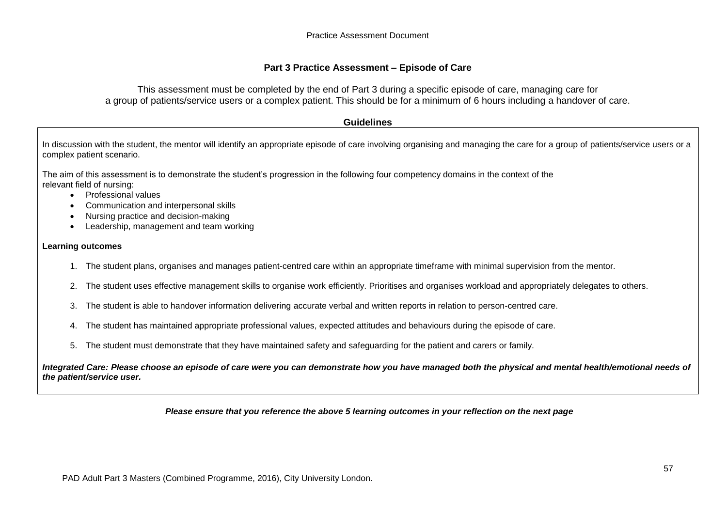#### **Part 3 Practice Assessment – Episode of Care**

This assessment must be completed by the end of Part 3 during a specific episode of care, managing care for a group of patients/service users or a complex patient. This should be for a minimum of 6 hours including a handover of care.

#### **Guidelines**

In discussion with the student, the mentor will identify an appropriate episode of care involving organising and managing the care for a group of patients/service users or a complex patient scenario.

The aim of this assessment is to demonstrate the student's progression in the following four competency domains in the context of the relevant field of nursing:

- Professional values
- Communication and interpersonal skills
- Nursing practice and decision-making
- Leadership, management and team working

#### **Learning outcomes**

- 1. The student plans, organises and manages patient-centred care within an appropriate timeframe with minimal supervision from the mentor.
- 2. The student uses effective management skills to organise work efficiently. Prioritises and organises workload and appropriately delegates to others.
- 3. The student is able to handover information delivering accurate verbal and written reports in relation to person-centred care.
- 4. The student has maintained appropriate professional values, expected attitudes and behaviours during the episode of care.
- 5. The student must demonstrate that they have maintained safety and safeguarding for the patient and carers or family.

*Integrated Care: Please choose an episode of care were you can demonstrate how you have managed both the physical and mental health/emotional needs of the patient/service user.*

*Please ensure that you reference the above 5 learning outcomes in your reflection on the next page*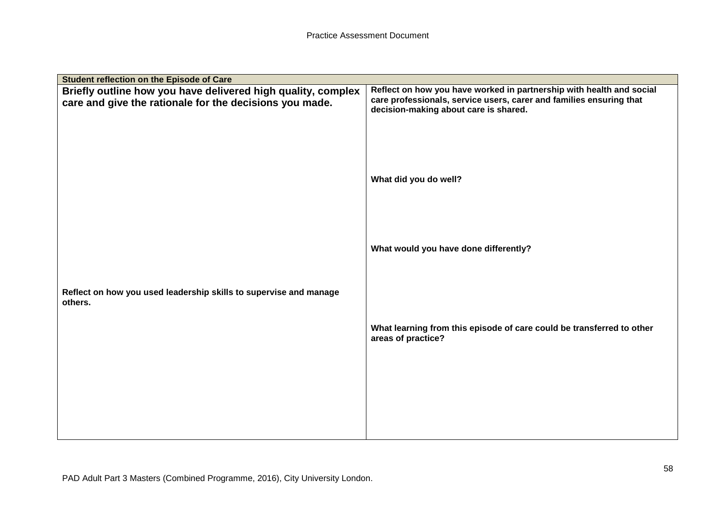| Student reflection on the Episode of Care                         |                                                                                                              |
|-------------------------------------------------------------------|--------------------------------------------------------------------------------------------------------------|
| Briefly outline how you have delivered high quality, complex      | Reflect on how you have worked in partnership with health and social                                         |
| care and give the rationale for the decisions you made.           | care professionals, service users, carer and families ensuring that<br>decision-making about care is shared. |
|                                                                   |                                                                                                              |
|                                                                   |                                                                                                              |
|                                                                   |                                                                                                              |
|                                                                   |                                                                                                              |
|                                                                   | What did you do well?                                                                                        |
|                                                                   |                                                                                                              |
|                                                                   |                                                                                                              |
|                                                                   |                                                                                                              |
|                                                                   | What would you have done differently?                                                                        |
|                                                                   |                                                                                                              |
| Reflect on how you used leadership skills to supervise and manage |                                                                                                              |
| others.                                                           |                                                                                                              |
|                                                                   |                                                                                                              |
|                                                                   | What learning from this episode of care could be transferred to other<br>areas of practice?                  |
|                                                                   |                                                                                                              |
|                                                                   |                                                                                                              |
|                                                                   |                                                                                                              |
|                                                                   |                                                                                                              |
|                                                                   |                                                                                                              |
|                                                                   |                                                                                                              |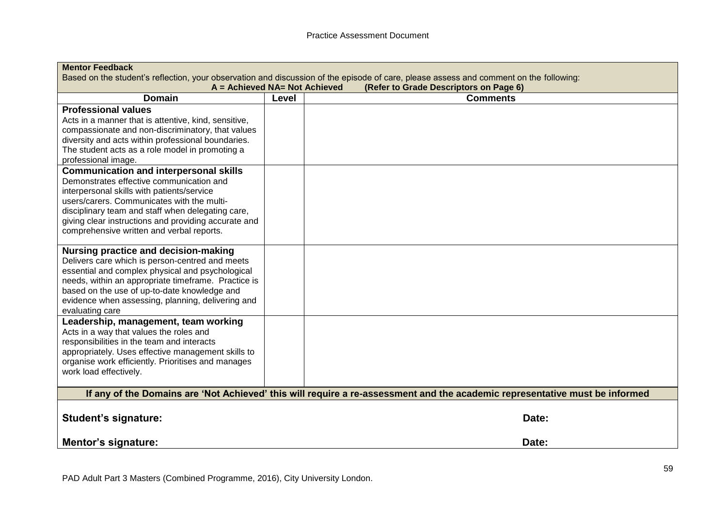| <b>Mentor Feedback</b>                               |                                                                                                                                        |                                                                                                                             |  |  |  |  |  |
|------------------------------------------------------|----------------------------------------------------------------------------------------------------------------------------------------|-----------------------------------------------------------------------------------------------------------------------------|--|--|--|--|--|
|                                                      | Based on the student's reflection, your observation and discussion of the episode of care, please assess and comment on the following: |                                                                                                                             |  |  |  |  |  |
|                                                      | A = Achieved NA= Not Achieved                                                                                                          | (Refer to Grade Descriptors on Page 6)                                                                                      |  |  |  |  |  |
| <b>Domain</b>                                        | Level                                                                                                                                  | <b>Comments</b>                                                                                                             |  |  |  |  |  |
| <b>Professional values</b>                           |                                                                                                                                        |                                                                                                                             |  |  |  |  |  |
| Acts in a manner that is attentive, kind, sensitive, |                                                                                                                                        |                                                                                                                             |  |  |  |  |  |
| compassionate and non-discriminatory, that values    |                                                                                                                                        |                                                                                                                             |  |  |  |  |  |
| diversity and acts within professional boundaries.   |                                                                                                                                        |                                                                                                                             |  |  |  |  |  |
| The student acts as a role model in promoting a      |                                                                                                                                        |                                                                                                                             |  |  |  |  |  |
| professional image.                                  |                                                                                                                                        |                                                                                                                             |  |  |  |  |  |
| <b>Communication and interpersonal skills</b>        |                                                                                                                                        |                                                                                                                             |  |  |  |  |  |
| Demonstrates effective communication and             |                                                                                                                                        |                                                                                                                             |  |  |  |  |  |
| interpersonal skills with patients/service           |                                                                                                                                        |                                                                                                                             |  |  |  |  |  |
| users/carers. Communicates with the multi-           |                                                                                                                                        |                                                                                                                             |  |  |  |  |  |
| disciplinary team and staff when delegating care,    |                                                                                                                                        |                                                                                                                             |  |  |  |  |  |
| giving clear instructions and providing accurate and |                                                                                                                                        |                                                                                                                             |  |  |  |  |  |
| comprehensive written and verbal reports.            |                                                                                                                                        |                                                                                                                             |  |  |  |  |  |
|                                                      |                                                                                                                                        |                                                                                                                             |  |  |  |  |  |
| Nursing practice and decision-making                 |                                                                                                                                        |                                                                                                                             |  |  |  |  |  |
| Delivers care which is person-centred and meets      |                                                                                                                                        |                                                                                                                             |  |  |  |  |  |
| essential and complex physical and psychological     |                                                                                                                                        |                                                                                                                             |  |  |  |  |  |
| needs, within an appropriate timeframe. Practice is  |                                                                                                                                        |                                                                                                                             |  |  |  |  |  |
| based on the use of up-to-date knowledge and         |                                                                                                                                        |                                                                                                                             |  |  |  |  |  |
| evidence when assessing, planning, delivering and    |                                                                                                                                        |                                                                                                                             |  |  |  |  |  |
| evaluating care                                      |                                                                                                                                        |                                                                                                                             |  |  |  |  |  |
| Leadership, management, team working                 |                                                                                                                                        |                                                                                                                             |  |  |  |  |  |
| Acts in a way that values the roles and              |                                                                                                                                        |                                                                                                                             |  |  |  |  |  |
| responsibilities in the team and interacts           |                                                                                                                                        |                                                                                                                             |  |  |  |  |  |
| appropriately. Uses effective management skills to   |                                                                                                                                        |                                                                                                                             |  |  |  |  |  |
| organise work efficiently. Prioritises and manages   |                                                                                                                                        |                                                                                                                             |  |  |  |  |  |
| work load effectively.                               |                                                                                                                                        |                                                                                                                             |  |  |  |  |  |
|                                                      |                                                                                                                                        |                                                                                                                             |  |  |  |  |  |
|                                                      |                                                                                                                                        | If any of the Domains are 'Not Achieved' this will require a re-assessment and the academic representative must be informed |  |  |  |  |  |
|                                                      |                                                                                                                                        |                                                                                                                             |  |  |  |  |  |
| <b>Student's signature:</b>                          |                                                                                                                                        | Date:                                                                                                                       |  |  |  |  |  |
|                                                      |                                                                                                                                        |                                                                                                                             |  |  |  |  |  |
|                                                      |                                                                                                                                        |                                                                                                                             |  |  |  |  |  |
| <b>Mentor's signature:</b>                           |                                                                                                                                        | Date:                                                                                                                       |  |  |  |  |  |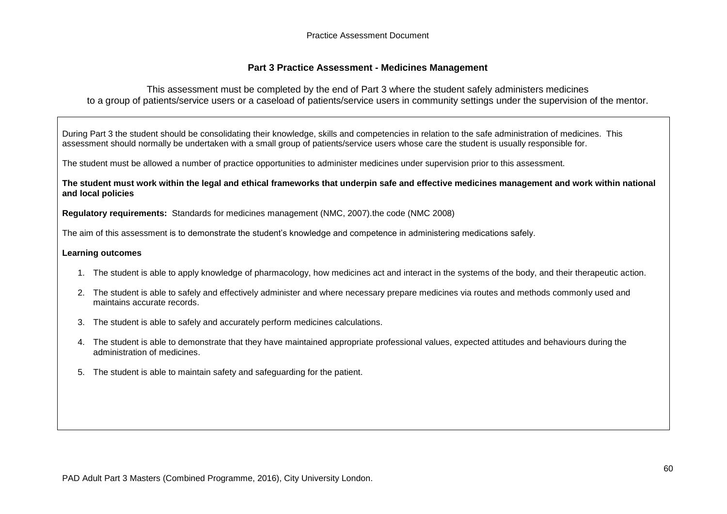### **Part 3 Practice Assessment - Medicines Management**

This assessment must be completed by the end of Part 3 where the student safely administers medicines to a group of patients/service users or a caseload of patients/service users in community settings under the supervision of the mentor.

During Part 3 the student should be consolidating their knowledge, skills and competencies in relation to the safe administration of medicines. This assessment should normally be undertaken with a small group of patients/service users whose care the student is usually responsible for.

The student must be allowed a number of practice opportunities to administer medicines under supervision prior to this assessment.

**The student must work within the legal and ethical frameworks that underpin safe and effective medicines management and work within national and local policies**

**Regulatory requirements:** Standards for medicines management (NMC, 2007).the code (NMC 2008)

The aim of this assessment is to demonstrate the student's knowledge and competence in administering medications safely.

#### **Learning outcomes**

- 1. The student is able to apply knowledge of pharmacology, how medicines act and interact in the systems of the body, and their therapeutic action.
- 2. The student is able to safely and effectively administer and where necessary prepare medicines via routes and methods commonly used and maintains accurate records.
- 3. The student is able to safely and accurately perform medicines calculations.
- 4. The student is able to demonstrate that they have maintained appropriate professional values, expected attitudes and behaviours during the administration of medicines.
- 5. The student is able to maintain safety and safeguarding for the patient.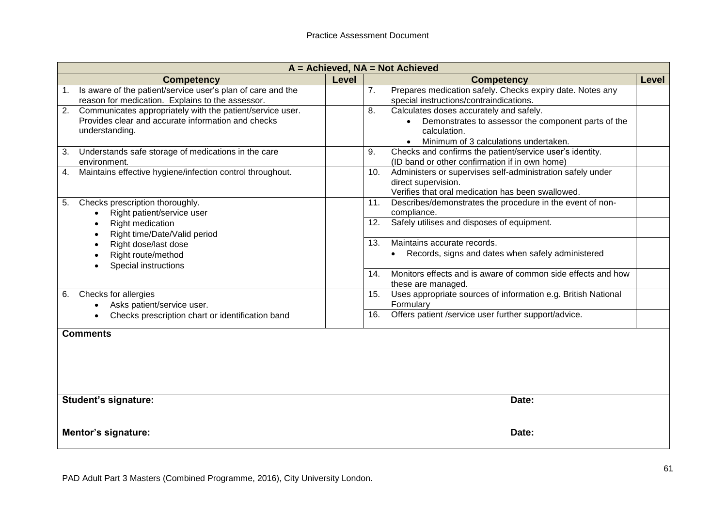|    | $A =$ Achieved, $NA =$ Not Achieved                                                                                               |              |                                                                                                                                                                            |              |  |  |  |
|----|-----------------------------------------------------------------------------------------------------------------------------------|--------------|----------------------------------------------------------------------------------------------------------------------------------------------------------------------------|--------------|--|--|--|
|    | <b>Competency</b>                                                                                                                 | <b>Level</b> | <b>Competency</b>                                                                                                                                                          | <b>Level</b> |  |  |  |
| 1. | Is aware of the patient/service user's plan of care and the<br>reason for medication. Explains to the assessor.                   |              | Prepares medication safely. Checks expiry date. Notes any<br>$\overline{7}$ .<br>special instructions/contraindications.                                                   |              |  |  |  |
| 2. | Communicates appropriately with the patient/service user.<br>Provides clear and accurate information and checks<br>understanding. |              | 8.<br>Calculates doses accurately and safely.<br>Demonstrates to assessor the component parts of the<br>$\bullet$<br>calculation.<br>Minimum of 3 calculations undertaken. |              |  |  |  |
| 3. | Understands safe storage of medications in the care<br>environment.                                                               |              | Checks and confirms the patient/service user's identity.<br>9.<br>(ID band or other confirmation if in own home)                                                           |              |  |  |  |
| 4. | Maintains effective hygiene/infection control throughout.                                                                         |              | Administers or supervises self-administration safely under<br>10.<br>direct supervision.<br>Verifies that oral medication has been swallowed.                              |              |  |  |  |
| 5. | Checks prescription thoroughly.<br>Right patient/service user                                                                     |              | Describes/demonstrates the procedure in the event of non-<br>11.<br>compliance.                                                                                            |              |  |  |  |
|    | Right medication<br>Right time/Date/Valid period                                                                                  |              | Safely utilises and disposes of equipment.<br>12.                                                                                                                          |              |  |  |  |
|    | Right dose/last dose<br>Right route/method<br>Special instructions                                                                |              | Maintains accurate records.<br>13.<br>Records, signs and dates when safely administered<br>$\bullet$                                                                       |              |  |  |  |
|    |                                                                                                                                   |              | Monitors effects and is aware of common side effects and how<br>14.<br>these are managed.                                                                                  |              |  |  |  |
| 6. | Checks for allergies<br>Asks patient/service user.                                                                                |              | Uses appropriate sources of information e.g. British National<br>15.<br>Formulary                                                                                          |              |  |  |  |
|    | Checks prescription chart or identification band                                                                                  |              | Offers patient /service user further support/advice.<br>16.                                                                                                                |              |  |  |  |
|    | <b>Comments</b>                                                                                                                   |              |                                                                                                                                                                            |              |  |  |  |
|    | <b>Student's signature:</b>                                                                                                       |              | Date:                                                                                                                                                                      |              |  |  |  |
|    | <b>Mentor's signature:</b>                                                                                                        |              | Date:                                                                                                                                                                      |              |  |  |  |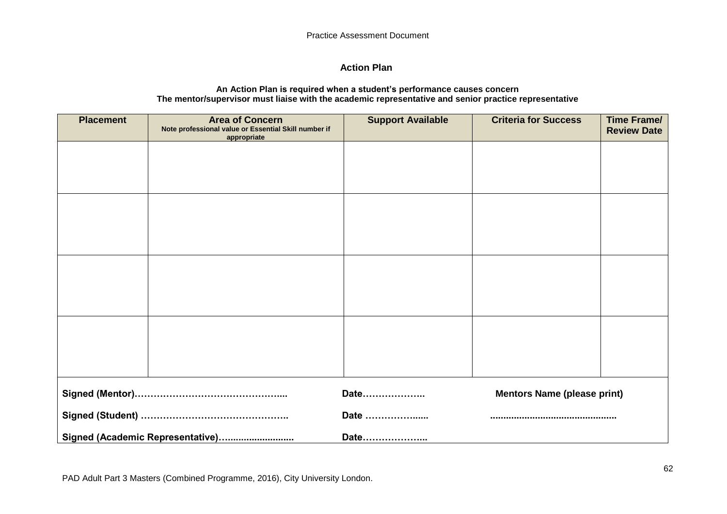# **Action Plan**

#### **An Action Plan is required when a student's performance causes concern The mentor/supervisor must liaise with the academic representative and senior practice representative**

| <b>Placement</b>                 | <b>Area of Concern</b><br>Note professional value or Essential Skill number if<br>appropriate | <b>Support Available</b> | <b>Criteria for Success</b>        | <b>Time Frame/</b><br><b>Review Date</b> |
|----------------------------------|-----------------------------------------------------------------------------------------------|--------------------------|------------------------------------|------------------------------------------|
|                                  |                                                                                               |                          |                                    |                                          |
|                                  |                                                                                               |                          |                                    |                                          |
|                                  |                                                                                               |                          |                                    |                                          |
|                                  |                                                                                               |                          |                                    |                                          |
|                                  |                                                                                               |                          |                                    |                                          |
|                                  |                                                                                               |                          |                                    |                                          |
|                                  |                                                                                               |                          |                                    |                                          |
|                                  |                                                                                               |                          |                                    |                                          |
|                                  |                                                                                               |                          |                                    |                                          |
|                                  |                                                                                               |                          |                                    |                                          |
|                                  |                                                                                               | Date                     | <b>Mentors Name (please print)</b> |                                          |
|                                  | Date                                                                                          |                          |                                    |                                          |
| Signed (Academic Representative) |                                                                                               | Date                     |                                    |                                          |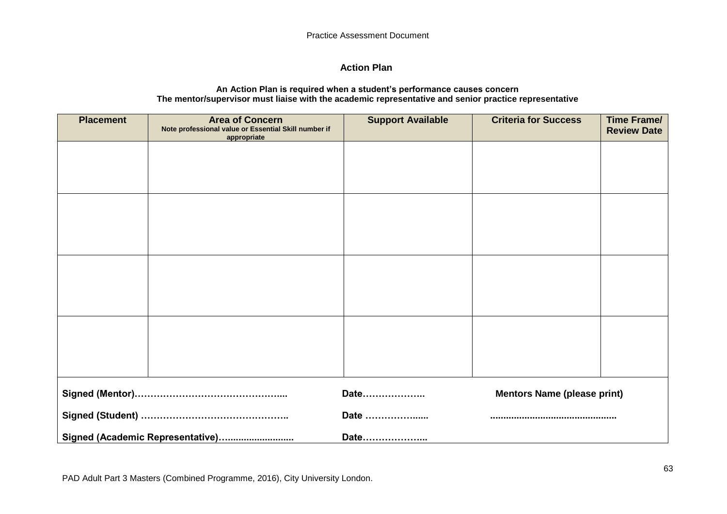# **Action Plan**

#### **An Action Plan is required when a student's performance causes concern The mentor/supervisor must liaise with the academic representative and senior practice representative**

| <b>Placement</b> | <b>Area of Concern</b><br>Note professional value or Essential Skill number if<br>appropriate | <b>Support Available</b> | <b>Criteria for Success</b>        | <b>Time Frame/</b><br><b>Review Date</b> |
|------------------|-----------------------------------------------------------------------------------------------|--------------------------|------------------------------------|------------------------------------------|
|                  |                                                                                               |                          |                                    |                                          |
|                  |                                                                                               |                          |                                    |                                          |
|                  |                                                                                               |                          |                                    |                                          |
|                  |                                                                                               |                          |                                    |                                          |
|                  |                                                                                               |                          |                                    |                                          |
|                  |                                                                                               |                          |                                    |                                          |
|                  |                                                                                               |                          |                                    |                                          |
|                  |                                                                                               |                          |                                    |                                          |
|                  |                                                                                               | Date                     | <b>Mentors Name (please print)</b> |                                          |
|                  |                                                                                               | Date                     |                                    |                                          |
|                  | Signed (Academic Representative)                                                              | Date                     |                                    |                                          |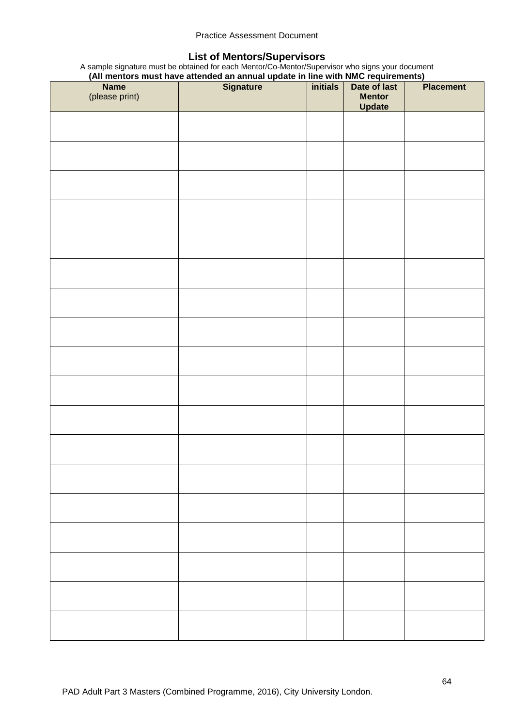#### Practice Assessment Document

#### **List of Mentors/Supervisors**

A sample signature must be obtained for each Mentor/Co-Mentor/Supervisor who signs your document **(All mentors must have attended an annual update in line with NMC requirements)**

|                | Name Note of Data Travel and annual update in the with NMC requirements)<br>Name Signature initials Date of last |                         | Placement |
|----------------|------------------------------------------------------------------------------------------------------------------|-------------------------|-----------|
| (please print) |                                                                                                                  | <b>Mentor</b><br>Update |           |
|                |                                                                                                                  |                         |           |
|                |                                                                                                                  |                         |           |
|                |                                                                                                                  |                         |           |
|                |                                                                                                                  |                         |           |
|                |                                                                                                                  |                         |           |
|                |                                                                                                                  |                         |           |
|                |                                                                                                                  |                         |           |
|                |                                                                                                                  |                         |           |
|                |                                                                                                                  |                         |           |
|                |                                                                                                                  |                         |           |
|                |                                                                                                                  |                         |           |
|                |                                                                                                                  |                         |           |
|                |                                                                                                                  |                         |           |
|                |                                                                                                                  |                         |           |
|                |                                                                                                                  |                         |           |
|                |                                                                                                                  |                         |           |
|                |                                                                                                                  |                         |           |
|                |                                                                                                                  |                         |           |
|                |                                                                                                                  |                         |           |
|                |                                                                                                                  |                         |           |
|                |                                                                                                                  |                         |           |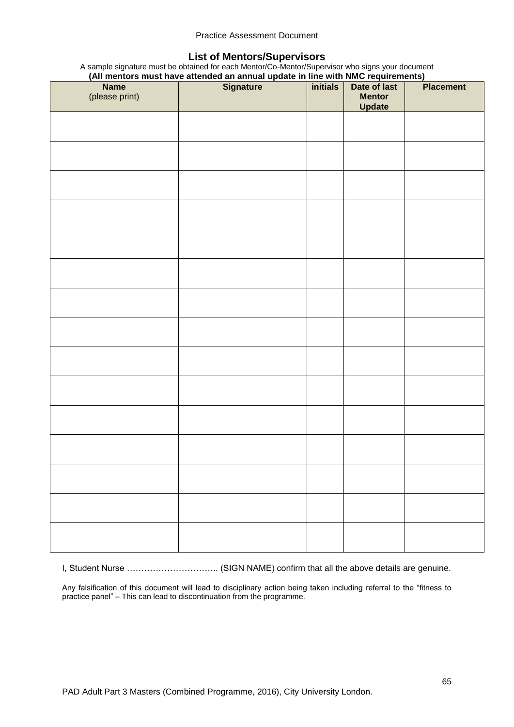#### Practice Assessment Document

#### **List of Mentors/Supervisors**

A sample signature must be obtained for each Mentor/Co-Mentor/Supervisor who signs your document **(All mentors must have attended an annual update in line with NMC requirements)**

|                | (All memors must have attended an annual update in line with NMC requirements) |                 |               |                  |  |  |
|----------------|--------------------------------------------------------------------------------|-----------------|---------------|------------------|--|--|
| <b>Name</b>    | <b>Signature</b>                                                               | <i>initials</i> | Date of last  | <b>Placement</b> |  |  |
| (please print) |                                                                                |                 | <b>Mentor</b> |                  |  |  |
|                |                                                                                |                 | <b>Update</b> |                  |  |  |
|                |                                                                                |                 |               |                  |  |  |
|                |                                                                                |                 |               |                  |  |  |
|                |                                                                                |                 |               |                  |  |  |
|                |                                                                                |                 |               |                  |  |  |
|                |                                                                                |                 |               |                  |  |  |
|                |                                                                                |                 |               |                  |  |  |
|                |                                                                                |                 |               |                  |  |  |
|                |                                                                                |                 |               |                  |  |  |
|                |                                                                                |                 |               |                  |  |  |
|                |                                                                                |                 |               |                  |  |  |
|                |                                                                                |                 |               |                  |  |  |
|                |                                                                                |                 |               |                  |  |  |
|                |                                                                                |                 |               |                  |  |  |
|                |                                                                                |                 |               |                  |  |  |
|                |                                                                                |                 |               |                  |  |  |
|                |                                                                                |                 |               |                  |  |  |
|                |                                                                                |                 |               |                  |  |  |
|                |                                                                                |                 |               |                  |  |  |
|                |                                                                                |                 |               |                  |  |  |
|                |                                                                                |                 |               |                  |  |  |
|                |                                                                                |                 |               |                  |  |  |
|                |                                                                                |                 |               |                  |  |  |
|                |                                                                                |                 |               |                  |  |  |
|                |                                                                                |                 |               |                  |  |  |
|                |                                                                                |                 |               |                  |  |  |
|                |                                                                                |                 |               |                  |  |  |
|                |                                                                                |                 |               |                  |  |  |
|                |                                                                                |                 |               |                  |  |  |
|                |                                                                                |                 |               |                  |  |  |
|                |                                                                                |                 |               |                  |  |  |
|                |                                                                                |                 |               |                  |  |  |
|                |                                                                                |                 |               |                  |  |  |
|                |                                                                                |                 |               |                  |  |  |
|                |                                                                                |                 |               |                  |  |  |
|                |                                                                                |                 |               |                  |  |  |
|                |                                                                                |                 |               |                  |  |  |
|                |                                                                                |                 |               |                  |  |  |
|                |                                                                                |                 |               |                  |  |  |
|                |                                                                                |                 |               |                  |  |  |
|                |                                                                                |                 |               |                  |  |  |
|                |                                                                                |                 |               |                  |  |  |
|                |                                                                                |                 |               |                  |  |  |
|                |                                                                                |                 |               |                  |  |  |
|                |                                                                                |                 |               |                  |  |  |
|                |                                                                                |                 |               |                  |  |  |
|                |                                                                                |                 |               |                  |  |  |
|                |                                                                                |                 |               |                  |  |  |
|                |                                                                                |                 |               |                  |  |  |
|                |                                                                                |                 |               |                  |  |  |
|                |                                                                                |                 |               |                  |  |  |
|                |                                                                                |                 |               |                  |  |  |
|                |                                                                                |                 |               |                  |  |  |
|                |                                                                                |                 |               |                  |  |  |
|                |                                                                                |                 |               |                  |  |  |
|                |                                                                                |                 |               |                  |  |  |
|                |                                                                                |                 |               |                  |  |  |
|                |                                                                                |                 |               |                  |  |  |
|                |                                                                                |                 |               |                  |  |  |
|                |                                                                                |                 |               |                  |  |  |
|                |                                                                                |                 |               |                  |  |  |
|                |                                                                                |                 |               |                  |  |  |
|                |                                                                                |                 |               |                  |  |  |

I, Student Nurse ………………………….. (SIGN NAME) confirm that all the above details are genuine.

Any falsification of this document will lead to disciplinary action being taken including referral to the "fitness to practice panel" – This can lead to discontinuation from the programme.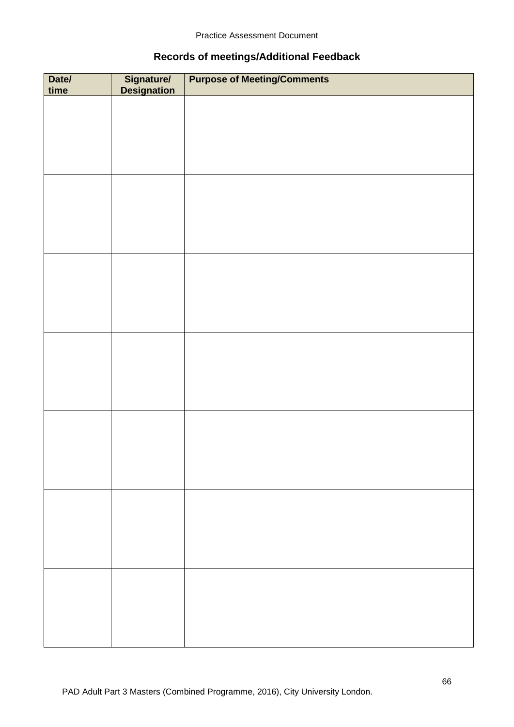# **Records of meetings/Additional Feedback**

| Date/<br>time | Signature/<br>Designation | <b>Purpose of Meeting/Comments</b> |
|---------------|---------------------------|------------------------------------|
|               |                           |                                    |
|               |                           |                                    |
|               |                           |                                    |
|               |                           |                                    |
|               |                           |                                    |
|               |                           |                                    |
|               |                           |                                    |
|               |                           |                                    |
|               |                           |                                    |
|               |                           |                                    |
|               |                           |                                    |
|               |                           |                                    |
|               |                           |                                    |
|               |                           |                                    |
|               |                           |                                    |
|               |                           |                                    |
|               |                           |                                    |
|               |                           |                                    |
|               |                           |                                    |
|               |                           |                                    |
|               |                           |                                    |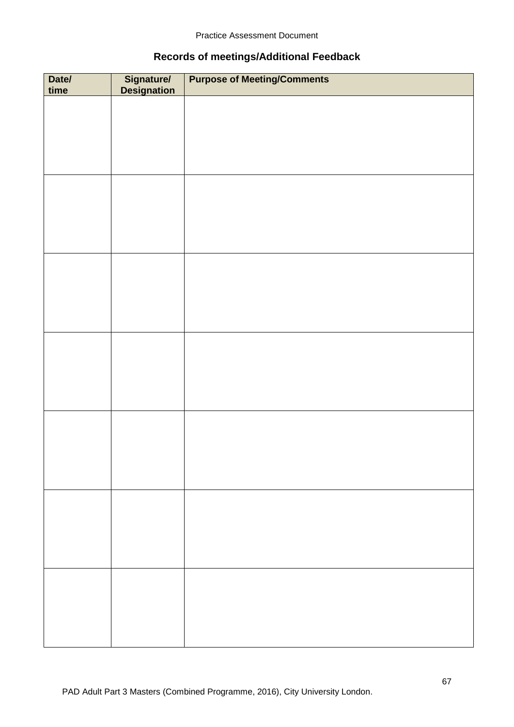# **Records of meetings/Additional Feedback**

| Date/<br>time | Signature/<br>Designation | <b>Purpose of Meeting/Comments</b> |
|---------------|---------------------------|------------------------------------|
|               |                           |                                    |
|               |                           |                                    |
|               |                           |                                    |
|               |                           |                                    |
|               |                           |                                    |
|               |                           |                                    |
|               |                           |                                    |
|               |                           |                                    |
|               |                           |                                    |
|               |                           |                                    |
|               |                           |                                    |
|               |                           |                                    |
|               |                           |                                    |
|               |                           |                                    |
|               |                           |                                    |
|               |                           |                                    |
|               |                           |                                    |
|               |                           |                                    |
|               |                           |                                    |
|               |                           |                                    |
|               |                           |                                    |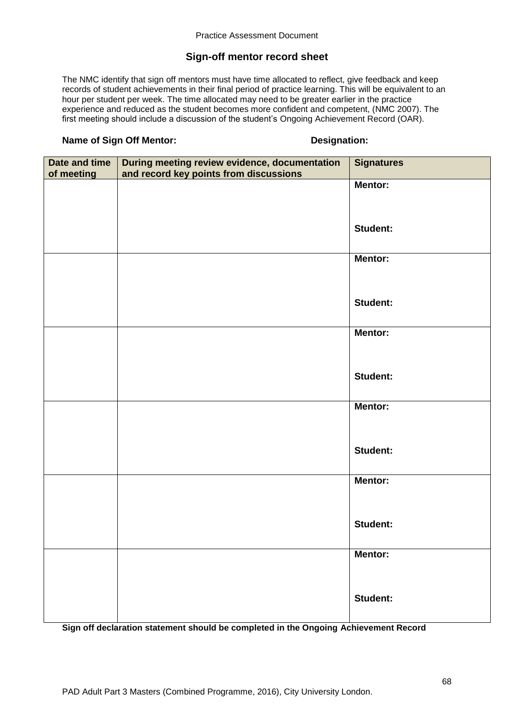# **Sign-off mentor record sheet**

The NMC identify that sign off mentors must have time allocated to reflect, give feedback and keep records of student achievements in their final period of practice learning. This will be equivalent to an hour per student per week. The time allocated may need to be greater earlier in the practice experience and reduced as the student becomes more confident and competent, (NMC 2007). The first meeting should include a discussion of the student's Ongoing Achievement Record (OAR).

#### **Name of Sign Off Mentor: Designation:**

| Date and time | During meeting review evidence, documentation | <b>Signatures</b> |
|---------------|-----------------------------------------------|-------------------|
| of meeting    | and record key points from discussions        |                   |
|               |                                               | <b>Mentor:</b>    |
|               |                                               |                   |
|               |                                               |                   |
|               |                                               | <b>Student:</b>   |
|               |                                               |                   |
|               |                                               |                   |
|               |                                               | Mentor:           |
|               |                                               |                   |
|               |                                               |                   |
|               |                                               | <b>Student:</b>   |
|               |                                               |                   |
|               |                                               |                   |
|               |                                               | <b>Mentor:</b>    |
|               |                                               |                   |
|               |                                               |                   |
|               |                                               | <b>Student:</b>   |
|               |                                               |                   |
|               |                                               |                   |
|               |                                               | Mentor:           |
|               |                                               |                   |
|               |                                               |                   |
|               |                                               | <b>Student:</b>   |
|               |                                               |                   |
|               |                                               |                   |
|               |                                               | Mentor:           |
|               |                                               |                   |
|               |                                               |                   |
|               |                                               | <b>Student:</b>   |
|               |                                               |                   |
|               |                                               |                   |
|               |                                               | <b>Mentor:</b>    |
|               |                                               |                   |
|               |                                               |                   |
|               |                                               | <b>Student:</b>   |
|               |                                               |                   |
|               |                                               |                   |

**Sign off declaration statement should be completed in the Ongoing Achievement Record**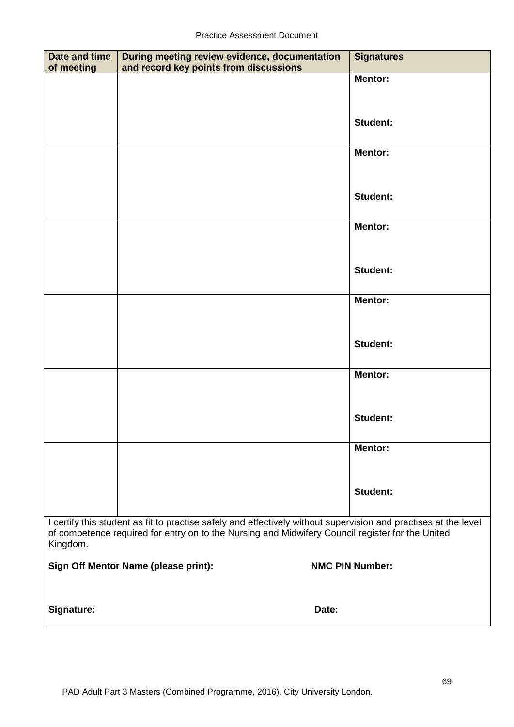| <b>Date and time</b><br>of meeting | During meeting review evidence, documentation<br>and record key points from discussions                                                                                                                             | <b>Signatures</b>      |  |  |  |  |
|------------------------------------|---------------------------------------------------------------------------------------------------------------------------------------------------------------------------------------------------------------------|------------------------|--|--|--|--|
|                                    |                                                                                                                                                                                                                     | <b>Mentor:</b>         |  |  |  |  |
|                                    |                                                                                                                                                                                                                     |                        |  |  |  |  |
|                                    |                                                                                                                                                                                                                     | <b>Student:</b>        |  |  |  |  |
|                                    |                                                                                                                                                                                                                     |                        |  |  |  |  |
|                                    |                                                                                                                                                                                                                     | <b>Mentor:</b>         |  |  |  |  |
|                                    |                                                                                                                                                                                                                     |                        |  |  |  |  |
|                                    |                                                                                                                                                                                                                     | <b>Student:</b>        |  |  |  |  |
|                                    |                                                                                                                                                                                                                     | <b>Mentor:</b>         |  |  |  |  |
|                                    |                                                                                                                                                                                                                     |                        |  |  |  |  |
|                                    |                                                                                                                                                                                                                     |                        |  |  |  |  |
|                                    |                                                                                                                                                                                                                     | <b>Student:</b>        |  |  |  |  |
|                                    |                                                                                                                                                                                                                     | <b>Mentor:</b>         |  |  |  |  |
|                                    |                                                                                                                                                                                                                     |                        |  |  |  |  |
|                                    |                                                                                                                                                                                                                     | <b>Student:</b>        |  |  |  |  |
|                                    |                                                                                                                                                                                                                     |                        |  |  |  |  |
|                                    |                                                                                                                                                                                                                     | <b>Mentor:</b>         |  |  |  |  |
|                                    |                                                                                                                                                                                                                     |                        |  |  |  |  |
|                                    |                                                                                                                                                                                                                     | <b>Student:</b>        |  |  |  |  |
|                                    |                                                                                                                                                                                                                     | <b>Mentor:</b>         |  |  |  |  |
|                                    |                                                                                                                                                                                                                     |                        |  |  |  |  |
|                                    |                                                                                                                                                                                                                     | <b>Student:</b>        |  |  |  |  |
|                                    |                                                                                                                                                                                                                     |                        |  |  |  |  |
| Kingdom.                           | I certify this student as fit to practise safely and effectively without supervision and practises at the level<br>of competence required for entry on to the Nursing and Midwifery Council register for the United |                        |  |  |  |  |
|                                    | Sign Off Mentor Name (please print):                                                                                                                                                                                | <b>NMC PIN Number:</b> |  |  |  |  |
|                                    |                                                                                                                                                                                                                     |                        |  |  |  |  |
| <b>Signature:</b>                  | Date:                                                                                                                                                                                                               |                        |  |  |  |  |
|                                    |                                                                                                                                                                                                                     |                        |  |  |  |  |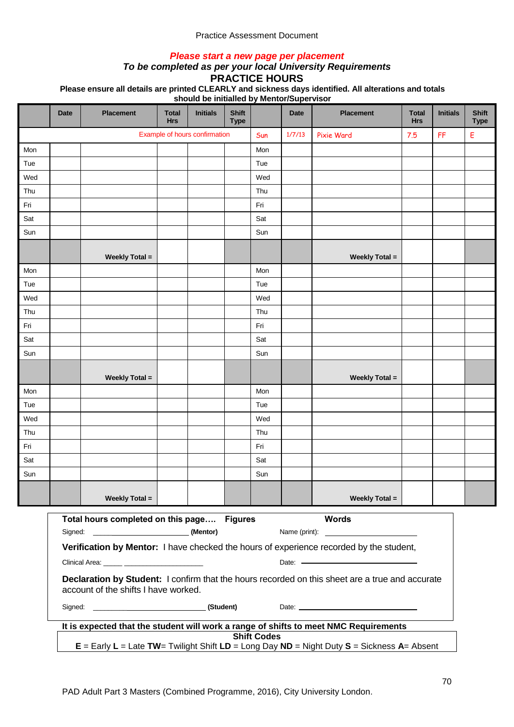#### Practice Assessment Document

#### *Please start a new page per placement*

# *To be completed as per your local University Requirements*

**PRACTICE HOURS**

**Please ensure all details are printed CLEARLY and sickness days identified. All alterations and totals** 

**should be initialled by Mentor/Supervisor**

|     | <b>Date</b>                                                                                                        | <b>Placement</b>                              | <b>Total</b><br><b>Hrs</b> | <b>Initials</b>               | <b>Shift</b><br><b>Type</b> |     | <b>Date</b>   | <b>Placement</b>                                                                                                                     | <b>Total</b><br><b>Hrs</b> | <b>Initials</b> | <b>Shift</b><br><b>Type</b> |
|-----|--------------------------------------------------------------------------------------------------------------------|-----------------------------------------------|----------------------------|-------------------------------|-----------------------------|-----|---------------|--------------------------------------------------------------------------------------------------------------------------------------|----------------------------|-----------------|-----------------------------|
|     |                                                                                                                    |                                               |                            | Example of hours confirmation |                             | Sun | 1/7/13        | <b>Pixie Ward</b>                                                                                                                    | 7.5                        | FF              | Е                           |
| Mon |                                                                                                                    |                                               |                            |                               |                             | Mon |               |                                                                                                                                      |                            |                 |                             |
| Tue |                                                                                                                    |                                               |                            |                               |                             | Tue |               |                                                                                                                                      |                            |                 |                             |
| Wed |                                                                                                                    |                                               |                            |                               |                             | Wed |               |                                                                                                                                      |                            |                 |                             |
| Thu |                                                                                                                    |                                               |                            |                               |                             | Thu |               |                                                                                                                                      |                            |                 |                             |
| Fri |                                                                                                                    |                                               |                            |                               |                             | Fri |               |                                                                                                                                      |                            |                 |                             |
| Sat |                                                                                                                    |                                               |                            |                               |                             | Sat |               |                                                                                                                                      |                            |                 |                             |
| Sun |                                                                                                                    |                                               |                            |                               |                             | Sun |               |                                                                                                                                      |                            |                 |                             |
|     |                                                                                                                    | <b>Weekly Total =</b>                         |                            |                               |                             |     |               | <b>Weekly Total =</b>                                                                                                                |                            |                 |                             |
| Mon |                                                                                                                    |                                               |                            |                               |                             | Mon |               |                                                                                                                                      |                            |                 |                             |
| Tue |                                                                                                                    |                                               |                            |                               |                             | Tue |               |                                                                                                                                      |                            |                 |                             |
| Wed |                                                                                                                    |                                               |                            |                               |                             | Wed |               |                                                                                                                                      |                            |                 |                             |
| Thu |                                                                                                                    |                                               |                            |                               |                             | Thu |               |                                                                                                                                      |                            |                 |                             |
| Fri |                                                                                                                    |                                               |                            |                               |                             | Fri |               |                                                                                                                                      |                            |                 |                             |
| Sat |                                                                                                                    |                                               |                            |                               |                             | Sat |               |                                                                                                                                      |                            |                 |                             |
| Sun |                                                                                                                    |                                               |                            |                               |                             | Sun |               |                                                                                                                                      |                            |                 |                             |
|     |                                                                                                                    | <b>Weekly Total =</b>                         |                            |                               |                             |     |               | <b>Weekly Total =</b>                                                                                                                |                            |                 |                             |
| Mon |                                                                                                                    |                                               |                            |                               |                             | Mon |               |                                                                                                                                      |                            |                 |                             |
| Tue |                                                                                                                    |                                               |                            |                               |                             | Tue |               |                                                                                                                                      |                            |                 |                             |
| Wed |                                                                                                                    |                                               |                            |                               |                             | Wed |               |                                                                                                                                      |                            |                 |                             |
| Thu |                                                                                                                    |                                               |                            |                               |                             | Thu |               |                                                                                                                                      |                            |                 |                             |
| Fri |                                                                                                                    |                                               |                            |                               |                             | Fri |               |                                                                                                                                      |                            |                 |                             |
| Sat |                                                                                                                    |                                               |                            |                               |                             | Sat |               |                                                                                                                                      |                            |                 |                             |
| Sun |                                                                                                                    |                                               |                            |                               |                             | Sun |               |                                                                                                                                      |                            |                 |                             |
|     |                                                                                                                    | <b>Weekly Total =</b>                         |                            |                               |                             |     |               | <b>Weekly Total =</b>                                                                                                                |                            |                 |                             |
|     |                                                                                                                    | Total hours completed on this page Figures    |                            |                               |                             |     | Name (print): | <b>Words</b><br><u> Alexandria de la contexta de la contexta de la contexta de la contexta de la contexta de la contexta de la c</u> |                            |                 |                             |
|     |                                                                                                                    |                                               |                            |                               |                             |     |               | Verification by Mentor: I have checked the hours of experience recorded by the student,                                              |                            |                 |                             |
|     |                                                                                                                    | Clinical Area: _____ ________________________ |                            |                               |                             |     |               | Date: Note: Note: Note: Note: Note: Note: Note: Note: Note: Note: Note: Note: Note: Note: Note: Note: Note: No                       |                            |                 |                             |
|     |                                                                                                                    | account of the shifts I have worked.          |                            |                               |                             |     |               | Declaration by Student: I confirm that the hours recorded on this sheet are a true and accurate                                      |                            |                 |                             |
|     |                                                                                                                    |                                               |                            |                               |                             |     |               |                                                                                                                                      |                            |                 |                             |
|     |                                                                                                                    |                                               |                            |                               |                             |     |               | It is expected that the student will work a range of shifts to meet NMC Requirements                                                 |                            |                 |                             |
|     | <b>Shift Codes</b><br>$E =$ Early L = Late TW= Twilight Shift LD = Long Day ND = Night Duty S = Sickness A= Absent |                                               |                            |                               |                             |     |               |                                                                                                                                      |                            |                 |                             |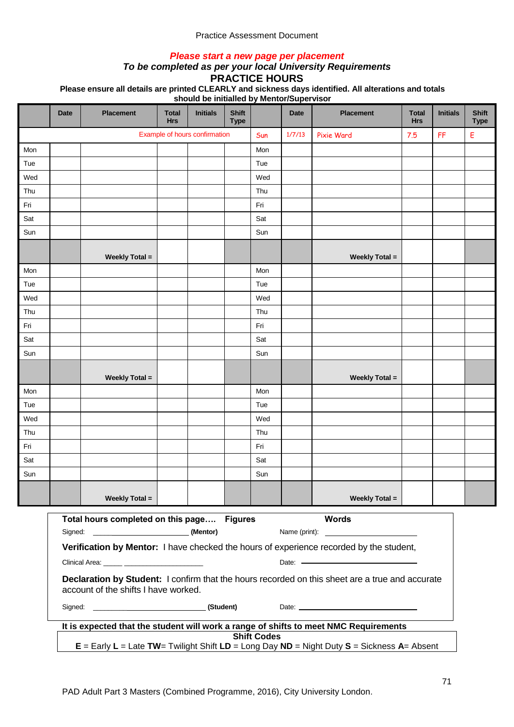## *Please start a new page per placement*

# *To be completed as per your local University Requirements*

**PRACTICE HOURS**

**Please ensure all details are printed CLEARLY and sickness days identified. All alterations and totals** 

|     | <b>Date</b>                                                                                                                                 | <b>Placement</b>                                                                                                                        | <b>Total</b><br><b>Hrs</b> | <b>Initials</b> | <b>Shift</b><br><b>Type</b> |     | <b>Date</b> | <b>Placement</b>      | <b>Total</b><br><b>Hrs</b> | <b>Initials</b> | <b>Shift</b><br><b>Type</b> |  |  |
|-----|---------------------------------------------------------------------------------------------------------------------------------------------|-----------------------------------------------------------------------------------------------------------------------------------------|----------------------------|-----------------|-----------------------------|-----|-------------|-----------------------|----------------------------|-----------------|-----------------------------|--|--|
|     |                                                                                                                                             | Example of hours confirmation                                                                                                           |                            |                 |                             |     | 1/7/13      | Pixie Ward            | 7.5                        | FF              | Е                           |  |  |
| Mon |                                                                                                                                             |                                                                                                                                         |                            |                 |                             | Mon |             |                       |                            |                 |                             |  |  |
| Tue |                                                                                                                                             |                                                                                                                                         |                            |                 |                             | Tue |             |                       |                            |                 |                             |  |  |
| Wed |                                                                                                                                             |                                                                                                                                         |                            |                 |                             | Wed |             |                       |                            |                 |                             |  |  |
| Thu |                                                                                                                                             |                                                                                                                                         |                            |                 |                             | Thu |             |                       |                            |                 |                             |  |  |
| Fri |                                                                                                                                             |                                                                                                                                         |                            |                 |                             | Fri |             |                       |                            |                 |                             |  |  |
| Sat |                                                                                                                                             |                                                                                                                                         |                            |                 |                             | Sat |             |                       |                            |                 |                             |  |  |
| Sun |                                                                                                                                             |                                                                                                                                         |                            |                 |                             | Sun |             |                       |                            |                 |                             |  |  |
|     |                                                                                                                                             | <b>Weekly Total =</b>                                                                                                                   |                            |                 |                             |     |             | <b>Weekly Total =</b> |                            |                 |                             |  |  |
| Mon |                                                                                                                                             |                                                                                                                                         |                            |                 |                             | Mon |             |                       |                            |                 |                             |  |  |
| Tue |                                                                                                                                             |                                                                                                                                         |                            |                 |                             | Tue |             |                       |                            |                 |                             |  |  |
| Wed |                                                                                                                                             |                                                                                                                                         |                            |                 |                             | Wed |             |                       |                            |                 |                             |  |  |
| Thu |                                                                                                                                             |                                                                                                                                         |                            |                 |                             | Thu |             |                       |                            |                 |                             |  |  |
| Fri |                                                                                                                                             |                                                                                                                                         |                            |                 |                             | Fri |             |                       |                            |                 |                             |  |  |
| Sat |                                                                                                                                             |                                                                                                                                         |                            |                 |                             | Sat |             |                       |                            |                 |                             |  |  |
| Sun |                                                                                                                                             |                                                                                                                                         |                            |                 |                             | Sun |             |                       |                            |                 |                             |  |  |
|     |                                                                                                                                             | <b>Weekly Total =</b>                                                                                                                   |                            |                 |                             |     |             | <b>Weekly Total =</b> |                            |                 |                             |  |  |
| Mon |                                                                                                                                             |                                                                                                                                         |                            |                 |                             | Mon |             |                       |                            |                 |                             |  |  |
| Tue |                                                                                                                                             |                                                                                                                                         |                            |                 |                             | Tue |             |                       |                            |                 |                             |  |  |
| Wed |                                                                                                                                             |                                                                                                                                         |                            |                 |                             | Wed |             |                       |                            |                 |                             |  |  |
| Thu |                                                                                                                                             |                                                                                                                                         |                            |                 |                             | Thu |             |                       |                            |                 |                             |  |  |
| Fri |                                                                                                                                             |                                                                                                                                         |                            |                 |                             | Fri |             |                       |                            |                 |                             |  |  |
| Sat |                                                                                                                                             |                                                                                                                                         |                            |                 |                             | Sat |             |                       |                            |                 |                             |  |  |
| Sun |                                                                                                                                             |                                                                                                                                         |                            |                 |                             | Sun |             |                       |                            |                 |                             |  |  |
|     |                                                                                                                                             | <b>Weekly Total =</b>                                                                                                                   |                            |                 |                             |     |             | <b>Weekly Total =</b> |                            |                 |                             |  |  |
|     |                                                                                                                                             | Total hours completed on this page Figures                                                                                              |                            |                 |                             |     |             | <b>Words</b>          |                            |                 |                             |  |  |
|     |                                                                                                                                             |                                                                                                                                         |                            |                 |                             |     |             |                       |                            |                 |                             |  |  |
|     | Verification by Mentor: I have checked the hours of experience recorded by the student,<br>Clinical Area: _____ ___________________________ |                                                                                                                                         |                            |                 |                             |     |             |                       |                            |                 |                             |  |  |
|     |                                                                                                                                             | Declaration by Student: I confirm that the hours recorded on this sheet are a true and accurate<br>account of the shifts I have worked. |                            |                 |                             |     |             |                       |                            |                 |                             |  |  |
|     |                                                                                                                                             |                                                                                                                                         |                            |                 |                             |     |             |                       |                            |                 |                             |  |  |
|     | It is expected that the student will work a range of shifts to meet NMC Requirements                                                        |                                                                                                                                         |                            |                 |                             |     |             |                       |                            |                 |                             |  |  |
|     | <b>Shift Codes</b><br>$E =$ Early L = Late TW= Twilight Shift LD = Long Day ND = Night Duty S = Sickness A= Absent                          |                                                                                                                                         |                            |                 |                             |     |             |                       |                            |                 |                             |  |  |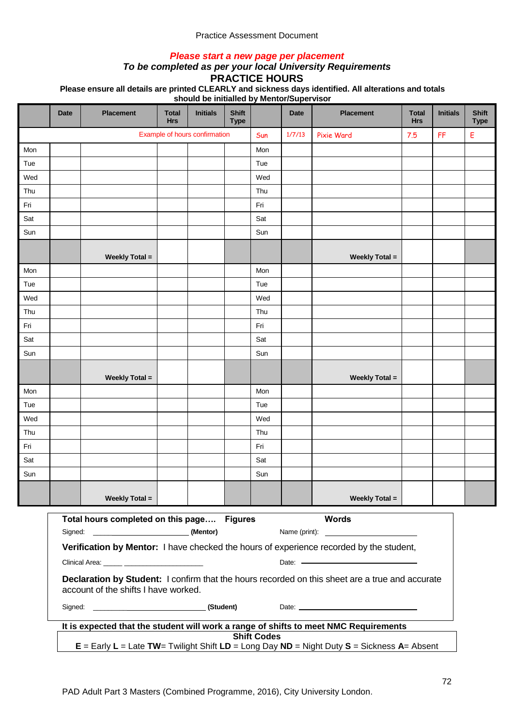## *Please start a new page per placement*

# *To be completed as per your local University Requirements*

**PRACTICE HOURS**

**Please ensure all details are printed CLEARLY and sickness days identified. All alterations and totals** 

|     | <b>Date</b>                                                                                                                                 | <b>Placement</b>                                                                                                                        | <b>Total</b><br><b>Hrs</b> | <b>Initials</b> | <b>Shift</b><br><b>Type</b> |     | <b>Date</b> | <b>Placement</b>      | <b>Total</b><br><b>Hrs</b> | <b>Initials</b> | <b>Shift</b><br><b>Type</b> |  |  |
|-----|---------------------------------------------------------------------------------------------------------------------------------------------|-----------------------------------------------------------------------------------------------------------------------------------------|----------------------------|-----------------|-----------------------------|-----|-------------|-----------------------|----------------------------|-----------------|-----------------------------|--|--|
|     |                                                                                                                                             | Example of hours confirmation                                                                                                           |                            |                 |                             |     | 1/7/13      | Pixie Ward            | 7.5                        | FF              | Е                           |  |  |
| Mon |                                                                                                                                             |                                                                                                                                         |                            |                 |                             | Mon |             |                       |                            |                 |                             |  |  |
| Tue |                                                                                                                                             |                                                                                                                                         |                            |                 |                             | Tue |             |                       |                            |                 |                             |  |  |
| Wed |                                                                                                                                             |                                                                                                                                         |                            |                 |                             | Wed |             |                       |                            |                 |                             |  |  |
| Thu |                                                                                                                                             |                                                                                                                                         |                            |                 |                             | Thu |             |                       |                            |                 |                             |  |  |
| Fri |                                                                                                                                             |                                                                                                                                         |                            |                 |                             | Fri |             |                       |                            |                 |                             |  |  |
| Sat |                                                                                                                                             |                                                                                                                                         |                            |                 |                             | Sat |             |                       |                            |                 |                             |  |  |
| Sun |                                                                                                                                             |                                                                                                                                         |                            |                 |                             | Sun |             |                       |                            |                 |                             |  |  |
|     |                                                                                                                                             | <b>Weekly Total =</b>                                                                                                                   |                            |                 |                             |     |             | <b>Weekly Total =</b> |                            |                 |                             |  |  |
| Mon |                                                                                                                                             |                                                                                                                                         |                            |                 |                             | Mon |             |                       |                            |                 |                             |  |  |
| Tue |                                                                                                                                             |                                                                                                                                         |                            |                 |                             | Tue |             |                       |                            |                 |                             |  |  |
| Wed |                                                                                                                                             |                                                                                                                                         |                            |                 |                             | Wed |             |                       |                            |                 |                             |  |  |
| Thu |                                                                                                                                             |                                                                                                                                         |                            |                 |                             | Thu |             |                       |                            |                 |                             |  |  |
| Fri |                                                                                                                                             |                                                                                                                                         |                            |                 |                             | Fri |             |                       |                            |                 |                             |  |  |
| Sat |                                                                                                                                             |                                                                                                                                         |                            |                 |                             | Sat |             |                       |                            |                 |                             |  |  |
| Sun |                                                                                                                                             |                                                                                                                                         |                            |                 |                             | Sun |             |                       |                            |                 |                             |  |  |
|     |                                                                                                                                             | <b>Weekly Total =</b>                                                                                                                   |                            |                 |                             |     |             | <b>Weekly Total =</b> |                            |                 |                             |  |  |
| Mon |                                                                                                                                             |                                                                                                                                         |                            |                 |                             | Mon |             |                       |                            |                 |                             |  |  |
| Tue |                                                                                                                                             |                                                                                                                                         |                            |                 |                             | Tue |             |                       |                            |                 |                             |  |  |
| Wed |                                                                                                                                             |                                                                                                                                         |                            |                 |                             | Wed |             |                       |                            |                 |                             |  |  |
| Thu |                                                                                                                                             |                                                                                                                                         |                            |                 |                             | Thu |             |                       |                            |                 |                             |  |  |
| Fri |                                                                                                                                             |                                                                                                                                         |                            |                 |                             | Fri |             |                       |                            |                 |                             |  |  |
| Sat |                                                                                                                                             |                                                                                                                                         |                            |                 |                             | Sat |             |                       |                            |                 |                             |  |  |
| Sun |                                                                                                                                             |                                                                                                                                         |                            |                 |                             | Sun |             |                       |                            |                 |                             |  |  |
|     |                                                                                                                                             | <b>Weekly Total =</b>                                                                                                                   |                            |                 |                             |     |             | <b>Weekly Total =</b> |                            |                 |                             |  |  |
|     |                                                                                                                                             | Total hours completed on this page Figures                                                                                              |                            |                 |                             |     |             | <b>Words</b>          |                            |                 |                             |  |  |
|     |                                                                                                                                             |                                                                                                                                         |                            |                 |                             |     |             |                       |                            |                 |                             |  |  |
|     | Verification by Mentor: I have checked the hours of experience recorded by the student,<br>Clinical Area: _____ ___________________________ |                                                                                                                                         |                            |                 |                             |     |             |                       |                            |                 |                             |  |  |
|     |                                                                                                                                             | Declaration by Student: I confirm that the hours recorded on this sheet are a true and accurate<br>account of the shifts I have worked. |                            |                 |                             |     |             |                       |                            |                 |                             |  |  |
|     |                                                                                                                                             |                                                                                                                                         |                            |                 |                             |     |             |                       |                            |                 |                             |  |  |
|     | It is expected that the student will work a range of shifts to meet NMC Requirements                                                        |                                                                                                                                         |                            |                 |                             |     |             |                       |                            |                 |                             |  |  |
|     | <b>Shift Codes</b><br>$E =$ Early L = Late TW= Twilight Shift LD = Long Day ND = Night Duty S = Sickness A= Absent                          |                                                                                                                                         |                            |                 |                             |     |             |                       |                            |                 |                             |  |  |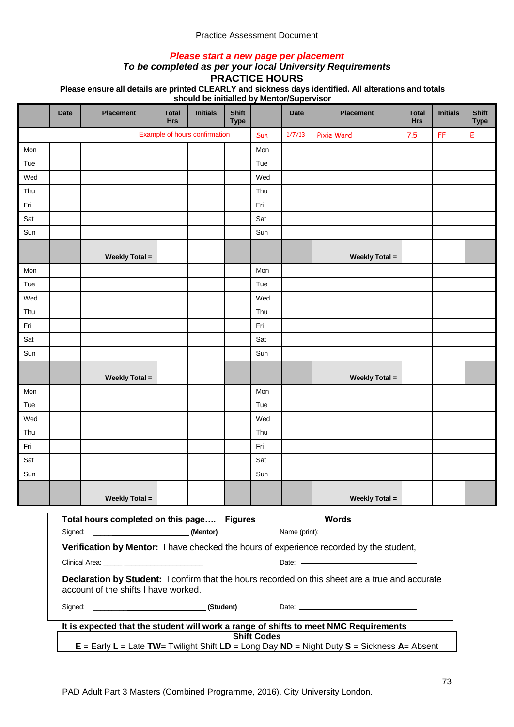## *Please start a new page per placement*

# *To be completed as per your local University Requirements*

**PRACTICE HOURS**

**Please ensure all details are printed CLEARLY and sickness days identified. All alterations and totals** 

|     | <b>Date</b>                                                                                                                                    | <b>Placement</b>                                                                                                                        | <b>Total</b><br><b>Hrs</b> | <b>Initials</b> | <b>Shift</b><br><b>Type</b> |     | <b>Date</b> | <b>Placement</b>      | <b>Total</b><br><b>Hrs</b> | <b>Initials</b> | <b>Shift</b><br><b>Type</b> |  |  |
|-----|------------------------------------------------------------------------------------------------------------------------------------------------|-----------------------------------------------------------------------------------------------------------------------------------------|----------------------------|-----------------|-----------------------------|-----|-------------|-----------------------|----------------------------|-----------------|-----------------------------|--|--|
|     |                                                                                                                                                | Example of hours confirmation                                                                                                           |                            |                 |                             |     | 1/7/13      | Pixie Ward            | 7.5                        | FF              | Е                           |  |  |
| Mon |                                                                                                                                                |                                                                                                                                         |                            |                 |                             | Mon |             |                       |                            |                 |                             |  |  |
| Tue |                                                                                                                                                |                                                                                                                                         |                            |                 |                             | Tue |             |                       |                            |                 |                             |  |  |
| Wed |                                                                                                                                                |                                                                                                                                         |                            |                 |                             | Wed |             |                       |                            |                 |                             |  |  |
| Thu |                                                                                                                                                |                                                                                                                                         |                            |                 |                             | Thu |             |                       |                            |                 |                             |  |  |
| Fri |                                                                                                                                                |                                                                                                                                         |                            |                 |                             | Fri |             |                       |                            |                 |                             |  |  |
| Sat |                                                                                                                                                |                                                                                                                                         |                            |                 |                             | Sat |             |                       |                            |                 |                             |  |  |
| Sun |                                                                                                                                                |                                                                                                                                         |                            |                 |                             | Sun |             |                       |                            |                 |                             |  |  |
|     |                                                                                                                                                | <b>Weekly Total =</b>                                                                                                                   |                            |                 |                             |     |             | <b>Weekly Total =</b> |                            |                 |                             |  |  |
| Mon |                                                                                                                                                |                                                                                                                                         |                            |                 |                             | Mon |             |                       |                            |                 |                             |  |  |
| Tue |                                                                                                                                                |                                                                                                                                         |                            |                 |                             | Tue |             |                       |                            |                 |                             |  |  |
| Wed |                                                                                                                                                |                                                                                                                                         |                            |                 |                             | Wed |             |                       |                            |                 |                             |  |  |
| Thu |                                                                                                                                                |                                                                                                                                         |                            |                 |                             | Thu |             |                       |                            |                 |                             |  |  |
| Fri |                                                                                                                                                |                                                                                                                                         |                            |                 |                             | Fri |             |                       |                            |                 |                             |  |  |
| Sat |                                                                                                                                                |                                                                                                                                         |                            |                 |                             | Sat |             |                       |                            |                 |                             |  |  |
| Sun |                                                                                                                                                |                                                                                                                                         |                            |                 |                             | Sun |             |                       |                            |                 |                             |  |  |
|     |                                                                                                                                                | <b>Weekly Total =</b>                                                                                                                   |                            |                 |                             |     |             | <b>Weekly Total =</b> |                            |                 |                             |  |  |
| Mon |                                                                                                                                                |                                                                                                                                         |                            |                 |                             | Mon |             |                       |                            |                 |                             |  |  |
| Tue |                                                                                                                                                |                                                                                                                                         |                            |                 |                             | Tue |             |                       |                            |                 |                             |  |  |
| Wed |                                                                                                                                                |                                                                                                                                         |                            |                 |                             | Wed |             |                       |                            |                 |                             |  |  |
| Thu |                                                                                                                                                |                                                                                                                                         |                            |                 |                             | Thu |             |                       |                            |                 |                             |  |  |
| Fri |                                                                                                                                                |                                                                                                                                         |                            |                 |                             | Fri |             |                       |                            |                 |                             |  |  |
| Sat |                                                                                                                                                |                                                                                                                                         |                            |                 |                             | Sat |             |                       |                            |                 |                             |  |  |
| Sun |                                                                                                                                                |                                                                                                                                         |                            |                 |                             | Sun |             |                       |                            |                 |                             |  |  |
|     |                                                                                                                                                | <b>Weekly Total =</b>                                                                                                                   |                            |                 |                             |     |             | <b>Weekly Total =</b> |                            |                 |                             |  |  |
|     |                                                                                                                                                | Total hours completed on this page Figures                                                                                              |                            |                 |                             |     |             | <b>Words</b>          |                            |                 |                             |  |  |
|     |                                                                                                                                                |                                                                                                                                         |                            |                 |                             |     |             |                       |                            |                 |                             |  |  |
|     | Verification by Mentor: I have checked the hours of experience recorded by the student,<br>Clinical Area: <b>Accelerate and Clinical Area:</b> |                                                                                                                                         |                            |                 |                             |     |             |                       |                            |                 |                             |  |  |
|     |                                                                                                                                                | Declaration by Student: I confirm that the hours recorded on this sheet are a true and accurate<br>account of the shifts I have worked. |                            |                 |                             |     |             |                       |                            |                 |                             |  |  |
|     |                                                                                                                                                |                                                                                                                                         |                            |                 |                             |     |             |                       |                            |                 |                             |  |  |
|     | It is expected that the student will work a range of shifts to meet NMC Requirements                                                           |                                                                                                                                         |                            |                 |                             |     |             |                       |                            |                 |                             |  |  |
|     | <b>Shift Codes</b><br>$E =$ Early L = Late TW= Twilight Shift LD = Long Day ND = Night Duty S = Sickness A= Absent                             |                                                                                                                                         |                            |                 |                             |     |             |                       |                            |                 |                             |  |  |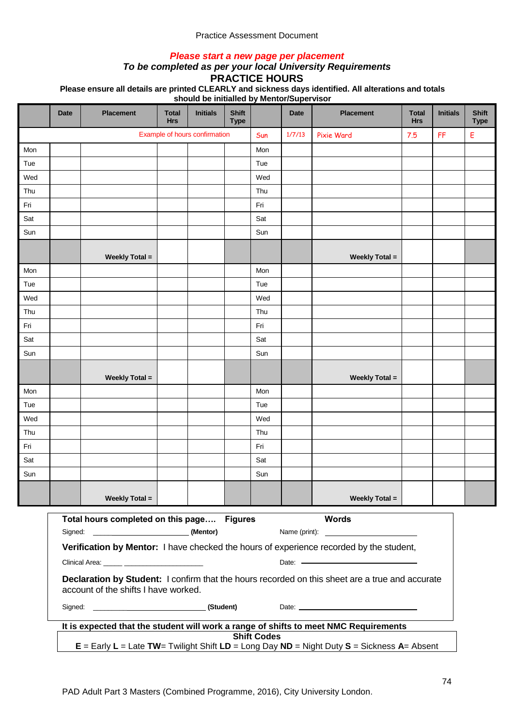## *Please start a new page per placement*

# *To be completed as per your local University Requirements*

**PRACTICE HOURS**

**Please ensure all details are printed CLEARLY and sickness days identified. All alterations and totals** 

|     | <b>Date</b>                                                                                                                                                                                         | <b>Placement</b>                                                                                                                                                                                                                                           | <b>Total</b><br><b>Hrs</b> | <b>Initials</b> | <b>Shift</b><br><b>Type</b> |     | <b>Date</b> | <b>Placement</b>      | <b>Total</b><br><b>Hrs</b> | <b>Initials</b> | <b>Shift</b><br><b>Type</b> |  |  |
|-----|-----------------------------------------------------------------------------------------------------------------------------------------------------------------------------------------------------|------------------------------------------------------------------------------------------------------------------------------------------------------------------------------------------------------------------------------------------------------------|----------------------------|-----------------|-----------------------------|-----|-------------|-----------------------|----------------------------|-----------------|-----------------------------|--|--|
|     |                                                                                                                                                                                                     | Example of hours confirmation                                                                                                                                                                                                                              |                            |                 |                             |     | 1/7/13      | Pixie Ward            | 7.5                        | FF              | Е                           |  |  |
| Mon |                                                                                                                                                                                                     |                                                                                                                                                                                                                                                            |                            |                 |                             | Mon |             |                       |                            |                 |                             |  |  |
| Tue |                                                                                                                                                                                                     |                                                                                                                                                                                                                                                            |                            |                 |                             | Tue |             |                       |                            |                 |                             |  |  |
| Wed |                                                                                                                                                                                                     |                                                                                                                                                                                                                                                            |                            |                 |                             | Wed |             |                       |                            |                 |                             |  |  |
| Thu |                                                                                                                                                                                                     |                                                                                                                                                                                                                                                            |                            |                 |                             | Thu |             |                       |                            |                 |                             |  |  |
| Fri |                                                                                                                                                                                                     |                                                                                                                                                                                                                                                            |                            |                 |                             | Fri |             |                       |                            |                 |                             |  |  |
| Sat |                                                                                                                                                                                                     |                                                                                                                                                                                                                                                            |                            |                 |                             | Sat |             |                       |                            |                 |                             |  |  |
| Sun |                                                                                                                                                                                                     |                                                                                                                                                                                                                                                            |                            |                 |                             | Sun |             |                       |                            |                 |                             |  |  |
|     |                                                                                                                                                                                                     | <b>Weekly Total =</b>                                                                                                                                                                                                                                      |                            |                 |                             |     |             | <b>Weekly Total =</b> |                            |                 |                             |  |  |
| Mon |                                                                                                                                                                                                     |                                                                                                                                                                                                                                                            |                            |                 |                             | Mon |             |                       |                            |                 |                             |  |  |
| Tue |                                                                                                                                                                                                     |                                                                                                                                                                                                                                                            |                            |                 |                             | Tue |             |                       |                            |                 |                             |  |  |
| Wed |                                                                                                                                                                                                     |                                                                                                                                                                                                                                                            |                            |                 |                             | Wed |             |                       |                            |                 |                             |  |  |
| Thu |                                                                                                                                                                                                     |                                                                                                                                                                                                                                                            |                            |                 |                             | Thu |             |                       |                            |                 |                             |  |  |
| Fri |                                                                                                                                                                                                     |                                                                                                                                                                                                                                                            |                            |                 |                             | Fri |             |                       |                            |                 |                             |  |  |
| Sat |                                                                                                                                                                                                     |                                                                                                                                                                                                                                                            |                            |                 |                             | Sat |             |                       |                            |                 |                             |  |  |
| Sun |                                                                                                                                                                                                     |                                                                                                                                                                                                                                                            |                            |                 |                             | Sun |             |                       |                            |                 |                             |  |  |
|     |                                                                                                                                                                                                     | <b>Weekly Total =</b>                                                                                                                                                                                                                                      |                            |                 |                             |     |             | <b>Weekly Total =</b> |                            |                 |                             |  |  |
| Mon |                                                                                                                                                                                                     |                                                                                                                                                                                                                                                            |                            |                 |                             | Mon |             |                       |                            |                 |                             |  |  |
| Tue |                                                                                                                                                                                                     |                                                                                                                                                                                                                                                            |                            |                 |                             | Tue |             |                       |                            |                 |                             |  |  |
| Wed |                                                                                                                                                                                                     |                                                                                                                                                                                                                                                            |                            |                 |                             | Wed |             |                       |                            |                 |                             |  |  |
| Thu |                                                                                                                                                                                                     |                                                                                                                                                                                                                                                            |                            |                 |                             | Thu |             |                       |                            |                 |                             |  |  |
| Fri |                                                                                                                                                                                                     |                                                                                                                                                                                                                                                            |                            |                 |                             | Fri |             |                       |                            |                 |                             |  |  |
| Sat |                                                                                                                                                                                                     |                                                                                                                                                                                                                                                            |                            |                 |                             | Sat |             |                       |                            |                 |                             |  |  |
| Sun |                                                                                                                                                                                                     |                                                                                                                                                                                                                                                            |                            |                 |                             | Sun |             |                       |                            |                 |                             |  |  |
|     |                                                                                                                                                                                                     | <b>Weekly Total =</b>                                                                                                                                                                                                                                      |                            |                 |                             |     |             | <b>Weekly Total =</b> |                            |                 |                             |  |  |
|     | <b>Words</b><br>Total hours completed on this page Figures<br>Name (print):<br><u> Alexandria de la contexta de la contexta de la contexta de la contexta de la contexta de la contexta de la c</u> |                                                                                                                                                                                                                                                            |                            |                 |                             |     |             |                       |                            |                 |                             |  |  |
|     |                                                                                                                                                                                                     |                                                                                                                                                                                                                                                            |                            |                 |                             |     |             |                       |                            |                 |                             |  |  |
|     |                                                                                                                                                                                                     | Verification by Mentor: I have checked the hours of experience recorded by the student,<br>Clinical Area: _____ ________________________<br>Date: Note: Note: Note: Note: Note: Note: Note: Note: Note: Note: Note: Note: Note: Note: Note: Note: Note: No |                            |                 |                             |     |             |                       |                            |                 |                             |  |  |
|     |                                                                                                                                                                                                     | Declaration by Student: I confirm that the hours recorded on this sheet are a true and accurate<br>account of the shifts I have worked.                                                                                                                    |                            |                 |                             |     |             |                       |                            |                 |                             |  |  |
|     |                                                                                                                                                                                                     |                                                                                                                                                                                                                                                            |                            |                 |                             |     |             |                       |                            |                 |                             |  |  |
|     | It is expected that the student will work a range of shifts to meet NMC Requirements                                                                                                                |                                                                                                                                                                                                                                                            |                            |                 |                             |     |             |                       |                            |                 |                             |  |  |
|     | <b>Shift Codes</b><br>$E =$ Early $L =$ Late TW= Twilight Shift $LD =$ Long Day ND = Night Duty S = Sickness A= Absent                                                                              |                                                                                                                                                                                                                                                            |                            |                 |                             |     |             |                       |                            |                 |                             |  |  |